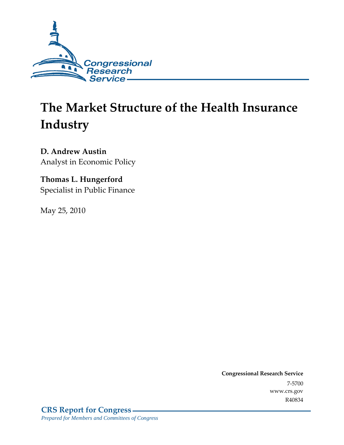

# **The Market Structure of the Health Insurance Industry**

**D. Andrew Austin**  Analyst in Economic Policy

# **Thomas L. Hungerford**  Specialist in Public Finance

May 25, 2010

**Congressional Research Service** 7-5700 www.crs.gov R40834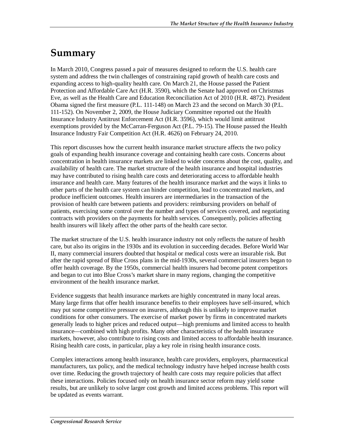# **Summary**

In March 2010, Congress passed a pair of measures designed to reform the U.S. health care system and address the twin challenges of constraining rapid growth of health care costs and expanding access to high-quality health care. On March 21, the House passed the Patient Protection and Affordable Care Act (H.R. 3590), which the Senate had approved on Christmas Eve, as well as the Health Care and Education Reconciliation Act of 2010 (H.R. 4872). President Obama signed the first measure (P.L. 111-148) on March 23 and the second on March 30 (P.L. 111-152). On November 2, 2009, the House Judiciary Committee reported out the Health Insurance Industry Antitrust Enforcement Act (H.R. 3596), which would limit antitrust exemptions provided by the McCarran-Ferguson Act (P.L. 79-15). The House passed the Health Insurance Industry Fair Competition Act (H.R. 4626) on February 24, 2010.

This report discusses how the current health insurance market structure affects the two policy goals of expanding health insurance coverage and containing health care costs. Concerns about concentration in health insurance markets are linked to wider concerns about the cost, quality, and availability of health care. The market structure of the health insurance and hospital industries may have contributed to rising health care costs and deteriorating access to affordable health insurance and health care. Many features of the health insurance market and the ways it links to other parts of the health care system can hinder competition, lead to concentrated markets, and produce inefficient outcomes. Health insurers are intermediaries in the transaction of the provision of health care between patients and providers: reimbursing providers on behalf of patients, exercising some control over the number and types of services covered, and negotiating contracts with providers on the payments for health services. Consequently, policies affecting health insurers will likely affect the other parts of the health care sector.

The market structure of the U.S. health insurance industry not only reflects the nature of health care, but also its origins in the 1930s and its evolution in succeeding decades. Before World War II, many commercial insurers doubted that hospital or medical costs were an insurable risk. But after the rapid spread of Blue Cross plans in the mid-1930s, several commercial insurers began to offer health coverage. By the 1950s, commercial health insurers had become potent competitors and began to cut into Blue Cross's market share in many regions, changing the competitive environment of the health insurance market.

Evidence suggests that health insurance markets are highly concentrated in many local areas. Many large firms that offer health insurance benefits to their employees have self-insured, which may put some competitive pressure on insurers, although this is unlikely to improve market conditions for other consumers. The exercise of market power by firms in concentrated markets generally leads to higher prices and reduced output—high premiums and limited access to health insurance—combined with high profits. Many other characteristics of the health insurance markets, however, also contribute to rising costs and limited access to affordable health insurance. Rising health care costs, in particular, play a key role in rising health insurance costs.

Complex interactions among health insurance, health care providers, employers, pharmaceutical manufacturers, tax policy, and the medical technology industry have helped increase health costs over time. Reducing the growth trajectory of health care costs may require policies that affect these interactions. Policies focused only on health insurance sector reform may yield some results, but are unlikely to solve larger cost growth and limited access problems. This report will be updated as events warrant.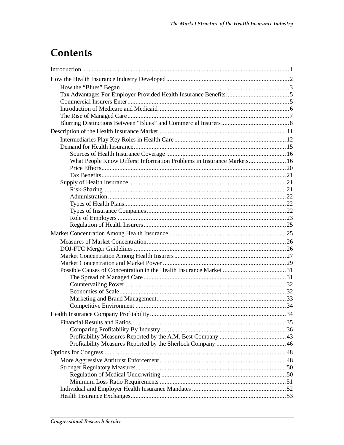# Contents

| What People Know Differs: Information Problems in Insurance Markets 16 |  |
|------------------------------------------------------------------------|--|
|                                                                        |  |
|                                                                        |  |
|                                                                        |  |
|                                                                        |  |
|                                                                        |  |
|                                                                        |  |
|                                                                        |  |
|                                                                        |  |
|                                                                        |  |
|                                                                        |  |
|                                                                        |  |
|                                                                        |  |
|                                                                        |  |
|                                                                        |  |
|                                                                        |  |
|                                                                        |  |
|                                                                        |  |
|                                                                        |  |
|                                                                        |  |
|                                                                        |  |
|                                                                        |  |
|                                                                        |  |
|                                                                        |  |
|                                                                        |  |
|                                                                        |  |
|                                                                        |  |
|                                                                        |  |
|                                                                        |  |
|                                                                        |  |
|                                                                        |  |
|                                                                        |  |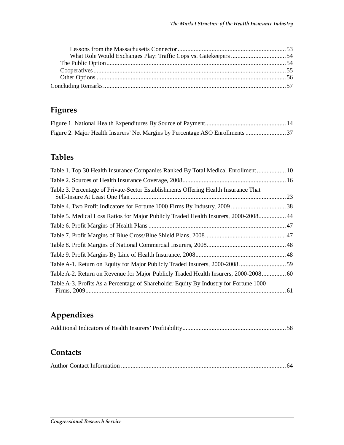# **Figures**

# **Tables**

| Table 1. Top 30 Health Insurance Companies Ranked By Total Medical Enrollment 10      |  |
|---------------------------------------------------------------------------------------|--|
|                                                                                       |  |
| Table 3. Percentage of Private-Sector Establishments Offering Health Insurance That   |  |
|                                                                                       |  |
| Table 5. Medical Loss Ratios for Major Publicly Traded Health Insurers, 2000-2008 44  |  |
|                                                                                       |  |
|                                                                                       |  |
|                                                                                       |  |
|                                                                                       |  |
|                                                                                       |  |
| Table A-2. Return on Revenue for Major Publicly Traded Health Insurers, 2000-2008 60  |  |
| Table A-3. Profits As a Percentage of Shareholder Equity By Industry for Fortune 1000 |  |

# **Appendixes**

|--|--|--|

# **Contacts**

|--|--|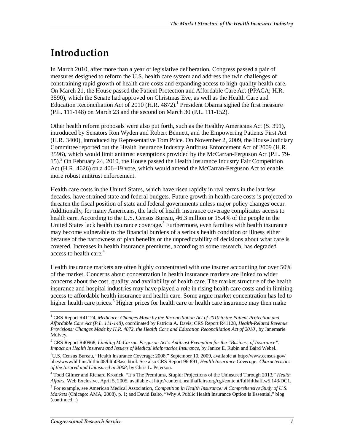# **Introduction**

In March 2010, after more than a year of legislative deliberation, Congress passed a pair of measures designed to reform the U.S. health care system and address the twin challenges of constraining rapid growth of health care costs and expanding access to high-quality health care. On March 21, the House passed the Patient Protection and Affordable Care Act (PPACA; H.R. 3590), which the Senate had approved on Christmas Eve, as well as the Health Care and Education Reconciliation Act of 2010 (H.R. 4872).<sup>1</sup> President Obama signed the first measure (P.L. 111-148) on March 23 and the second on March 30 (P.L. 111-152).

Other health reform proposals were also put forth, such as the Healthy Americans Act (S. 391), introduced by Senators Ron Wyden and Robert Bennett, and the Empowering Patients First Act (H.R. 3400), introduced by Representative Tom Price. On November 2, 2009, the House Judiciary Committee reported out the Health Insurance Industry Antitrust Enforcement Act of 2009 (H.R. 3596), which would limit antitrust exemptions provided by the McCarran-Ferguson Act (P.L. 79- 15).<sup>2</sup> On February 24, 2010, the House passed the Health Insurance Industry Fair Competition Act (H.R. 4626) on a 406–19 vote, which would amend the McCarran-Ferguson Act to enable more robust antitrust enforcement.

Health care costs in the United States, which have risen rapidly in real terms in the last few decades, have strained state and federal budgets. Future growth in health care costs is projected to threaten the fiscal position of state and federal governments unless major policy changes occur. Additionally, for many Americans, the lack of health insurance coverage complicates access to health care. According to the U.S. Census Bureau, 46.3 million or 15.4% of the people in the United States lack health insurance coverage.<sup>3</sup> Furthermore, even families with health insurance may become vulnerable to the financial burdens of a serious health condition or illness either because of the narrowness of plan benefits or the unpredictability of decisions about what care is covered. Increases in health insurance premiums, according to some research, has degraded access to health care.<sup>4</sup>

Health insurance markets are often highly concentrated with one insurer accounting for over 50% of the market. Concerns about concentration in health insurance markets are linked to wider concerns about the cost, quality, and availability of health care. The market structure of the health insurance and hospital industries may have played a role in rising health care costs and in limiting access to affordable health insurance and health care. Some argue market concentration has led to higher health care prices.<sup>5</sup> Higher prices for health care or health care insurance may then make

-

<sup>&</sup>lt;sup>1</sup> CRS Report R41124, *Medicare: Changes Made by the Reconciliation Act of 2010 to the Patient Protection and Affordable Care Act (P.L. 111-148)*, coordinated by Patricia A. Davis; CRS Report R41128, *Health-Related Revenue Provisions: Changes Made by H.R. 4872, the Health Care and Education Reconciliation Act of 2010* , by Janemarie Mulvey.

<sup>2</sup> CRS Report R40968, *Limiting McCarran-Ferguson Act's Antitrust Exemption for the "Business of Insurance": Impact on Health Insurers and Issuers of Medical Malpractice Insurance*, by Janice E. Rubin and Baird Webel.

<sup>3</sup> U.S. Census Bureau, "Health Insurance Coverage: 2008," September 10, 2009, available at http://www.census.gov/ hhes/www/hlthins/hlthin08/hlth08asc.html. See also CRS Report 96-891, *Health Insurance Coverage: Characteristics of the Insured and Uninsured in 2008*, by Chris L. Peterson.

<sup>4</sup> Todd Gilmer and Richard Kronick, "It's The Premiums, Stupid: Projections of the Uninsured Through 2013," *Health Affairs*, Web Exclusive, April 5, 2005, available at http://content.healthaffairs.org/cgi/content/full/hlthaff.w5.143/DC1.

<sup>5</sup> For example, see American Medical Association, *Competition in Health Insurance: A Comprehensive Study of U.S. Markets* (Chicago: AMA, 2008), p. 1; and David Balto, "Why A Public Health Insurance Option Is Essential," blog (continued...)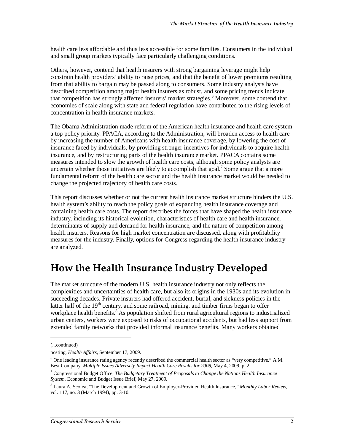health care less affordable and thus less accessible for some families. Consumers in the individual and small group markets typically face particularly challenging conditions.

Others, however, contend that health insurers with strong bargaining leverage might help constrain health providers' ability to raise prices, and that the benefit of lower premiums resulting from that ability to bargain may be passed along to consumers. Some industry analysts have described competition among major health insurers as robust, and some pricing trends indicate that competition has strongly affected insurers' market strategies.<sup>6</sup> Moreover, some contend that economies of scale along with state and federal regulation have contributed to the rising levels of concentration in health insurance markets.

The Obama Administration made reform of the American health insurance and health care system a top policy priority. PPACA, according to the Administration, will broaden access to health care by increasing the number of Americans with health insurance coverage, by lowering the cost of insurance faced by individuals, by providing stronger incentives for individuals to acquire health insurance, and by restructuring parts of the health insurance market. PPACA contains some measures intended to slow the growth of health care costs, although some policy analysts are uncertain whether those initiatives are likely to accomplish that goal.<sup>7</sup> Some argue that a more fundamental reform of the health care sector and the health insurance market would be needed to change the projected trajectory of health care costs.

This report discusses whether or not the current health insurance market structure hinders the U.S. health system's ability to reach the policy goals of expanding health insurance coverage and containing health care costs. The report describes the forces that have shaped the health insurance industry, including its historical evolution, characteristics of health care and health insurance, determinants of supply and demand for health insurance, and the nature of competition among health insurers. Reasons for high market concentration are discussed, along with profitability measures for the industry. Finally, options for Congress regarding the health insurance industry are analyzed.

# **How the Health Insurance Industry Developed**

The market structure of the modern U.S. health insurance industry not only reflects the complexities and uncertainties of health care, but also its origins in the 1930s and its evolution in succeeding decades. Private insurers had offered accident, burial, and sickness policies in the latter half of the 19<sup>th</sup> century, and some railroad, mining, and timber firms began to offer workplace health benefits.<sup>8</sup> As population shifted from rural agricultural regions to industrialized urban centers, workers were exposed to risks of occupational accidents, but had less support from extended family networks that provided informal insurance benefits. Many workers obtained

1

<sup>(...</sup>continued)

posting, *Health Affairs*, September 17, 2009.

<sup>&</sup>lt;sup>6</sup> One leading insurance rating agency recently described the commercial health sector as "very competitive." A.M. Best Company, *Multiple Issues Adversely Impact Health Care Results for 2008*, May 4, 2009, p. 2.

<sup>7</sup> Congressional Budget Office, *The Budgetary Treatment of Proposals to Change the Nations Health Insurance System*, Economic and Budget Issue Brief, May 27, 2009.

<sup>8</sup> Laura A. Scofea, "The Development and Growth of Employer-Provided Health Insurance," *Monthly Labor Review*, vol. 117, no. 3 (March 1994), pp. 3-10.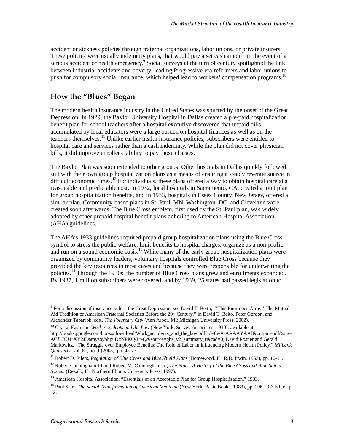accident or sickness policies through fraternal organizations, labor unions, or private insurers. These policies were usually indemnity plans, that would pay a set cash amount in the event of a serious accident or health emergency.<sup>9</sup> Social surveys at the turn of century spotlighted the link between industrial accidents and poverty, leading Progressive-era reformers and labor unions to push for compulsory social insurance, which helped lead to workers' compensation programs.<sup>10</sup>

# **How the "Blues" Began**

The modern health insurance industry in the United States was spurred by the onset of the Great Depression. In 1929, the Baylor University Hospital in Dallas created a pre-paid hospitalization benefit plan for school teachers after a hospital executive discovered that unpaid bills accumulated by local educators were a large burden on hospital finances as well as on the teachers themselves.11 Unlike earlier health insurance policies, subscribers were entitled to hospital care and services rather than a cash indemnity. While the plan did not cover physician bills, it did improve enrollees' ability to pay those charges.

The Baylor Plan was soon extended to other groups. Other hospitals in Dallas quickly followed suit with their own group hospitalization plans as a means of ensuring a steady revenue source in difficult economic times.<sup>12</sup> For individuals, these plans offered a way to obtain hospital care at a reasonable and predictable cost. In 1932, local hospitals in Sacramento, CA, created a joint plan for group hospitalization benefits, and in 1933, hospitals in Essex County, New Jersey, offered a similar plan. Community-based plans in St. Paul, MN, Washington, DC, and Cleveland were created soon afterwards. The Blue Cross emblem, first used by the St. Paul plan, was widely adopted by other prepaid hospital benefit plans adhering to American Hospital Association (AHA) guidelines.

The AHA's 1933 guidelines required prepaid group hospitalization plans using the Blue Cross symbol to stress the public welfare, limit benefits to hospital charges, organize as a non-profit, and run on a sound economic basis.<sup>13</sup> While many of the early group hospitalization plans were organized by community leaders, voluntary hospitals controlled Blue Cross because they provided the key resources in most cases and because they were responsible for underwriting the policies.<sup>14</sup> Through the 1930s, the number of Blue Cross plans grew and enrollments expanded. By 1937, 1 million subscribers were covered, and by 1939, 25 states had passed legislation to

<sup>-</sup><sup>9</sup> For a discussion of insurance before the Great Depression, see David T. Beito, "This Enormous Army:' The Mutual-Aid Tradition of American Fraternal Societies Before the 20<sup>th</sup> Century," in David T. Beito, Peter Gordon, and Alexander Tabarrok, eds., *The Voluntary City* (Ann Arbor, MI: Michigan University Press, 2002).

<sup>&</sup>lt;sup>10</sup> Crystal Eastman, *Work-Accidents and the Law* (New York: Survey Associates, 1910), available at http://books.google.com/books/download/Work\_accidents\_and\_the\_law.pdf?id=0wAtAAAAYAAJ&output=pdf&sig= ACfU3U1rXY2JDamyzoybhpuDxNPKQ-Lr-Q&source=gbs\_v2\_summary\_r&cad=0; David Rosner and Gerald Markowitz, "The Struggle over Employee Benefits: The Role of Labor in Influencing Modern Health Policy," *Milbank Quarterly*, vol. 81, no. 1 (2003), pp. 45-73.

<sup>&</sup>lt;sup>11</sup> Robert D. Eilers, *Regulation of Blue Cross and Blue Shield Plans* (Homewood, IL: R.D. Irwin, 1963), pp. 10-11.

<sup>&</sup>lt;sup>12</sup> Robert Cunningham III and Robert M. Cunningham Jr., *The Blues: A History of the Blue Cross and Blue Shield System* (Dekalb, IL: Northern Illinois University Press, 1997).

<sup>&</sup>lt;sup>13</sup> American Hospital Association, "Essentials of an Acceptable Plan for Group Hospitalization," 1933.

<sup>&</sup>lt;sup>14</sup> Paul Starr, *The Social Transformation of American Medicine* (New York: Basic Books, 1983), pp. 296-297; Eilers, p. 12.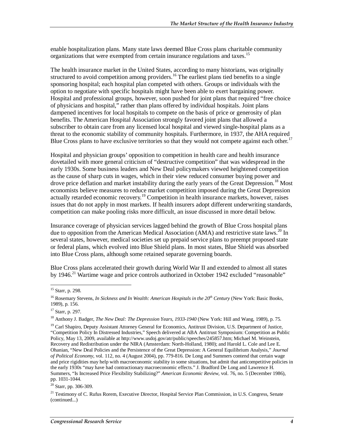enable hospitalization plans. Many state laws deemed Blue Cross plans charitable community organizations that were exempted from certain insurance regulations and taxes.<sup>15</sup>

The health insurance market in the United States, according to many historians, was originally structured to avoid competition among providers.<sup>16</sup> The earliest plans tied benefits to a single sponsoring hospital; each hospital plan competed with others. Groups or individuals with the option to negotiate with specific hospitals might have been able to exert bargaining power. Hospital and professional groups, however, soon pushed for joint plans that required "free choice of physicians and hospital," rather than plans offered by individual hospitals. Joint plans dampened incentives for local hospitals to compete on the basis of price or generosity of plan benefits. The American Hospital Association strongly favored joint plans that allowed a subscriber to obtain care from any licensed local hospital and viewed single-hospital plans as a threat to the economic stability of community hospitals. Furthermore, in 1937, the AHA required Blue Cross plans to have exclusive territories so that they would not compete against each other.<sup>17</sup>

Hospital and physician groups' opposition to competition in health care and health insurance dovetailed with more general criticism of "destructive competition" that was widespread in the early 1930s. Some business leaders and New Deal policymakers viewed heightened competition as the cause of sharp cuts in wages, which in their view reduced consumer buying power and drove price deflation and market instability during the early years of the Great Depression.<sup>18</sup> Most economists believe measures to reduce market competition imposed during the Great Depression actually retarded economic recovery.<sup>19</sup> Competition in health insurance markets, however, raises issues that do not apply in most markets. If health insurers adopt different underwriting standards, competition can make pooling risks more difficult, an issue discussed in more detail below.

Insurance coverage of physician services lagged behind the growth of Blue Cross hospital plans due to opposition from the American Medical Association (AMA) and restrictive state laws.<sup>20</sup> In several states, however, medical societies set up prepaid service plans to preempt proposed state or federal plans, which evolved into Blue Shield plans. In most states, Blue Shield was absorbed into Blue Cross plans, although some retained separate governing boards.

Blue Cross plans accelerated their growth during World War II and extended to almost all states by 1946.<sup>21</sup> Wartime wage and price controls authorized in October 1942 excluded "reasonable"

<u>.</u>

 $20$  Starr, pp. 306-309.

<sup>&</sup>lt;sup>15</sup> Starr, p. 298.

<sup>&</sup>lt;sup>16</sup> Rosemary Stevens, *In Sickness and In Wealth: American Hospitals in the 20<sup>th</sup> Century* (New York: Basic Books, 1989), p. 156.

<sup>17</sup> Starr, p. 297.

<sup>18</sup> Anthony J. Badger, *The New Deal: The Depression Years, 1933-1940* (New York: Hill and Wang, 1989), p. 75.

<sup>&</sup>lt;sup>19</sup> Carl Shapiro, Deputy Assistant Attorney General for Economics, Antitrust Division, U.S. Department of Justice, "Competition Policy In Distressed Industries," Speech delivered at ABA Antitrust Symposium: Competition as Public Policy, May 13, 2009, available at http://www.usdoj.gov/atr/public/speeches/245857.htm; Michael M. Weinstein, Recovery and Redistribution under the NIRA (Amsterdam: North-Holland, 1980); and Harold L. Cole and Lee E. Ohanian, "New Deal Policies and the Persistence of the Great Depression: A General Equilibrium Analysis," *Journal of Political Economy*, vol. 112, no. 4 (August 2004), pp. 779-816. De Long and Summers contend that certain wage and price rigidities may help with macroeconomic stability in some situations, but admit that anticompetitive policies in the early 1930s "may have had contractionary macroeconomic effects." J. Bradford De Long and Lawrence H. Summers, "Is Increased Price Flexibility Stabilizing?" *American Economic Review*, vol. 76, no. 5 (December 1986), pp. 1031-1044.

<sup>&</sup>lt;sup>21</sup> Testimony of C. Rufus Rorem, Executive Director, Hospital Service Plan Commission, in U.S. Congress, Senate (continued...)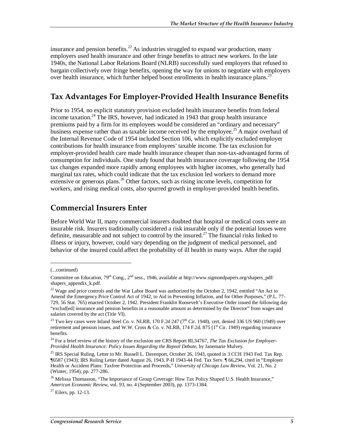insurance and pension benefits.<sup>22</sup> As industries struggled to expand war production, many employers used health insurance and other fringe benefits to attract new workers. In the late 1940s, the National Labor Relations Board (NLRB) successfully sued employers that refused to bargain collectively over fringe benefits, opening the way for unions to negotiate with employers over health insurance, which further helped boost enrollments in health insurance plans.<sup>23</sup>

# **Tax Advantages For Employer-Provided Health Insurance Benefits**

Prior to 1954, no explicit statutory provision excluded health insurance benefits from federal income taxation.<sup>24</sup> The IRS, however, had indicated in 1943 that group health insurance premiums paid by a firm for its employees would be considered an "ordinary and necessary" business expense rather than as taxable income received by the employee.<sup>25</sup> A major overhaul of the Internal Revenue Code of 1954 included Section 106, which explicitly excluded employer contributions for health insurance from employees' taxable income. The tax exclusion for employer-provided health care made health insurance cheaper than non-tax-advantaged forms of consumption for individuals. One study found that health insurance coverage following the 1954 tax changes expanded more rapidly among employees with higher incomes, who generally had marginal tax rates, which could indicate that the tax exclusion led workers to demand more extensive or generous plans.<sup>26</sup> Other factors, such as rising income levels, competition for workers, and rising medical costs, also spurred growth in employer-provided health benefits.

## **Commercial Insurers Enter**

Before World War II, many commercial insurers doubted that hospital or medical costs were an insurable risk. Insurers traditionally considered a risk insurable only if the potential losses were definite, measurable and not subject to control by the insured.<sup>27</sup> The financial risks linked to illness or injury, however, could vary depending on the judgment of medical personnel, and behavior of the insured could affect the probability of ill health in many ways. After the rapid

1

<sup>(...</sup>continued)

Committee on Education,  $79^{th}$  Cong.,  $2^{nd}$  sess., 1946, available at http://www.sigmondpapers.org/shapers\_pdf/ shapers appendix k.pdf.

<sup>&</sup>lt;sup>22</sup> Wage and price controls and the War Labor Board was authorized by the October 2, 1942, entitled "An Act to Amend the Emergency Price Control Act of 1942, to Aid in Preventing Inflation, and for Other Purposes," (P.L. 77- 729, 56 Stat. 765) enacted October 2, 1942. President Franklin Roosevelt's Executive Order issued the following day "exclud[ed] insurance and pension benefits in a reasonable amount as determined by the Director" from wages and salaries covered by the act (Title VI).

<sup>&</sup>lt;sup>23</sup> Two key cases were Inland Steel Co. v. NLRB, 170 F.2d 247 (7<sup>th</sup> Cir. 1948), cert, denied 336 US 960 (1949) over retirement and pension issues, and W.W. Cross & Co. v. NLRB, 174 F.2d. 875 (1st Cir. 1949) regarding insurance benefits.

<sup>24</sup> For a brief review of the history of the exclusion see CRS Report RL34767, *The Tax Exclusion for Employer-Provided Health Insurance: Policy Issues Regarding the Repeal Debate*, by Janemarie Mulvey.

 $^{25}$  IRS Special Ruling, Letter to Mr. Russell L. Davenport, October 26, 1943, quoted in 3 CCH 1943 Fed. Tax Rep. ¶6587 (1943); IRS Ruling Letter dated August 26, 1943, P-H 1943-44 Fed. Tax Serv. ¶ 66,294, cited in "Employer Health or Accident Plans: Taxfree Protection and Proceeds," *University of Chicago Law Review*, Vol. 21, No. 2 (Winter, 1954), pp. 277-286.

<sup>&</sup>lt;sup>26</sup> Melissa Thomasson, "The Importance of Group Coverage: How Tax Policy Shaped U.S. Health Insurance," *American Economic Review*, vol. 93, no. 4 (September 2003), pp. 1373-1384.

 $27$  Eilers, pp. 12-13.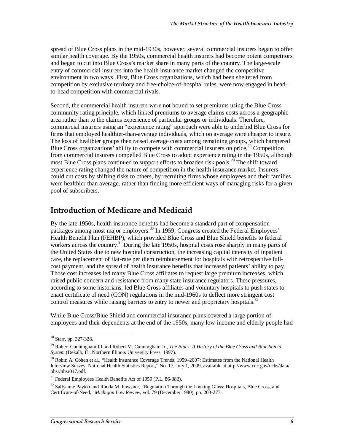spread of Blue Cross plans in the mid-1930s, however, several commercial insurers began to offer similar health coverage. By the 1950s, commercial health insurers had become potent competitors and began to cut into Blue Cross's market share in many parts of the country. The large-scale entry of commercial insurers into the health insurance market changed the competitive environment in two ways. First, Blue Cross organizations, which had been sheltered from competition by exclusive territory and free-choice-of-hospital rules, were now engaged in headto-head competition with commercial rivals.

Second, the commercial health insurers were not bound to set premiums using the Blue Cross community rating principle, which linked premiums to average claims costs across a geographic area rather than to the claims experience of particular groups or individuals. Therefore, commercial insurers using an "experience rating" approach were able to underbid Blue Cross for firms that employed healthier-than-average individuals, which on average were cheaper to insure. The loss of healthier groups then raised average costs among remaining groups, which hampered Blue Cross organizations' ability to compete with commercial insurers on price.<sup>28</sup> Competition from commercial insurers compelled Blue Cross to adopt experience rating in the 1950s, although most Blue Cross plans continued to support efforts to broaden risk pools.<sup>29</sup> The shift toward experience rating changed the nature of competition in the health insurance market. Insurers could cut costs by shifting risks to others, by recruiting firms whose employees and their families were healthier than average, rather than finding more efficient ways of managing risks for a given pool of subscribers.

# **Introduction of Medicare and Medicaid**

By the late 1950s, health insurance benefits had become a standard part of compensation packages among most major employers.<sup>30</sup> In 1959, Congress created the Federal Employees' Health Benefit Plan (FEHBP), which provided Blue Cross and Blue Shield benefits to federal workers across the country.<sup>31</sup> During the late 1950s, hospital costs rose sharply in many parts of the United States due to new hospital construction, the increasing capital intensity of inpatient care, the replacement of flat-rate per diem reimbursement for hospitals with retrospective fullcost payment, and the spread of health insurance benefits that increased patients' ability to pay. Those cost increases led many Blue Cross affiliates to request large premium increases, which raised public concern and resistance from many state insurance regulators. These pressures, according to some historians, led Blue Cross affiliates and voluntary hospitals to push states to enact certificate of need (CON) regulations in the mid-1960s to deflect more stringent cost control measures while raising barriers to entry to newer and proprietary hospitals.<sup>32</sup>

While Blue Cross/Blue Shield and commercial insurance plans covered a large portion of employees and their dependents at the end of the 1950s, many low-income and elderly people had

<sup>-</sup><sup>28</sup> Starr, pp. 327-328.

<sup>29</sup> Robert Cunningham III and Robert M. Cunningham Jr., *The Blues: A History of the Blue Cross and Blue Shield System* (Dekalb, IL: Northern Illinois University Press, 1997).

<sup>&</sup>lt;sup>30</sup> Robin A. Cohen et al., "Health Insurance Coverage Trends, 1959–2007: Estimates from the National Health Interview Survey, National Health Statistics Report," No. 17, July 1, 2009, available at http://www.cdc.gov/nchs/data/ nhsr/nhsr017.pdf.

 $31$  Federal Employees Health Benefits Act of 1959 (P.L. 86-382).

<sup>&</sup>lt;sup>32</sup> Sallyanne Payton and Rhoda M. Powsner, "Regulation Through the Looking Glass: Hospitals, Blue Cross, and Certificate-of-Need," *Michigan Law Review*, vol. 79 (December 1980), pp. 203-277.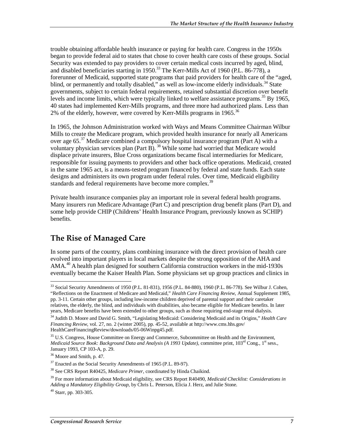trouble obtaining affordable health insurance or paying for health care. Congress in the 1950s began to provide federal aid to states that chose to cover health care costs of these groups. Social Security was extended to pay providers to cover certain medical costs incurred by aged, blind, and disabled beneficiaries starting in 1950.<sup>33</sup> The Kerr-Mills Act of 1960 (P.L. 86-778), a forerunner of Medicaid, supported state programs that paid providers for health care of the "aged, blind, or permanently and totally disabled," as well as low-income elderly individuals.<sup>34</sup> State governments, subject to certain federal requirements, retained substantial discretion over benefit levels and income limits, which were typically linked to welfare assistance programs.<sup>35</sup> By 1965, 40 states had implemented Kerr-Mills programs, and three more had authorized plans. Less than 2% of the elderly, however, were covered by Kerr-Mills programs in 1965.<sup>36</sup>

In 1965, the Johnson Administration worked with Ways and Means Committee Chairman Wilbur Mills to create the Medicare program, which provided health insurance for nearly all Americans over age 65.<sup>37</sup> Medicare combined a compulsory hospital insurance program (Part A) with a voluntary physician services plan (Part B).<sup>38</sup> While some had worried that Medicare would displace private insurers, Blue Cross organizations became fiscal intermediaries for Medicare, responsible for issuing payments to providers and other back office operations. Medicaid, created in the same 1965 act, is a means-tested program financed by federal and state funds. Each state designs and administers its own program under federal rules. Over time, Medicaid eligibility standards and federal requirements have become more complex.<sup>39</sup>

Private health insurance companies play an important role in several federal health programs. Many insurers run Medicare Advantage (Part C) and prescription drug benefit plans (Part D), and some help provide CHIP (Childrens' Health Insurance Program, previously known as SCHIP) benefits.

# **The Rise of Managed Care**

In some parts of the country, plans combining insurance with the direct provision of health care evolved into important players in local markets despite the strong opposition of the AHA and  $AMA<sup>40</sup>$  A health plan designed for southern California construction workers in the mid-1930s eventually became the Kaiser Health Plan. Some physicians set up group practices and clinics in

<sup>&</sup>lt;u>.</u> <sup>33</sup> Social Security Amendments of 1950 (P.L. 81-831), 1956 (P.L. 84-880), 1960 (P.L. 86-778). See Wilbur J. Cohen, "Reflections on the Enactment of Medicare and Medicaid," *Health Care Financing Review*, Annual Supplement 1985, pp. 3-11. Certain other groups, including low-income children deprived of parental support and their caretaker relatives, the elderly, the blind, and individuals with disabilities, also became eligible for Medicare benefits. In later years, Medicare benefits have been extended to other groups, such as those requiring end-stage renal dialysis.

<sup>34</sup> Judith D. Moore and David G. Smith, "Legislating Medicaid: Considering Medicaid and its Origins," *Health Care Financing Review*, vol. 27, no. 2 (winter 2005), pp. 45-52, available at http://www.cms.hhs.gov/ HealthCareFinancingReview/downloads/05-06Winpg45.pdf.

<sup>&</sup>lt;sup>35</sup> U.S. Congress, House Committee on Energy and Commerce, Subcommittee on Health and the Environment, *Medicaid Source Book: Background Data and Analysis (A 1993 Update)*, committee print, 103<sup>rd</sup> Cong., 1<sup>st</sup> sess., January 1993, CP 103-A, p. 29.

<sup>&</sup>lt;sup>36</sup> Moore and Smith, p. 47.

<sup>&</sup>lt;sup>37</sup> Enacted as the Social Security Amendments of 1965 (P.L. 89-97).

<sup>38</sup> See CRS Report R40425, *Medicare Primer*, coordinated by Hinda Chaikind.

<sup>39</sup> For more information about Medicaid eligibility, see CRS Report R40490, *Medicaid Checklist: Considerations in Adding a Mandatory Eligibility Group*, by Chris L. Peterson, Elicia J. Herz, and Julie Stone.

<sup>40</sup> Starr, pp. 303-305.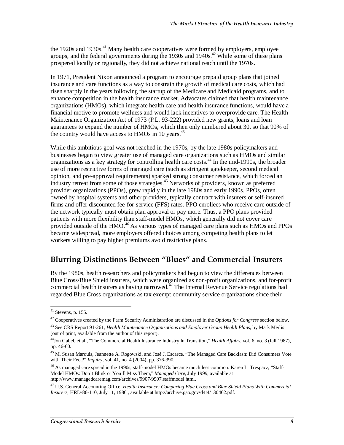the 1920s and 1930s.<sup>41</sup> Many health care cooperatives were formed by employers, employee groups, and the federal governments during the 1930s and  $1940s<sup>42</sup>$  While some of these plans prospered locally or regionally, they did not achieve national reach until the 1970s.

In 1971, President Nixon announced a program to encourage prepaid group plans that joined insurance and care functions as a way to constrain the growth of medical care costs, which had risen sharply in the years following the startup of the Medicare and Medicaid programs, and to enhance competition in the health insurance market. Advocates claimed that health maintenance organizations (HMOs), which integrate health care and health insurance functions, would have a financial motive to promote wellness and would lack incentives to overprovide care. The Health Maintenance Organization Act of 1973 (P.L. 93-222) provided new grants, loans and loan guarantees to expand the number of HMOs, which then only numbered about 30, so that 90% of the country would have access to HMOs in 10 years.<sup>43</sup>

While this ambitious goal was not reached in the 1970s, by the late 1980s policymakers and businesses began to view greater use of managed care organizations such as HMOs and similar organizations as a key strategy for controlling health care costs.44 In the mid-1990s, the broader use of more restrictive forms of managed care (such as stringent gatekeeper, second medical opinion, and pre-approval requirements) sparked strong consumer resistance, which forced an industry retreat from some of those strategies.<sup>45</sup> Networks of providers, known as preferred provider organizations (PPOs), grew rapidly in the late 1980s and early 1990s. PPOs, often owned by hospital systems and other providers, typically contract with insurers or self-insured firms and offer discounted fee-for-service (FFS) rates. PPO enrollees who receive care outside of the network typically must obtain plan approval or pay more. Thus, a PPO plans provided patients with more flexibility than staff-model HMOs, which generally did not cover care provided outside of the HMO.<sup>46</sup> As various types of managed care plans such as HMOs and PPOs became widespread, more employers offered choices among competing health plans to let workers willing to pay higher premiums avoid restrictive plans.

## **Blurring Distinctions Between "Blues" and Commercial Insurers**

By the 1980s, health researchers and policymakers had begun to view the differences between Blue Cross/Blue Shield insurers, which were organized as non-profit organizations, and for-profit commercial health insurers as having narrowed. $47$  The Internal Revenue Service regulations had regarded Blue Cross organizations as tax exempt community service organizations since their

<sup>-</sup> $41$  Stevens, p. 155.

<sup>42</sup> Cooperatives created by the Farm Security Administration are discussed in the *Options for Congress* section below.

<sup>43</sup> See CRS Report 91-261, *Health Maintenance Organizations and Employer Group Health Plans*, by Mark Merlis (out of print, available from the author of this report).

<sup>44</sup>Jon Gabel, et al., "The Commercial Health Insurance Industry In Transition," *Health Affairs*, vol. 6, no. 3 (fall 1987), pp. 46-60.

<sup>&</sup>lt;sup>45</sup> M. Susan Marquis, Jeannette A. Rogowski, and José J. Escarce, "The Managed Care Backlash: Did Consumers Vote with Their Feet?" *Inquiry*, vol. 41, no. 4 (2004), pp. 376-390.

<sup>&</sup>lt;sup>46</sup> As managed care spread in the 1990s, staff-model HMOs became much less common. Karen L. Trespacz, "Staff-Model HMOs: Don't Blink or You'll Miss Them," *Managed Care*, July 1999, available at http://www.managedcaremag.com/archives/9907/9907.staffmodel.html.

<sup>47</sup> U.S. General Accounting Office, *Health Insurance: Comparing Blue Cross and Blue Shield Plans With Commercial Insurers*, HRD-86-110, July 11, 1986 , available at http://archive.gao.gov/d4t4/130462.pdf.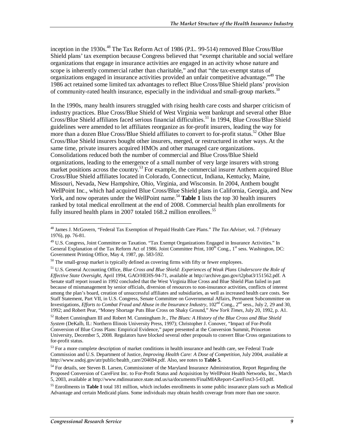inception in the 1930s. $^{48}$  The Tax Reform Act of 1986 (P.L. 99-514) removed Blue Cross/Blue Shield plans' tax exemption because Congress believed that "exempt charitable and social welfare organizations that engage in insurance activities are engaged in an activity whose nature and scope is inherently commercial rather than charitable," and that "the tax-exempt status of organizations engaged in insurance activities provided an unfair competitive advantage."49 The 1986 act retained some limited tax advantages to reflect Blue Cross/Blue Shield plans' provision of community-rated health insurance, especially in the individual and small-group markets.<sup>50</sup>

In the 1990s, many health insurers struggled with rising health care costs and sharper criticism of industry practices. Blue Cross/Blue Shield of West Virginia went bankrupt and several other Blue Cross/Blue Shield affiliates faced serious financial difficulties.<sup>51</sup> In 1994, Blue Cross/Blue Shield guidelines were amended to let affiliates reorganize as for-profit insurers, leading the way for more than a dozen Blue Cross/Blue Shield affiliates to convert to for-profit status.<sup>52</sup> Other Blue Cross/Blue Shield insurers bought other insurers, merged, or restructured in other ways. At the same time, private insurers acquired HMOs and other managed care organizations. Consolidations reduced both the number of commercial and Blue Cross/Blue Shield organizations, leading to the emergence of a small number of very large insurers with strong market positions across the country.<sup>53</sup> For example, the commercial insurer Anthem acquired Blue Cross/Blue Shield affiliates located in Colorado, Connecticut, Indiana, Kentucky, Maine, Missouri, Nevada, New Hampshire, Ohio, Virginia, and Wisconsin. In 2004, Anthem bought WellPoint Inc., which had acquired Blue Cross/Blue Shield plans in California, Georgia, and New York, and now operates under the WellPoint name.<sup>54</sup> Table 1 lists the top 30 health insurers ranked by total medical enrollment at the end of 2008. Commercial health plan enrollments for fully insured health plans in 2007 totaled 168.2 million enrollees.<sup>55</sup>

<sup>-</sup>48 James J. McGovern, "Federal Tax Exemption of Prepaid Health Care Plans." *The Tax Adviser*, vol. 7 (February 1976), pp. 76-81.

<sup>&</sup>lt;sup>49</sup> U.S. Congress, Joint Committee on Taxation. "Tax Exempt Organizations Engaged in Insurance Activities." In General Explanation of the Tax Reform Act of 1986. Joint Committee Print,  $100^{th}$  Cong.,  $1^{st}$  sess. Washington, DC: Government Printing Office, May 4, 1987, pp. 583-592.

 $50$  The small-group market is typically defined as covering firms with fifty or fewer employees.

<sup>51</sup> U.S. General Accounting Office, *Blue Cross and Blue Shield: Experiences of Weak Plans Underscore the Role of Effective State Oversight*, April 1994, GAO/HEHS-94-71, available at http://archive.gao.gov/t2pbat3/151562.pdf. A Senate staff report issued in 1992 concluded that the West Virginia Blue Cross and Blue Shield Plan failed in part because of mismanagement by senior officials, diversion of resources to non-insurance activities, conflicts of interest among the plan's board, creation of unsuccessful affiliates and subsidiaries, as well as increased health care costs. See Staff Statement, Part VII, in U.S. Congress, Senate Committee on Governmental Affairs, Permanent Subcommittee on Investigations, *Efforts to Combat Fraud and Abuse in the Insurance Industry*, 102<sup>nd</sup> Cong., 2<sup>nd</sup> sess., July 2, 29 and 30, 1992; and Robert Pear, "Money Shortage Puts Blue Cross on Shaky Ground," *New York Times*, July 20, 1992, p. A1.

<sup>52</sup> Robert Cunningham III and Robert M. Cunningham Jr., *The Blues: A History of the Blue Cross and Blue Shield System* (DeKalb, IL: Northern Illinois University Press, 1997); Christopher J. Conover, "Impact of For-Profit Conversion of Blue Cross Plans: Empirical Evidence," paper presented at the Conversion Summit, Princeton University, December 5, 2008. Regulators have blocked several other proposals to convert Blue Cross organizations to for-profit status.

<sup>&</sup>lt;sup>53</sup> For a more complete description of market conditions in health insurance and health care, see Federal Trade Commission and U.S. Department of Justice, *Improving Health Care: A Dose of Competition*, July 2004, available at http://www.usdoj.gov/atr/public/health\_care/204694.pdf. Also, see notes to **Table 5**.

<sup>&</sup>lt;sup>54</sup> For details, see Steven B. Larsen, Commissioner of the Maryland Insurance Administration, Report Regarding the Proposed Conversion of CareFirst Inc. to For-Profit Status and Acquisition by WellPoint Health Networks, Inc., March 5, 2003, available at http://www.mdinsurance.state.md.us/sa/documents/FinalMIAReport-CareFirst3-5-03.pdf.

<sup>55</sup> Enrollments in **Table 1** total 181 million, which includes enrollments in some public insurance plans such as Medical Advantage and certain Medicaid plans. Some individuals may obtain health coverage from more than one source.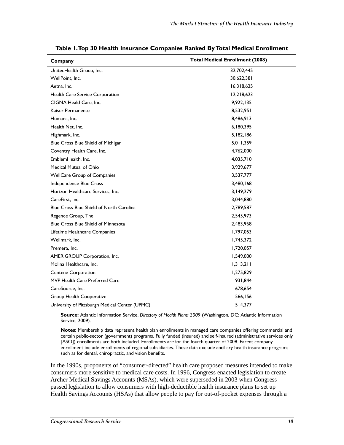| Company                                        | <b>Total Medical Enrollment (2008)</b> |
|------------------------------------------------|----------------------------------------|
| UnitedHealth Group, Inc.                       | 32,702,445                             |
| WellPoint, Inc.                                | 30,622,381                             |
| Aetna, Inc.                                    | 16,318,625                             |
| Health Care Service Corporation                | 12,218,623                             |
| CIGNA HealthCare, Inc.                         | 9,922,135                              |
| Kaiser Permanente                              | 8,532,951                              |
| Humana, Inc.                                   | 8,486,913                              |
| Health Net, Inc.                               | 6,180,395                              |
| Highmark, Inc.                                 | 5, 182, 186                            |
| Blue Cross Blue Shield of Michigan             | 5,011,359                              |
| Coventry Health Care, Inc.                     | 4,762,000                              |
| EmblemHealth, Inc.                             | 4,035,710                              |
| Medical Mutual of Ohio                         | 3,929,677                              |
| <b>WellCare Group of Companies</b>             | 3,537,777                              |
| Independence Blue Cross                        | 3,480,168                              |
| Horizon Healthcare Services, Inc.              | 3,149,279                              |
| CareFirst. Inc.                                | 3,044,880                              |
| Blue Cross Blue Shield of North Carolina       | 2,789,587                              |
| Regence Group, The                             | 2,545,973                              |
| <b>Blue Cross Blue Shield of Minnesota</b>     | 2,483,968                              |
| Lifetime Healthcare Companies                  | 1,797,053                              |
| Wellmark, Inc.                                 | 1,745,372                              |
| Premera, Inc.                                  | 1,720,057                              |
| AMERIGROUP Corporation, Inc.                   | 1,549,000                              |
| Molina Healthcare, Inc.                        | 1,313,211                              |
| Centene Corporation                            | 1,275,829                              |
| MVP Health Care Preferred Care                 | 931,844                                |
| CareSource, Inc.                               | 678,654                                |
| Group Health Cooperative                       | 566,156                                |
| University of Pittsburgh Medical Center (UPMC) | 514,377                                |

**Table 1. Top 30 Health Insurance Companies Ranked By Total Medical Enrollment** 

**Source:** Atlantic Information Service, *Directory of Health Plans: 2009* (Washington, DC: Atlantic Information Service, 2009).

**Notes:** Membership data represent health plan enrollments in managed care companies offering commercial and certain public-sector (government) programs. Fully funded (insured) and self-insured (administrative services only [ASO]) enrollments are both included. Enrollments are for the fourth quarter of 2008. Parent company enrollment include enrollments of regional subsidiaries. These data exclude ancillary health insurance programs such as for dental, chiropractic, and vision benefits.

In the 1990s, proponents of "consumer-directed" health care proposed measures intended to make consumers more sensitive to medical care costs. In 1996, Congress enacted legislation to create Archer Medical Savings Accounts (MSAs), which were superseded in 2003 when Congress passed legislation to allow consumers with high-deductible health insurance plans to set up Health Savings Accounts (HSAs) that allow people to pay for out-of-pocket expenses through a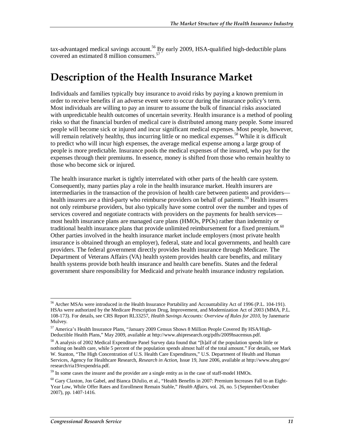tax-advantaged medical savings account.<sup>56</sup> By early 2009, HSA-qualified high-deductible plans covered an estimated 8 million consumers.<sup>57</sup>

# **Description of the Health Insurance Market**

Individuals and families typically buy insurance to avoid risks by paying a known premium in order to receive benefits if an adverse event were to occur during the insurance policy's term. Most individuals are willing to pay an insurer to assume the bulk of financial risks associated with unpredictable health outcomes of uncertain severity. Health insurance is a method of pooling risks so that the financial burden of medical care is distributed among many people. Some insured people will become sick or injured and incur significant medical expenses. Most people, however, will remain relatively healthy, thus incurring little or no medical expenses.<sup>58</sup> While it is difficult to predict who will incur high expenses, the average medical expense among a large group of people is more predictable. Insurance pools the medical expenses of the insured, who pay for the expenses through their premiums. In essence, money is shifted from those who remain healthy to those who become sick or injured.

The health insurance market is tightly interrelated with other parts of the health care system. Consequently, many parties play a role in the health insurance market. Health insurers are intermediaries in the transaction of the provision of health care between patients and providers health insurers are a third-party who reimburse providers on behalf of patients.<sup>59</sup> Health insurers not only reimburse providers, but also typically have some control over the number and types of services covered and negotiate contracts with providers on the payments for health services most health insurance plans are managed care plans (HMOs, PPOs) rather than indemnity or traditional health insurance plans that provide unlimited reimbursement for a fixed premium.<sup>60</sup> Other parties involved in the health insurance market include employers (most private health insurance is obtained through an employer), federal, state and local governments, and health care providers. The federal government directly provides health insurance through Medicare. The Department of Veterans Affairs (VA) health system provides health care benefits, and military health systems provide both health insurance and health care benefits. States and the federal government share responsibility for Medicaid and private health insurance industry regulation.

<sup>-</sup><sup>56</sup> Archer MSAs were introduced in the Health Insurance Portability and Accountability Act of 1996 (P.L. 104-191). HSAs were authorized by the Medicare Prescription Drug, Improvement, and Modernization Act of 2003 (MMA, P.L. 108-173). For details, see CRS Report RL33257, *Health Savings Accounts: Overview of Rules for 2010*, by Janemarie Mulvey.

<sup>57</sup> America's Health Insurance Plans, "January 2009 Census Shows 8 Million People Covered By HSA/High-Deductible Health Plans," May 2009, available at http://www.ahipresearch.org/pdfs/2009hsacensus.pdf.

<sup>&</sup>lt;sup>58</sup> A analysis of 2002 Medical Expenditure Panel Survey data found that "[h]alf of the population spends little or nothing on health care, while 5 percent of the population spends almost half of the total amount." For details, see Mark W. Stanton, "The High Concentration of U.S. Health Care Expenditures," U.S. Department of Health and Human Services, Agency for Healthcare Research, *Research in Action*, Issue 19, June 2006, available at http://www.ahrq.gov/ research/ria19/expendria.pdf.

<sup>&</sup>lt;sup>59</sup> In some cases the insurer and the provider are a single entity as in the case of staff-model HMOs.

 $60$  Gary Claxton, Jon Gabel, and Bianca DiJulio, et al., "Health Benefits in 2007: Premium Increases Fall to an Eight-Year Low, While Offer Rates and Enrollment Remain Stable," *Health Affairs*, vol. 26, no. 5 (September/October 2007), pp. 1407-1416.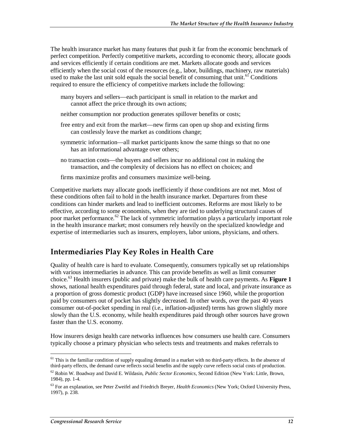The health insurance market has many features that push it far from the economic benchmark of perfect competition. Perfectly competitive markets, according to economic theory, allocate goods and services efficiently if certain conditions are met. Markets allocate goods and services efficiently when the social cost of the resources (e.g., labor, buildings, machinery, raw materials) used to make the last unit sold equals the social benefit of consuming that unit.<sup>61</sup> Conditions required to ensure the efficiency of competitive markets include the following:

- many buyers and sellers—each participant is small in relation to the market and cannot affect the price through its own actions;
- neither consumption nor production generates spillover benefits or costs;
- free entry and exit from the market—new firms can open up shop and existing firms can costlessly leave the market as conditions change;
- symmetric information—all market participants know the same things so that no one has an informational advantage over others;
- no transaction costs—the buyers and sellers incur no additional cost in making the transaction, and the complexity of decisions has no effect on choices; and
- firms maximize profits and consumers maximize well-being.

Competitive markets may allocate goods inefficiently if those conditions are not met. Most of these conditions often fail to hold in the health insurance market. Departures from these conditions can hinder markets and lead to inefficient outcomes. Reforms are most likely to be effective, according to some economists, when they are tied to underlying structural causes of poor market performance.<sup>62</sup> The lack of symmetric information plays a particularly important role in the health insurance market; most consumers rely heavily on the specialized knowledge and expertise of intermediaries such as insurers, employers, labor unions, physicians, and others.

## **Intermediaries Play Key Roles in Health Care**

Quality of health care is hard to evaluate. Consequently, consumers typically set up relationships with various intermediaries in advance. This can provide benefits as well as limit consumer choice.63 Health insurers (public and private) make the bulk of health care payments. As **Figure 1** shows, national health expenditures paid through federal, state and local, and private insurance as a proportion of gross domestic product (GDP) have increased since 1960, while the proportion paid by consumers out of pocket has slightly decreased. In other words, over the past 40 years consumer out-of-pocket spending in real (i.e., inflation-adjusted) terms has grown slightly more slowly than the U.S. economy, while health expenditures paid through other sources have grown faster than the U.S. economy.

How insurers design health care networks influences how consumers use health care. Consumers typically choose a primary physician who selects tests and treatments and makes referrals to

<sup>-</sup><sup>61</sup> This is the familiar condition of supply equaling demand in a market with no third-party effects. In the absence of third-party effects, the demand curve reflects social benefits and the supply curve reflects social costs of production.

<sup>62</sup> Robin W. Boadway and David E. Wildasin, *Public Sector Economics*, Second Edition (New York: Little, Brown, 1984), pp. 1-4.

<sup>63</sup> For an explanation, see Peter Zweifel and Friedrich Breyer, *Health Economics* (New York; Oxford University Press, 1997), p. 238.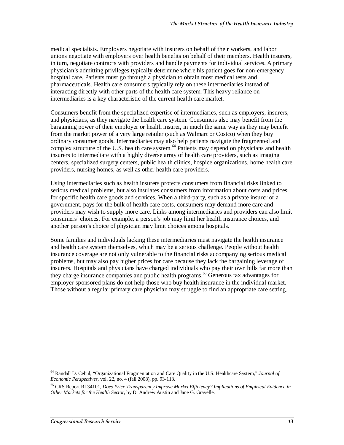medical specialists. Employers negotiate with insurers on behalf of their workers, and labor unions negotiate with employers over health benefits on behalf of their members. Health insurers, in turn, negotiate contracts with providers and handle payments for individual services. A primary physician's admitting privileges typically determine where his patient goes for non-emergency hospital care. Patients must go through a physician to obtain most medical tests and pharmaceuticals. Health care consumers typically rely on these intermediaries instead of interacting directly with other parts of the health care system. This heavy reliance on intermediaries is a key characteristic of the current health care market.

Consumers benefit from the specialized expertise of intermediaries, such as employers, insurers, and physicians, as they navigate the health care system. Consumers also may benefit from the bargaining power of their employer or health insurer, in much the same way as they may benefit from the market power of a very large retailer (such as Walmart or Costco) when they buy ordinary consumer goods. Intermediaries may also help patients navigate the fragmented and complex structure of the U.S. health care system.<sup>64</sup> Patients may depend on physicians and health insurers to intermediate with a highly diverse array of health care providers, such as imaging centers, specialized surgery centers, public health clinics, hospice organizations, home health care providers, nursing homes, as well as other health care providers.

Using intermediaries such as health insurers protects consumers from financial risks linked to serious medical problems, but also insulates consumers from information about costs and prices for specific health care goods and services. When a third-party, such as a private insurer or a government, pays for the bulk of health care costs, consumers may demand more care and providers may wish to supply more care. Links among intermediaries and providers can also limit consumers' choices. For example, a person's job may limit her health insurance choices, and another person's choice of physician may limit choices among hospitals.

Some families and individuals lacking these intermediaries must navigate the health insurance and health care system themselves, which may be a serious challenge. People without health insurance coverage are not only vulnerable to the financial risks accompanying serious medical problems, but may also pay higher prices for care because they lack the bargaining leverage of insurers. Hospitals and physicians have charged individuals who pay their own bills far more than they charge insurance companies and public health programs.<sup>65</sup> Generous tax advantages for employer-sponsored plans do not help those who buy health insurance in the individual market. Those without a regular primary care physician may struggle to find an appropriate care setting.

<sup>-</sup>64 Randall D. Cebul, "Organizational Fragmentation and Care Quality in the U.S. Healthcare System," *Journal of Economic Perspectives*, vol. 22, no. 4 (fall 2008), pp. 93-113.

<sup>65</sup> CRS Report RL34101, *Does Price Transparency Improve Market Efficiency? Implications of Empirical Evidence in Other Markets for the Health Sector*, by D. Andrew Austin and Jane G. Gravelle.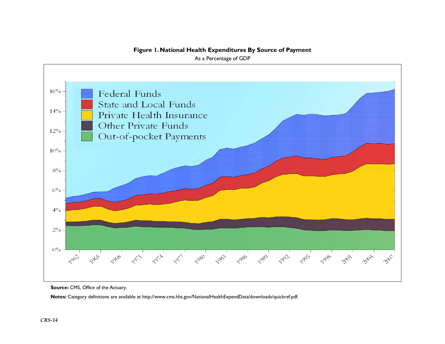#### **Figure 1. National Health Expenditures By Source of Payment**

As a Percentage of GDP



**Source: CMS, Office of the Actuary.** 

**Notes:** Category definitions are available at http://www.cms.hhs.gov/NationalHealthExpendData/downloads/quickref.pdf.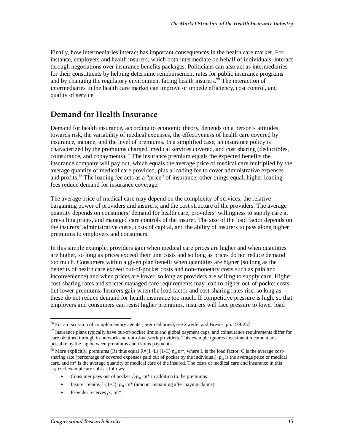Finally, how intermediaries interact has important consequences in the health care market. For instance, employers and health insurers, which both intermediate on behalf of individuals, interact through negotiations over insurance benefits packages. Politicians can also act as intermediaries for their constituents by helping determine reimbursement rates for public insurance programs and by changing the regulatory environment facing health insurers. $\frac{6}{6}$  The interaction of intermediaries in the health care market can improve or impede efficiency, cost control, and quality of service.

# **Demand for Health Insurance**

Demand for health insurance, according to economic theory, depends on a person's attitudes towards risk, the variability of medical expenses, the effectiveness of health care covered by insurance, income, and the level of premiums. In a simplified case, an insurance policy is characterized by the premiums charged, medical services covered, and cost sharing (deductibles, coinsurance, and copayments).<sup>67</sup> The insurance premium equals the expected benefits the insurance company will pay out, which equals the average price of medical care multiplied by the average quantity of medical care provided, plus a loading fee to cover administrative expenses and profits.<sup>68</sup> The loading fee acts as a "price" of insurance: other things equal, higher loading fees reduce demand for insurance coverage.

The average price of medical care may depend on the complexity of services, the relative bargaining power of providers and insurers, and the cost structure of the providers. The average quantity depends on consumers' demand for health care, providers' willingness to supply care at prevailing prices, and managed care controls of the insurer. The size of the load factor depends on the insurers' administrative costs, costs of capital, and the ability of insurers to pass along higher premiums to employers and consumers.

In this simple example, providers gain when medical care prices are higher and when quantities are higher, so long as prices exceed their unit costs and so long as prices do not reduce demand too much. Consumers within a given plan benefit when quantities are higher (so long as the benefits of health care exceed out-of-pocket costs and non-monetary costs such as pain and inconvenience) and when prices are lower, so long as providers are willing to supply care. Higher cost-sharing rates and stricter managed care requirements may lead to higher out-of-pocket costs, but lower premiums. Insurers gain when the load factor and cost-sharing rates rise, so long as these do not reduce demand for health insurance too much. If competitive pressure is high, so that employers and consumers can resist higher premiums, insurers will face pressure to lower load

- Consumer pays out of pocket  $Cp_m \cdot m^*$  in addition to the premiums
- Insurer retains  $L(1-C)$ ·  $p_m$ ·m<sup>\*</sup> (amount remaining after paying claims)
- Provider receives  $p_m$  ·m<sup>\*</sup>.

<sup>&</sup>lt;u>.</u> <sup>66</sup> For a discussion of complementary agents (intermediaries), see Zweifel and Breyer, pp. 239-257.

 $67$  Insurance plans typically have out-of-pocket limits and global payment caps, and coinsurance requirements differ for care obtained through in-network and out-of-network providers. This example ignores investment income made possible by the lag between premiums and claims payments.

<sup>&</sup>lt;sup>68</sup> More explicitly, premiums (R) thus equal  $R=(1+L) \cdot (1-C) \cdot p_m \cdot m^*$ , where L is the load factor, C is the average costsharing rate (percentage of covered expenses paid out of pocket by the individual),  $p_m$  is the average price of medical care, and m\* is the average quantity of medical care of the insured. The costs of medical care and insurance in this stylized example are split as follows: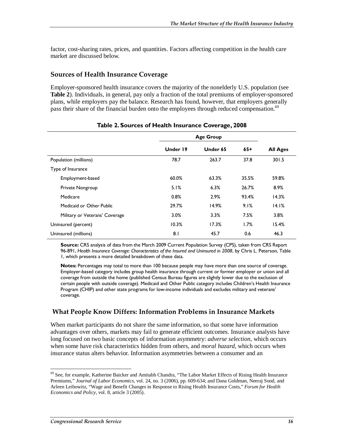factor, cost-sharing rates, prices, and quantities. Factors affecting competition in the health care market are discussed below.

#### **Sources of Health Insurance Coverage**

Employer-sponsored health insurance covers the majority of the nonelderly U.S. population (see **Table 2**). Individuals, in general, pay only a fraction of the total premiums of employer-sponsored plans, while employers pay the balance. Research has found, however, that employers generally pass their share of the financial burden onto the employees through reduced compensation.<sup>69</sup>

|                                |          | <b>Age Group</b> |       |                 |
|--------------------------------|----------|------------------|-------|-----------------|
|                                | Under 19 | Under 65         | 65+   | <b>All Ages</b> |
| Population (millions)          | 78.7     | 263.7            | 37.8  | 301.5           |
| Type of Insurance              |          |                  |       |                 |
| Employment-based               | 60.0%    | 63.3%            | 35.5% | 59.8%           |
| Private Nongroup               | 5.1%     | 6.3%             | 26.7% | 8.9%            |
| Medicare                       | 0.8%     | 2.9%             | 93.4% | 14.3%           |
| Medicaid or Other Public       | 29.7%    | 14.9%            | 9.1%  | 14.I%           |
| Military or Veterans' Coverage | $3.0\%$  | $3.3\%$          | 7.5%  | 3.8%            |
| Uninsured (percent)            | 10.3%    | 17.3%            | 1.7%  | 15.4%           |
| Uninsured (millions)           | 8.1      | 45.7             | 0.6   | 46.3            |

#### **Table 2. Sources of Health Insurance Coverage, 2008**

**Source:** CRS analysis of data from the March 2009 Current Population Survey (CPS), taken from CRS Report 96-891, *Health Insurance Coverage: Characteristics of the Insured and Uninsured in 2008*, by Chris L. Peterson, Table 1, which presents a more detailed breakdown of these data.

**Notes:** Percentages may total to more than 100 because people may have more than one source of coverage. Employer-based category includes group health insurance through current or former employer or union and all coverage from outside the home (published Census Bureau figures are slightly lower due to the exclusion of certain people with outside coverage). Medicaid and Other Public category includes Children's Health Insurance Program (CHIP) and other state programs for low-income individuals and excludes military and veterans' coverage.

## **What People Know Differs: Information Problems in Insurance Markets**

When market participants do not share the same information, so that some have information advantages over others, markets may fail to generate efficient outcomes. Insurance analysts have long focused on two basic concepts of information asymmetry: *adverse selection*, which occurs when some have risk characteristics hidden from others, and *moral hazard*, which occurs when insurance status alters behavior. Information asymmetries between a consumer and an

<sup>-</sup><sup>69</sup> See, for example, Katherine Baicker and Amitabh Chandra, "The Labor Market Effects of Rising Health Insurance Premiums," *Journal of Labor Economics*, vol. 24, no. 3 (2006), pp. 609-634; and Dana Goldman, Neeraj Sood, and Arleen Leibowitz, "Wage and Benefit Changes in Response to Rising Health Insurance Costs," *Forum for Health Economics and Policy*, vol. 8, article 3 (2005).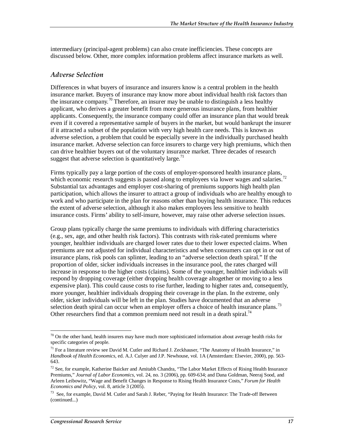intermediary (principal-agent problems) can also create inefficiencies. These concepts are discussed below. Other, more complex information problems affect insurance markets as well.

#### *Adverse Selection*

Differences in what buyers of insurance and insurers know is a central problem in the health insurance market. Buyers of insurance may know more about individual health risk factors than the insurance company.<sup>70</sup> Therefore, an insurer may be unable to distinguish a less healthy applicant, who derives a greater benefit from more generous insurance plans, from healthier applicants. Consequently, the insurance company could offer an insurance plan that would break even if it covered a representative sample of buyers in the market, but would bankrupt the insurer if it attracted a subset of the population with very high health care needs. This is known as adverse selection, a problem that could be especially severe in the individually purchased health insurance market. Adverse selection can force insurers to charge very high premiums, which then can drive healthier buyers out of the voluntary insurance market. Three decades of research suggest that adverse selection is quantitatively large.<sup>71</sup>

Firms typically pay a large portion of the costs of employer-sponsored health insurance plans, which economic research suggests is passed along to employees via lower wages and salaries.<sup>72</sup> Substantial tax advantages and employer cost-sharing of premiums supports high health plan participation, which allows the insurer to attract a group of individuals who are healthy enough to work and who participate in the plan for reasons other than buying health insurance. This reduces the extent of adverse selection, although it also makes employees less sensitive to health insurance costs. Firms' ability to self-insure, however, may raise other adverse selection issues.

Group plans typically charge the same premiums to individuals with differing characteristics (e.g., sex, age, and other health risk factors). This contrasts with risk-rated premiums where younger, healthier individuals are charged lower rates due to their lower expected claims. When premiums are not adjusted for individual characteristics and when consumers can opt in or out of insurance plans, risk pools can splinter, leading to an "adverse selection death spiral." If the proportion of older, sicker individuals increases in the insurance pool, the rates charged will increase in response to the higher costs (claims). Some of the younger, healthier individuals will respond by dropping coverage (either dropping health coverage altogether or moving to a less expensive plan). This could cause costs to rise further, leading to higher rates and, consequently, more younger, healthier individuals dropping their coverage in the plan. In the extreme, only older, sicker individuals will be left in the plan. Studies have documented that an adverse selection death spiral can occur when an employer offers a choice of health insurance plans.<sup>73</sup> Other researchers find that a common premium need not result in a death spiral.<sup>74</sup>

<u>.</u>

 $70$  On the other hand, health insurers may have much more sophisticated information about average health risks for specific categories of people.

 $71$  For a literature review see David M. Cutler and Richard J. Zeckhauser, "The Anatomy of Health Insurance," in *Handbook of Health Economics*, ed. A.J. Culyer and J.P. Newhouse, vol. 1A (Amsterdam: Elsevier, 2000), pp. 563- 643.

<sup>&</sup>lt;sup>72</sup> See, for example, Katherine Baicker and Amitabh Chandra, "The Labor Market Effects of Rising Health Insurance Premiums," *Journal of Labor Economics*, vol. 24, no. 3 (2006), pp. 609-634; and Dana Goldman, Neeraj Sood, and Arleen Leibowitz, "Wage and Benefit Changes in Response to Rising Health Insurance Costs," *Forum for Health Economics and Policy*, vol. 8, article 3 (2005).

<sup>73</sup> See, for example, David M. Cutler and Sarah J. Reber, "Paying for Health Insurance: The Trade-off Between (continued...)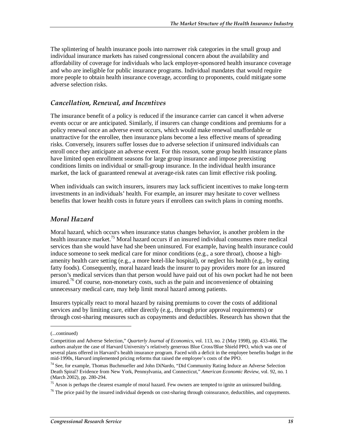The splintering of health insurance pools into narrower risk categories in the small group and individual insurance markets has raised congressional concern about the availability and affordability of coverage for individuals who lack employer-sponsored health insurance coverage and who are ineligible for public insurance programs. Individual mandates that would require more people to obtain health insurance coverage, according to proponents, could mitigate some adverse selection risks.

#### *Cancellation, Renewal, and Incentives*

The insurance benefit of a policy is reduced if the insurance carrier can cancel it when adverse events occur or are anticipated. Similarly, if insurers can change conditions and premiums for a policy renewal once an adverse event occurs, which would make renewal unaffordable or unattractive for the enrollee, then insurance plans become a less effective means of spreading risks. Conversely, insurers suffer losses due to adverse selection if uninsured individuals can enroll once they anticipate an adverse event. For this reason, some group health insurance plans have limited open enrollment seasons for large group insurance and impose preexisting conditions limits on individual or small-group insurance. In the individual health insurance market, the lack of guaranteed renewal at average-risk rates can limit effective risk pooling.

When individuals can switch insurers, insurers may lack sufficient incentives to make long-term investments in an individuals' health. For example, an insurer may hesitate to cover wellness benefits that lower health costs in future years if enrollees can switch plans in coming months.

### *Moral Hazard*

Moral hazard, which occurs when insurance status changes behavior, is another problem in the health insurance market.<sup>75</sup> Moral hazard occurs if an insured individual consumes more medical services than she would have had she been uninsured. For example, having health insurance could induce someone to seek medical care for minor conditions (e.g., a sore throat), choose a highamenity health care setting (e.g., a more hotel-like hospital), or neglect his health (e.g., by eating fatty foods). Consequently, moral hazard leads the insurer to pay providers more for an insured person's medical services than that person would have paid out of his own pocket had he not been insured.<sup>76</sup> Of course, non-monetary costs, such as the pain and inconvenience of obtaining unnecessary medical care, may help limit moral hazard among patients.

Insurers typically react to moral hazard by raising premiums to cover the costs of additional services and by limiting care, either directly (e.g., through prior approval requirements) or through cost-sharing measures such as copayments and deductibles. Research has shown that the

1

<sup>(...</sup>continued)

Competition and Adverse Selection," *Quarterly Journal of Economics*, vol. 113, no. 2 (May 1998), pp. 433-466. The authors analyze the case of Harvard University's relatively generous Blue Cross/Blue Shield PPO, which was one of several plans offered in Harvard's health insurance program. Faced with a deficit in the employee benefits budget in the mid-1990s, Harvard implemented pricing reforms that raised the employee's costs of the PPO.

<sup>&</sup>lt;sup>74</sup> See, for example, Thomas Buchmueller and John DiNardo, "Did Community Rating Induce an Adverse Selection" Death Spiral? Evidence from New York, Pennsylvania, and Connecticut," *American Economic Review*, vol. 92, no. 1 (March 2002), pp. 280-294.

<sup>&</sup>lt;sup>75</sup> Arson is perhaps the clearest example of moral hazard. Few owners are tempted to ignite an uninsured building.

 $^{76}$  The price paid by the insured individual depends on cost-sharing through coinsurance, deductibles, and copayments.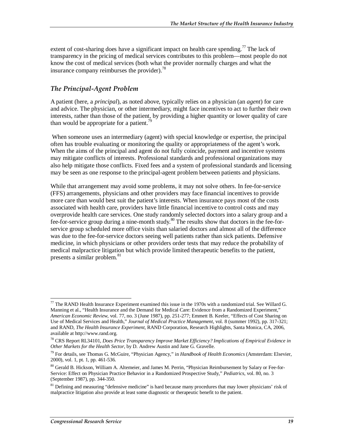extent of cost-sharing does have a significant impact on health care spending.<sup>77</sup> The lack of transparency in the pricing of medical services contributes to this problem—most people do not know the cost of medical services (both what the provider normally charges and what the insurance company reimburses the provider).<sup>78</sup>

### *The Principal-Agent Problem*

A patient (here, a *principal*), as noted above, typically relies on a physician (an *agent*) for care and advice. The physician, or other intermediary, might face incentives to act to further their own interests, rather than those of the patient, by providing a higher quantity or lower quality of care than would be appropriate for a patient.<sup>79</sup>

 When someone uses an intermediary (agent) with special knowledge or expertise, the principal often has trouble evaluating or monitoring the quality or appropriateness of the agent's work. When the aims of the principal and agent do not fully coincide, payment and incentive systems may mitigate conflicts of interests. Professional standards and professional organizations may also help mitigate those conflicts. Fixed fees and a system of professional standards and licensing may be seen as one response to the principal-agent problem between patients and physicians.

While that arrangement may avoid some problems, it may not solve others. In fee-for-service (FFS) arrangements, physicians and other providers may face financial incentives to provide more care than would best suit the patient's interests. When insurance pays most of the costs associated with health care, providers have little financial incentive to control costs and may overprovide health care services. One study randomly selected doctors into a salary group and a fee-for-service group during a nine-month study.<sup>80</sup> The results show that doctors in the fee-forservice group scheduled more office visits than salaried doctors and almost all of the difference was due to the fee-for-service doctors seeing well patients rather than sick patients. Defensive medicine, in which physicians or other providers order tests that may reduce the probability of medical malpractice litigation but which provide limited therapeutic benefits to the patient, presents a similar problem.<sup>81</sup>

<sup>-</sup> $^{77}$  The RAND Health Insurance Experiment examined this issue in the 1970s with a randomized trial. See Willard G. Manning et al., "Health Insurance and the Demand for Medical Care: Evidence from a Randomized Experiment," *American Economic Review*, vol. 77, no. 3 (June 1987), pp. 251-277; Emmett B. Keeler, "Effects of Cost Sharing on Use of Medical Services and Health," *Journal of Medical Practice Management*, vol. 8 (summer 1992), pp. 317-321; and RAND, *The Health Insurance Experiment*, RAND Corporation, Research Highlights, Santa Monica, CA, 2006, available at http://www.rand.org.

<sup>78</sup> CRS Report RL34101, *Does Price Transparency Improve Market Efficiency? Implications of Empirical Evidence in Other Markets for the Health Sector*, by D. Andrew Austin and Jane G. Gravelle.

<sup>79</sup> For details, see Thomas G. McGuire, "Physician Agency," in *Handbook of Health Economics* (Amsterdam: Elsevier, 2000), vol. 1, pt. 1, pp. 461-536.

<sup>80</sup> Gerald B. Hickson, William A. Altemeier, and James M. Perrin, "Physician Reimbursement by Salary or Fee-for-Service: Effect on Physician Practice Behavior in a Randomized Prospective Study," *Pediatrics*, vol. 80, no. 3 (September 1987), pp. 344-350.

<sup>&</sup>lt;sup>81</sup> Defining and measuring "defensive medicine" is hard because many procedures that may lower physicians' risk of malpractice litigation also provide at least some diagnostic or therapeutic benefit to the patient.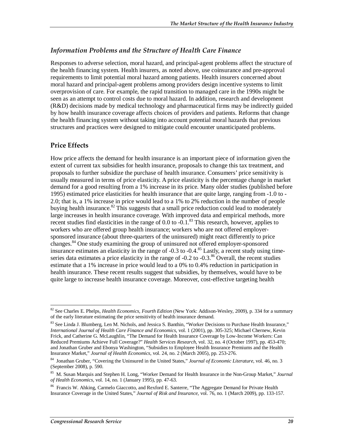## *Information Problems and the Structure of Health Care Finance*

Responses to adverse selection, moral hazard, and principal-agent problems affect the structure of the health financing system. Health insurers, as noted above, use coinsurance and pre-approval requirements to limit potential moral hazard among patients. Health insurers concerned about moral hazard and principal-agent problems among providers design incentive systems to limit overprovision of care. For example, the rapid transition to managed care in the 1990s might be seen as an attempt to control costs due to moral hazard. In addition, research and development (R&D) decisions made by medical technology and pharmaceutical firms may be indirectly guided by how health insurance coverage affects choices of providers and patients. Reforms that change the health financing system without taking into account potential moral hazards that previous structures and practices were designed to mitigate could encounter unanticipated problems.

## **Price Effects**

How price affects the demand for health insurance is an important piece of information given the extent of current tax subsidies for health insurance, proposals to change this tax treatment, and proposals to further subsidize the purchase of health insurance. Consumers' price sensitivity is usually measured in terms of price elasticity. A price elasticity is the percentage change in market demand for a good resulting from a 1% increase in its price. Many older studies (published before 1995) estimated price elasticities for health insurance that are quite large, ranging from -1.0 to - 2.0; that is, a 1% increase in price would lead to a 1% to 2% reduction in the number of people buying health insurance.<sup>82</sup> This suggests that a small price reduction could lead to moderately large increases in health insurance coverage. With improved data and empirical methods, more recent studies find elasticities in the range of 0.0 to  $-0.1$ .<sup>83</sup> This research, however, applies to workers who are offered group health insurance; workers who are not offered employersponsored insurance (about three-quarters of the uninsured) might react differently to price changes.84 One study examining the group of uninsured not offered employer-sponsored insurance estimates an elasticity in the range of -0.3 to -0.4.85 Lastly, a recent study using timeseries data estimates a price elasticity in the range of  $-0.2$  to  $-0.3$ .<sup>86</sup> Overall, the recent studies estimate that a 1% increase in price would lead to a 0% to 0.4% reduction in participation in health insurance. These recent results suggest that subsidies, by themselves, would have to be quite large to increase health insurance coverage. Moreover, cost-effective targeting health

<sup>&</sup>lt;u>.</u> 82 See Charles E. Phelps, *Health Economics, Fourth Edition* (New York: Addison-Wesley, 2009), p. 334 for a summary of the early literature estimating the price sensitivity of health insurance demand.

 $83$  See Linda J. Blumberg, Len M. Nichols, and Jessica S. Banthin, "Worker Decisions to Purchase Health Insurance," *International Journal of Health Care Finance and Economics*, vol. 1 (2001), pp. 305-325; Michael Chernew, Kevin Frick, and Catherine G. McLaughlin, "The Demand for Health Insurance Coverage by Low-Income Workers: Can Reduced Premiums Achieve Full Coverage?" *Health Services Research*, vol. 32, no. 4 (October 1997), pp. 453-470; and Jonathan Gruber and Ebonya Washington, "Subsidies to Employee Health Insurance Premiums and the Health Insurance Market," *Journal of Health Economics*, vol. 24, no. 2 (March 2005), pp. 253-276.

<sup>84</sup> Jonathan Gruber, "Covering the Uninsured in the United States," *Journal of Economic Literature*, vol. 46, no. 3 (September 2008), p. 590.

<sup>85</sup> M. Susan Marquis and Stephen H. Long, "Worker Demand for Health Insurance in the Non-Group Market," *Journal of Health Economics*, vol. 14, no. 1 (January 1995), pp. 47-63.

<sup>&</sup>lt;sup>86</sup> Francis W. Ahking, Carmelo Giaccotto, and Rexford E. Santerre, "The Aggregate Demand for Private Health Insurance Coverage in the United States," *Journal of Risk and Insurance*, vol. 76, no. 1 (March 2009), pp. 133-157.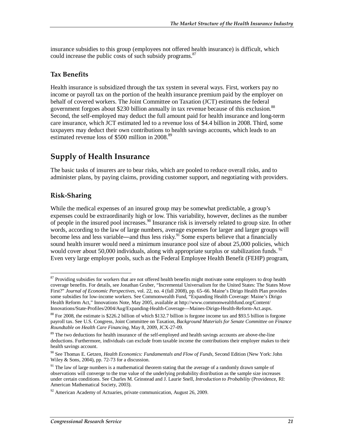insurance subsidies to this group (employees not offered health insurance) is difficult, which could increase the public costs of such subsidy programs.<sup>87</sup>

### **Tax Benefits**

Health insurance is subsidized through the tax system in several ways. First, workers pay no income or payroll tax on the portion of the health insurance premium paid by the employer on behalf of covered workers. The Joint Committee on Taxation (JCT) estimates the federal government forgoes about \$230 billion annually in tax revenue because of this exclusion.<sup>88</sup> Second, the self-employed may deduct the full amount paid for health insurance and long-term care insurance, which JCT estimated led to a revenue loss of \$4.4 billion in 2008. Third, some taxpayers may deduct their own contributions to health savings accounts, which leads to an estimated revenue loss of \$500 million in 2008.<sup>89</sup>

# **Supply of Health Insurance**

The basic tasks of insurers are to bear risks, which are pooled to reduce overall risks, and to administer plans, by paying claims, providing customer support, and negotiating with providers.

## **Risk-Sharing**

While the medical expenses of an insured group may be somewhat predictable, a group's expenses could be extraordinarily high or low. This variability, however, declines as the number of people in the insured pool increases.90 Insurance risk is inversely related to group size. In other words, according to the law of large numbers, average expenses for larger and larger groups will become less and less variable—and thus less risky.<sup>91</sup> Some experts believe that a financially sound health insurer would need a minimum insurance pool size of about 25,000 policies, which would cover about 50,000 individuals, along with appropriate surplus or stabilization funds.<sup>92</sup> Even very large employer pools, such as the Federal Employee Health Benefit (FEHP) program,

<sup>&</sup>lt;u>.</u> <sup>87</sup> Providing subsidies for workers that are not offered health benefits might motivate some employers to drop health coverage benefits. For details, see Jonathan Gruber, "Incremental Universalism for the United States: The States Move First?" *Journal of Economic Perspectives*, vol. 22, no. 4 (fall 2008), pp. 65–66. Maine's Dirigo Health Plan provides some subsidies for low-income workers. See Commonwealth Fund, "Expanding Health Coverage: Maine's Dirigo Health Reform Act," Innovations Note, May 2005, available at http://www.commonwealthfund.org/Content/ Innovations/State-Profiles/2004/Aug/Expanding-Health-Coverage—Maines-Dirigo-Health-Reform-Act.aspx.

<sup>&</sup>lt;sup>88</sup> For 2008, the estimate is \$226.2 billion of which \$132.7 billion is forgone income tax and \$93.5 billion is forgone payroll tax. See U.S. Congress, Joint Committee on Taxation, *Background Materials for Senate Committee on Finance Roundtable on Health Care Financing*, May 8, 2009, JCX-27-09.

<sup>&</sup>lt;sup>89</sup> The two deductions for health insurance of the self-employed and health savings accounts are above-the-line deductions. Furthermore, individuals can exclude from taxable income the contributions their employer makes to their health savings account.

<sup>90</sup> See Thomas E. Getzen, *Health Economics: Fundamentals and Flow of Funds*, Second Edition (New York: John Wiley & Sons, 2004), pp. 72-73 for a discussion.

<sup>&</sup>lt;sup>91</sup> The law of large numbers is a mathematical theorem stating that the average of a randomly drawn sample of observations will converge to the true value of the underlying probability distribution as the sample size increases under certain conditions. See Charles M. Grinstead and J. Laurie Snell, *Introduction to Probability* (Providence, RI: American Mathematical Society, 2003).

 $92$  American Academy of Actuaries, private communication, August 26, 2009.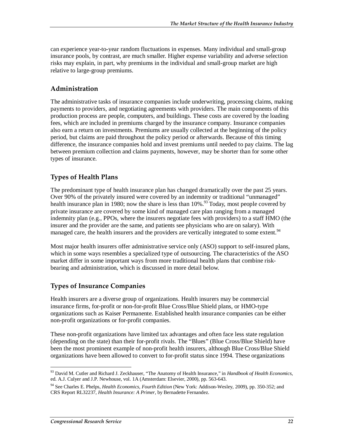can experience year-to-year random fluctuations in expenses. Many individual and small-group insurance pools, by contrast, are much smaller. Higher expense variability and adverse selection risks may explain, in part, why premiums in the individual and small-group market are high relative to large-group premiums.

## **Administration**

The administrative tasks of insurance companies include underwriting, processing claims, making payments to providers, and negotiating agreements with providers. The main components of this production process are people, computers, and buildings. These costs are covered by the loading fees, which are included in premiums charged by the insurance company. Insurance companies also earn a return on investments. Premiums are usually collected at the beginning of the policy period, but claims are paid throughout the policy period or afterwards. Because of this timing difference, the insurance companies hold and invest premiums until needed to pay claims. The lag between premium collection and claims payments, however, may be shorter than for some other types of insurance.

## **Types of Health Plans**

The predominant type of health insurance plan has changed dramatically over the past 25 years. Over 90% of the privately insured were covered by an indemnity or traditional "unmanaged" health insurance plan in 1980; now the share is less than  $10\%$ .<sup>93</sup> Today, most people covered by private insurance are covered by some kind of managed care plan ranging from a managed indemnity plan (e.g., PPOs, where the insurers negotiate fees with providers) to a staff HMO (the insurer and the provider are the same, and patients see physicians who are on salary). With managed care, the health insurers and the providers are vertically integrated to some extent.<sup>94</sup>

Most major health insurers offer administrative service only (ASO) support to self-insured plans, which in some ways resembles a specialized type of outsourcing. The characteristics of the ASO market differ in some important ways from more traditional health plans that combine riskbearing and administration, which is discussed in more detail below.

## **Types of Insurance Companies**

Health insurers are a diverse group of organizations. Health insurers may be commercial insurance firms, for-profit or non-for-profit Blue Cross/Blue Shield plans, or HMO-type organizations such as Kaiser Permanente. Established health insurance companies can be either non-profit organizations or for-profit companies.

These non-profit organizations have limited tax advantages and often face less state regulation (depending on the state) than their for-profit rivals. The "Blues" (Blue Cross/Blue Shield) have been the most prominent example of non-profit health insurers, although Blue Cross/Blue Shield organizations have been allowed to convert to for-profit status since 1994. These organizations

<sup>-</sup>93 David M. Cutler and Richard J. Zeckhauser, "The Anatomy of Health Insurance," in *Handbook of Health Economics*, ed. A.J. Culyer and J.P. Newhouse, vol. 1A (Amsterdam: Elsevier, 2000), pp. 563-643.

<sup>94</sup> See Charles E. Phelps, *Health Economics, Fourth Edition* (New York: Addison-Wesley, 2009), pp. 350-352; and CRS Report RL32237, *Health Insurance: A Primer*, by Bernadette Fernandez.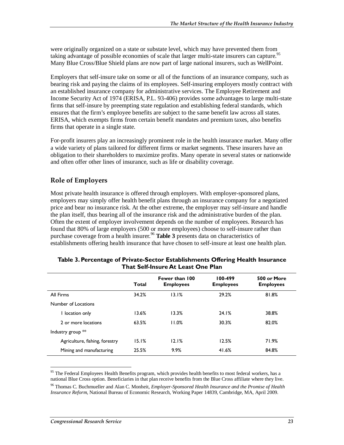were originally organized on a state or substate level, which may have prevented them from taking advantage of possible economies of scale that larger multi-state insurers can capture.<sup>95</sup> Many Blue Cross/Blue Shield plans are now part of large national insurers, such as WellPoint.

Employers that self-insure take on some or all of the functions of an insurance company, such as bearing risk and paying the claims of its employees. Self-insuring employers mostly contract with an established insurance company for administrative services. The Employee Retirement and Income Security Act of 1974 (ERISA, P.L. 93-406) provides some advantages to large multi-state firms that self-insure by preempting state regulation and establishing federal standards, which ensures that the firm's employee benefits are subject to the same benefit law across all states. ERISA, which exempts firms from certain benefit mandates and premium taxes, also benefits firms that operate in a single state.

For-profit insurers play an increasingly prominent role in the health insurance market. Many offer a wide variety of plans tailored for different firms or market segments. These insurers have an obligation to their shareholders to maximize profits. Many operate in several states or nationwide and often offer other lines of insurance, such as life or disability coverage.

#### **Role of Employers**

Most private health insurance is offered through employers. With employer-sponsored plans, employers may simply offer health benefit plans through an insurance company for a negotiated price and bear no insurance risk. At the other extreme, the employer may self-insure and handle the plan itself, thus bearing all of the insurance risk and the administrative burden of the plan. Often the extent of employer involvement depends on the number of employees. Research has found that 80% of large employers (500 or more employees) choose to self-insure rather than purchase coverage from a health insurer.<sup>96</sup> Table 3 presents data on characteristics of establishments offering health insurance that have chosen to self-insure at least one health plan.

|                                | Total | Fewer than 100<br><b>Employees</b> | 100-499<br><b>Employees</b> | 500 or More<br><b>Employees</b> |
|--------------------------------|-------|------------------------------------|-----------------------------|---------------------------------|
| All Firms                      | 34.2% | 13.1%                              | 29.2%                       | 81.8%                           |
| Number of Locations            |       |                                    |                             |                                 |
| I location only                | 13.6% | 13.3%                              | 24.1%                       | 38.8%                           |
| 2 or more locations            | 63.5% | 11.0%                              | 30.3%                       | 82.0%                           |
| Industry group **              |       |                                    |                             |                                 |
| Agriculture, fishing, forestry | 15.1% | 12.1%                              | 12.5%                       | 71.9%                           |
| Mining and manufacturing       | 25.5% | 9.9%                               | 41.6%                       | 84.8%                           |

| Table 3. Percentage of Private-Sector Establishments Offering Health Insurance |
|--------------------------------------------------------------------------------|
| <b>That Self-Insure At Least One Plan</b>                                      |

<sup>-</sup><sup>95</sup> The Federal Employees Health Benefits program, which provides health benefits to most federal workers, has a national Blue Cross option. Beneficiaries in that plan receive benefits from the Blue Cross affiliate where they live.

<sup>96</sup> Thomas C. Buchmueller and Alan C. Monheit, *Employer-Sponsored Health Insurance and the Promise of Health Insurance Reform*, National Bureau of Economic Research, Working Paper 14839, Cambridge, MA, April 2009.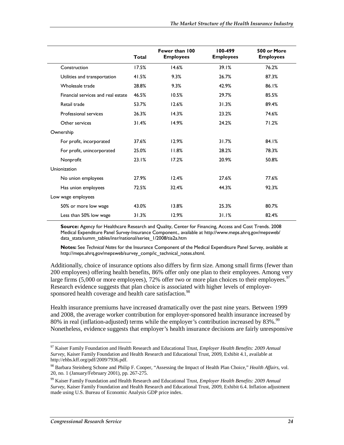|                                    | <b>Total</b> | Fewer than 100<br><b>Employees</b> | 100-499<br><b>Employees</b> | 500 or More<br><b>Employees</b> |
|------------------------------------|--------------|------------------------------------|-----------------------------|---------------------------------|
| Construction                       | 17.5%        | 14.6%                              | 39.1%                       | 76.2%                           |
| Utilities and transportation       | 41.5%        | 9.3%                               | 26.7%                       | 87.3%                           |
| Wholesale trade                    | 28.8%        | 9.3%                               | 42.9%                       | 86.1%                           |
| Financial services and real estate | 46.5%        | 10.5%                              | 29.7%                       | 85.5%                           |
| Retail trade                       | 53.7%        | 12.6%                              | 31.3%                       | 89.4%                           |
| Professional services              | 26.3%        | 14.3%                              | 23.2%                       | 74.6%                           |
| Other services                     | 31.4%        | 14.9%                              | 24.2%                       | 71.2%                           |
| Ownership                          |              |                                    |                             |                                 |
| For profit, incorporated           | 37.6%        | 12.9%                              | 31.7%                       | 84.1%                           |
| For profit, unincorporated         | 25.0%        | 11.8%                              | 28.2%                       | 78.3%                           |
| Nonprofit                          | 23.1%        | 17.2%                              | 20.9%                       | 50.8%                           |
| Unionization                       |              |                                    |                             |                                 |
| No union employees                 | 27.9%        | 12.4%                              | 27.6%                       | 77.6%                           |
| Has union employees                | 72.5%        | 32.4%                              | 44.3%                       | 92.3%                           |
| Low wage employees                 |              |                                    |                             |                                 |
| 50% or more low wage               | 43.0%        | 13.8%                              | 25.3%                       | 80.7%                           |
| Less than 50% low wage             | 31.3%        | 12.9%                              | 31.1%                       | 82.4%                           |

**Source:** Agency for Healthcare Research and Quality, Center for Financing, Access and Cost Trends. 2008 Medical Expenditure Panel Survey-Insurance Component., available at http://www.meps.ahrq.gov/mepsweb/ data\_stats/summ\_tables/insr/national/series\_1/2008/tia2a.htm

**Notes:** See *Technical Notes* for the Insurance Component of the Medical Expenditure Panel Survey, available at http://meps.ahrq.gov/mepsweb/survey\_comp/ic\_technical\_notes.shtml.

Additionally, choice of insurance options also differs by firm size. Among small firms (fewer than 200 employees) offering health benefits, 86% offer only one plan to their employees. Among very large firms  $(5,000)$  or more employees), 72% offer two or more plan choices to their employees.<sup>97</sup> Research evidence suggests that plan choice is associated with higher levels of employersponsored health coverage and health care satisfaction.<sup>98</sup>

Health insurance premiums have increased dramatically over the past nine years. Between 1999 and 2008, the average worker contribution for employer-sponsored health insurance increased by 80% in real (inflation-adjusted) terms while the employer's contribution increased by 83%.<sup>99</sup> Nonetheless, evidence suggests that employer's health insurance decisions are fairly unresponsive

<sup>&</sup>lt;u>.</u> 97 Kaiser Family Foundation and Health Research and Educational Trust, *Employer Health Benefits: 2009 Annual Survey*, Kaiser Family Foundation and Health Research and Educational Trust, 2009, Exhibit 4.1, available at http://ehbs.kff.org/pdf/2009/7936.pdf.

<sup>98</sup> Barbara Steinberg Schone and Philip F. Cooper, "Assessing the Impact of Health Plan Choice," *Health Affairs*, vol. 20, no. 1 (January/February 2001), pp. 267-275.

<sup>99</sup> Kaiser Family Foundation and Health Research and Educational Trust, *Employer Health Benefits: 2009 Annual Survey*, Kaiser Family Foundation and Health Research and Educational Trust, 2009, Exhibit 6.4. Inflation adjustment made using U.S. Bureau of Economic Analysis GDP price index.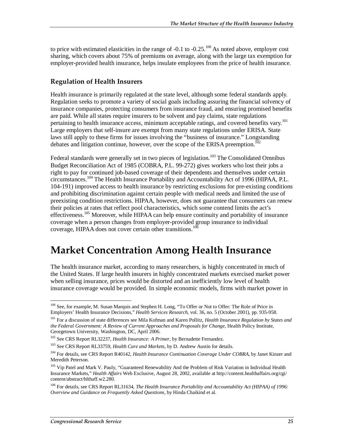to price with estimated elasticities in the range of -0.1 to -0.25.<sup>100</sup> As noted above, employer cost sharing, which covers about 75% of premiums on average, along with the large tax exemption for employer-provided health insurance, helps insulate employees from the price of health insurance.

## **Regulation of Health Insurers**

Health insurance is primarily regulated at the state level, although some federal standards apply. Regulation seeks to promote a variety of social goals including assuring the financial solvency of insurance companies, protecting consumers from insurance fraud, and ensuring promised benefits are paid. While all states require insurers to be solvent and pay claims, state regulations pertaining to health insurance access, minimum acceptable ratings, and covered benefits vary.<sup>101</sup> Large employers that self-insure are exempt from many state regulations under ERISA. State laws still apply to these firms for issues involving the "business of insurance." Longstanding debates and litigation continue, however, over the scope of the ERISA preemption.<sup>102</sup>

Federal standards were generally set in two pieces of legislation.<sup>103</sup> The Consolidated Omnibus Budget Reconciliation Act of 1985 (COBRA, P.L. 99-272) gives workers who lost their jobs a right to pay for continued job-based coverage of their dependents and themselves under certain circumstances.104 The Health Insurance Portability and Accountability Act of 1996 (HIPAA, P.L. 104-191) improved access to health insurance by restricting exclusions for pre-existing conditions and prohibiting discrimination against certain people with medical needs and limited the use of preexisting condition restrictions. HIPAA, however, does not guarantee that consumers can renew their policies at rates that reflect pool characteristics, which some contend limits the act's effectiveness.<sup>105</sup> Moreover, while HIPAA can help ensure continuity and portability of insurance coverage when a person changes from employer-provided group insurance to individual coverage, HIPAA does not cover certain other transitions.<sup>106</sup>

# **Market Concentration Among Health Insurance**

The health insurance market, according to many researchers, is highly concentrated in much of the United States. If large health insurers in highly concentrated markets exercised market power when selling insurance, prices would be distorted and an inefficiently low level of health insurance coverage would be provided. In simple economic models, firms with market power in

<sup>&</sup>lt;u>.</u> <sup>100</sup> See, for example, M. Susan Marquis and Stephen H. Long, "To Offer or Not to Offer: The Role of Price in Employers' Health Insurance Decisions," *Health Services Research*, vol. 36, no. 5 (October 2001), pp. 935-958.

<sup>101</sup> For a discussion of state differences see Mila Kofman and Karen Pollitz, *Health Insurance Regulation by States and the Federal Government: A Review of Current Approaches and Proposals for Change*, Health Policy Institute, Georgetown University, Washington, DC, April 2006.

<sup>&</sup>lt;sup>102</sup> See CRS Report RL32237, *Health Insurance: A Primer*, by Bernadette Fernandez.

<sup>103</sup> See CRS Report RL33759, *Health Care and Markets*, by D. Andrew Austin for details.

<sup>104</sup> For details, see CRS Report R40142, *Health Insurance Continuation Coverage Under COBRA*, by Janet Kinzer and Meredith Peterson.

<sup>&</sup>lt;sup>105</sup> Vip Patel and Mark V. Pauly, "Guaranteed Renewability And the Problem of Risk Variation in Individual Health Insurance Markets," *Health Affairs* Web Exclusive, August 28, 2002, available at http://content.healthaffairs.org/cgi/ content/abstract/hlthaff.w2.280.

<sup>106</sup> For details, see CRS Report RL31634, *The Health Insurance Portability and Accountability Act (HIPAA) of 1996: Overview and Guidance on Frequently Asked Questions*, by Hinda Chaikind et al.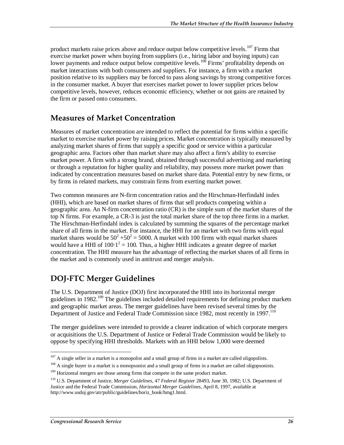product markets raise prices above and reduce output below competitive levels.<sup>107</sup> Firms that exercise market power when buying from suppliers (i.e., hiring labor and buying inputs) can lower payments and reduce output below competitive levels.<sup>108</sup> Firms' profitability depends on market interactions with both consumers and suppliers. For instance, a firm with a market position relative to its suppliers may be forced to pass along savings by strong competitive forces in the consumer market. A buyer that exercises market power to lower supplier prices below competitive levels, however, reduces economic efficiency, whether or not gains are retained by the firm or passed onto consumers.

# **Measures of Market Concentration**

Measures of market concentration are intended to reflect the potential for firms within a specific market to exercise market power by raising prices. Market concentration is typically measured by analyzing market shares of firms that supply a specific good or service within a particular geographic area. Factors other than market share may also affect a firm's ability to exercise market power. A firm with a strong brand, obtained through successful advertising and marketing or through a reputation for higher quality and reliability, may possess more market power than indicated by concentration measures based on market share data. Potential entry by new firms, or by firms in related markets, may constrain firms from exerting market power.

Two common measures are N-firm concentration ratios and the Hirschman-Herfindahl index (HHI), which are based on market shares of firms that sell products competing within a geographic area. An N-firm concentration ratio (CR) is the simple sum of the market shares of the top N firms. For example, a CR-3 is just the total market share of the top three firms in a market. The Hirschman-Herfindahl index is calculated by summing the squares of the percentage market share of all firms in the market. For instance, the HHI for an market with two firms with equal market shares would be  $50^2 + 50^2 = 5000$ . A market with 100 firms with equal market shares would have a HHI of  $100 \cdot 1^2 = 100$ . Thus, a higher HHI indicates a greater degree of market concentration. The HHI measure has the advantage of reflecting the market shares of all firms in the market and is commonly used in antitrust and merger analysis.

# **DOJ-FTC Merger Guidelines**

The U.S. Department of Justice (DOJ) first incorporated the HHI into its horizontal merger guidelines in 1982.<sup>109</sup> The guidelines included detailed requirements for defining product markets and geographic market areas. The merger guidelines have been revised several times by the Department of Justice and Federal Trade Commission since 1982, most recently in 1997.<sup>110</sup>

The merger guidelines were intended to provide a clearer indication of which corporate mergers or acquisitions the U.S. Department of Justice or Federal Trade Commission would be likely to oppose by specifying HHI thresholds. Markets with an HHI below 1,000 were deemed

<sup>-</sup> $107$  A single seller in a market is a monopolist and a small group of firms in a market are called oligopolists.

<sup>&</sup>lt;sup>108</sup> A single buyer in a market is a monopsonist and a small group of firms in a market are called oligopsonists.

<sup>&</sup>lt;sup>109</sup> Horizontal mergers are those among firms that compete in the same product market.

<sup>110</sup> U.S. Department of Justice, *Merger Guidelines*, 47 *Federal Register* 28493, June 30, 1982; U.S. Department of Justice and the Federal Trade Commission, *Horizontal Merger Guidelines*, April 8, 1997, available at http://www.usdoj.gov/atr/public/guidelines/horiz\_book/hmg1.html.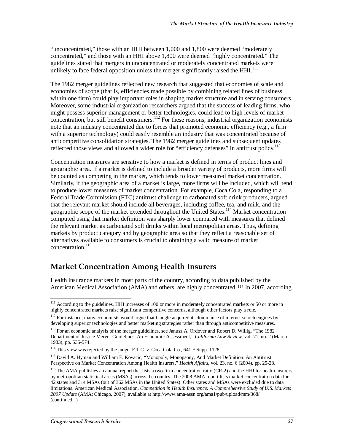"unconcentrated," those with an HHI between 1,000 and 1,800 were deemed "moderately concentrated," and those with an HHI above 1,800 were deemed "highly concentrated." The guidelines stated that mergers in unconcentrated or moderately concentrated markets were unlikely to face federal opposition unless the merger significantly raised the  $HHI<sup>111</sup>$ 

The 1982 merger guidelines reflected new research that suggested that economies of scale and economies of scope (that is, efficiencies made possible by combining related lines of business within one firm) could play important roles in shaping market structure and in serving consumers. Moreover, some industrial organization researchers argued that the success of leading firms, who might possess superior management or better technologies, could lead to high levels of market concentration, but still benefit consumers.<sup>112</sup> For these reasons, industrial organization economists note that an industry concentrated due to forces that promoted economic efficiency (e.g., a firm with a superior technology) could easily resemble an industry that was concentrated because of anticompetitive consolidation strategies. The 1982 merger guidelines and subsequent updates reflected those views and allowed a wider role for "efficiency defenses" in antitrust policy.<sup>113</sup>

Concentration measures are sensitive to how a market is defined in terms of product lines and geographic area. If a market is defined to include a broader variety of products, more firms will be counted as competing in the market, which tends to lower measured market concentration. Similarly, if the geographic area of a market is large, more firms will be included, which will tend to produce lower measures of market concentration. For example, Coca Cola, responding to a Federal Trade Commission (FTC) antitrust challenge to carbonated soft drink producers, argued that the relevant market should include all beverages, including coffee, tea, and milk, and the geographic scope of the market extended throughout the United States.<sup>114</sup> Market concentration computed using that market definition was sharply lower compared with measures that defined the relevant market as carbonated soft drinks within local metropolitan areas. Thus, defining markets by product category and by geographic area so that they reflect a reasonable set of alternatives available to consumers is crucial to obtaining a valid measure of market concentration.<sup>115</sup>

# **Market Concentration Among Health Insurers**

Health insurance markets in most parts of the country, according to data published by the American Medical Association (AMA) and others, are highly concentrated. <sup>116</sup> In 2007, according

<sup>-</sup><sup>111</sup> According to the guidelines, HHI increases of 100 or more in moderately concentrated markets or 50 or more in highly concentrated markets raise significant competitive concerns, although other factors play a role.

<sup>&</sup>lt;sup>112</sup> For instance, many economists would argue that Google acquired its dominance of internet search engines by developing superior technologies and better marketing strategies rather than through anticompetitive measures.

<sup>113</sup> For an economic analysis of the merger guidelines, see Janusz A. Ordover and Robert D. Willig, "The 1982 Department of Justice Merger Guidelines: An Economic Assessment," *California Law Review*, vol. 71, no. 2 (March 1983), pp. 535-574.

<sup>114</sup> This view was rejected by the judge. F.T.C. v. Coca Cola Co., 641 F Supp. 1128.

<sup>115</sup> David A. Hyman and William E. Kovacic, "Monopoly, Monopsony, And Market Definition: An Antitrust Perspective on Market Concentration Among Health Insurers," *Health Affairs*, vol. 23, no. 6 (2004), pp. 25-28.

 $116$  The AMA publishes an annual report that lists a two-firm concentration ratio (CR-2) and the HHI for health insurers by metropolitan statistical areas (MSAs) across the country. The 2008 AMA report lists market concentration data for 42 states and 314 MSAs (out of 362 MSAs in the United States). Other states and MSAs were excluded due to data limitations. American Medical Association, *Competition in Health Insurance: A Comprehensive Study of U.S. Markets 2007 Update* (AMA: Chicago, 2007), available at http://www.ama-assn.org/ama1/pub/upload/mm/368/ (continued...)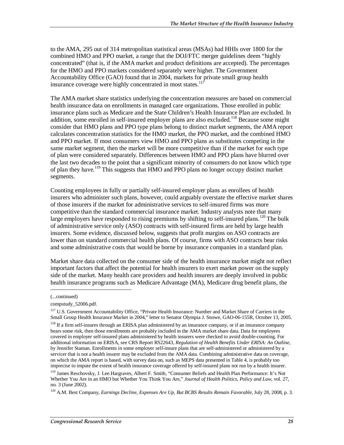to the AMA, 295 out of 314 metropolitan statistical areas (MSAs) had HHIs over 1800 for the combined HMO and PPO market, a range that the DOJ/FTC merger guidelines deem "highly concentrated" (that is, if the AMA market and product definitions are accepted). The percentages for the HMO and PPO markets considered separately were higher. The Government Accountability Office (GAO) found that in 2004, markets for private small group health insurance coverage were highly concentrated in most states. $117$ 

The AMA market share statistics underlying the concentration measures are based on commercial health insurance data on enrollments in managed care organizations. Those enrolled in public insurance plans such as Medicare and the State Children's Health Insurance Plan are excluded. In addition, some enrolled in self-insured employer plans are also excluded.<sup>118</sup> Because some might consider that HMO plans and PPO type plans belong to distinct market segments, the AMA report calculates concentration statistics for the HMO market, the PPO market, and the combined HMO and PPO market. If most consumers view HMO and PPO plans as substitutes competing in the same market segment, then the market will be more competitive than if the market for each type of plan were considered separately. Differences between HMO and PPO plans have blurred over the last two decades to the point that a significant minority of consumers do not know which type of plan they have.119 This suggests that HMO and PPO plans no longer occupy distinct market segments.

Counting employees in fully or partially self-insured employer plans as enrollees of health insurers who administer such plans, however, could arguably overstate the effective market shares of those insurers if the market for administrative services to self-insured firms was more competitive than the standard commercial insurance market. Industry analysts note that many large employers have responded to rising premiums by shifting to self-insured plans.<sup>120</sup> The bulk of administrative service only (ASO) contracts with self-insured firms are held by large health insurers. Some evidence, discussed below, suggests that profit margins on ASO contracts are lower than on standard commercial health plans. Of course, firms with ASO contracts bear risks and some administrative costs that would be borne by insurance companies in a standard plan.

Market share data collected on the consumer side of the health insurance market might not reflect important factors that affect the potential for health insurers to exert market power on the supply side of the market. Many health care providers and health insurers are deeply involved in public health insurance programs such as Medicare Advantage (MA), Medicare drug benefit plans, the

<u>.</u>

<sup>(...</sup>continued)

compstudy\_52006.pdf.

<sup>&</sup>lt;sup>117</sup> U.S. Government Accountability Office, "Private Health Insurance: Number and Market Share of Carriers in the Small Group Health Insurance Market in 2004," letter to Senator Olympia J. Snowe, GAO-06-155R, October 13, 2005.

<sup>&</sup>lt;sup>118</sup> If a firm self-insures through an ERISA plan administered by an insurance company, or if an insurance company bears some risk, then those enrollments are probably included in the AMA market share data. Data for employees covered in employer self-insured plans administered by health insurers were checked to avoid double-counting. For additional information on ERISA, see CRS Report RS22643, *Regulation of Health Benefits Under ERISA: An Outline*, by Jennifer Staman. Enrollments in some employer self-insure plans that are self-administered or administered by a servicer that is not a health insurer may be excluded from the AMA data. Combining administrative data on coverage, on which the AMA report is based, with survey data on, such as MEPS data presented in Table 4, is probably too imprecise to impute the extent of health insurance coverage offered by self-insured plans not run by a health insurer.

<sup>&</sup>lt;sup>119</sup> James Reschovsky, J. Lee.Hargraves, Albert F. Smith, "Consumer Beliefs and Health Plan Performance: It's Not Whether You Are in an HMO but Whether You Think You Are," *Journal of Health Politics, Policy and Law*, vol. 27, no. 3 (June 2002).

<sup>120</sup> A.M. Best Company, *Earnings Decline, Expenses Are Up, But BCBS Results Remain Favorable*, July 28, 2008, p. 3.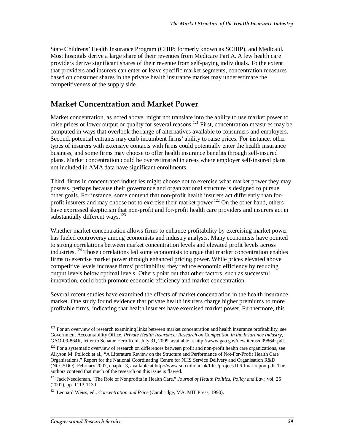State Childrens' Health Insurance Program (CHIP; formerly known as SCHIP), and Medicaid. Most hospitals derive a large share of their revenues from Medicare Part A. A few health care providers derive significant shares of their revenue from self-paying individuals. To the extent that providers and insurers can enter or leave specific market segments, concentration measures based on consumer shares in the private health insurance market may underestimate the competitiveness of the supply side.

# **Market Concentration and Market Power**

Market concentration, as noted above, might not translate into the ability to use market power to raise prices or lower output or quality for several reasons.<sup>121</sup> First, concentration measures may be computed in ways that overlook the range of alternatives available to consumers and employers. Second, potential entrants may curb incumbent firms' ability to raise prices. For instance, other types of insurers with extensive contacts with firms could potentially enter the health insurance business, and some firms may choose to offer health insurance benefits through self-insured plans. Market concentration could be overestimated in areas where employer self-insured plans not included in AMA data have significant enrollments.

Third, firms in concentrated industries might choose not to exercise what market power they may possess, perhaps because their governance and organizational structure is designed to pursue other goals. For instance, some contend that non-profit health insurers act differently than forprofit insurers and may choose not to exercise their market power.<sup>122</sup> On the other hand, others have expressed skepticism that non-profit and for-profit health care providers and insurers act in substantially different ways.<sup>123</sup>

Whether market concentration allows firms to enhance profitability by exercising market power has fueled controversy among economists and industry analysts. Many economists have pointed to strong correlations between market concentration levels and elevated profit levels across industries.<sup>124</sup> Those correlations led some economists to argue that market concentration enables firms to exercise market power through enhanced pricing power. While prices elevated above competitive levels increase firms' profitability, they reduce economic efficiency by reducing output levels below optimal levels. Others point out that other factors, such as successful innovation, could both promote economic efficiency and market concentration.

Several recent studies have examined the effects of market concentration in the health insurance market. One study found evidence that private health insurers charge higher premiums to more profitable firms, indicating that health insurers have exercised market power. Furthermore, this

<sup>-</sup> $121$  For an overview of research examining links between market concentration and health insurance profitability, see Government Accountability Office, *Private Health Insurance: Research on Competition in the Insurance Industry*, GAO-09-864R, letter to Senator Herb Kohl, July 31, 2009, available at http://www.gao.gov/new.items/d09864r.pdf.

<sup>&</sup>lt;sup>122</sup> For a systematic overview of research on differences between profit and non-profit health care organizations, see Allyson M. Pollock et al., "A Literature Review on the Structure and Performance of Not-For-Profit Health Care Organisations," Report for the National Coordinating Centre for NHS Service Delivery and Organisation R&D (NCCSDO), February 2007, chapter 3, available at http://www.sdo.nihr.ac.uk/files/project/106-final-report.pdf. The authors contend that much of the research on this issue is flawed.

<sup>&</sup>lt;sup>123</sup> Jack Needleman, "The Role of Nonprofits in Health Care," *Journal of Health Politics, Policy and Law*, vol. 26 (2001), pp. 1113-1130.

<sup>124</sup> Leonard Weiss, ed., *Concentration and Price* (Cambridge, MA: MIT Press, 1990).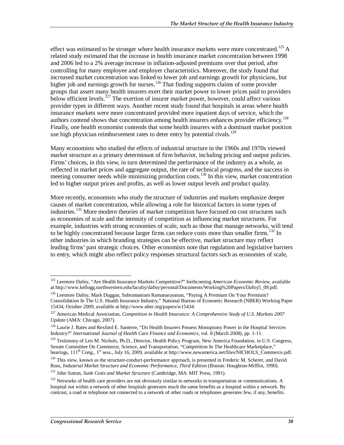effect was estimated to be stronger where health insurance markets were more concentrated.<sup>125</sup> A related study estimated that the increase in health insurance market concentration between 1998 and 2006 led to a 2% average increase in inflation-adjusted premiums over that period, after controlling for many employee and employer characteristics. Moreover, the study found that increased market concentration was linked to lower job and earnings growth for physicians, but higher job and earnings growth for nurses.<sup>126</sup> That finding supports claims of some provider groups that assert many health insurers exert their market power to lower prices paid to providers below efficient levels.<sup>127</sup> The exertion of insurer market power, however, could affect various provider types in different ways. Another recent study found that hospitals in areas where health insurance markets were more concentrated provided more inpatient days of service, which the authors contend shows that concentration among health insurers enhances provider efficiency.<sup>128</sup> Finally, one health economist contends that some health insurers with a dominant market position use high physician reimbursement rates to deter entry by potential rivals.<sup>129</sup>

Many economists who studied the effects of industrial structure in the 1960s and 1970s viewed market structure as a primary determinant of firm behavior, including pricing and output policies. Firms' choices, in this view, in turn determined the performance of the industry as a whole, as reflected in market prices and aggregate output, the rate of technical progress, and the success in meeting consumer needs while minimizing production costs.<sup>130</sup> In this view, market concentration led to higher output prices and profits, as well as lower output levels and product quality.

More recently, economists who study the structure of industries and markets emphasize deeper causes of market concentration, while allowing a role for historical factors in some types of industries.<sup>131</sup> More modern theories of market competition have focused on cost structures such as economies of scale and the intensity of competition as influencing market structures. For example, industries with strong economies of scale, such as those that manage networks, will tend to be highly concentrated because larger firms can reduce costs more than smaller firms.<sup>132</sup> In other industries in which branding strategies can be effective, market structure may reflect leading firms' past strategic choices. Other economists note that regulation and legislative barriers to entry, which might also reflect policy responses structural factors such as economies of scale,

<sup>-</sup>125 Leemore Dafny, "Are Health Insurance Markets Competitive?" forthcoming *American Economic Review*, available at http://www.kellogg.northwestern.edu/faculty/dafny/personal/Documents/Working%20Papers/Dafny5\_09.pdf.

<sup>&</sup>lt;sup>126</sup> Leemore Dafny, Mark Duggan, Subramaniam Ramanarayanan, "Paying A Premium On Your Premium? Consolidation In The U.S. Health Insurance Industry," National Bureau of Economic Research (NBER) Working Paper 15434, October 2009, available at http://www.nber.org/papers/w15434.

<sup>127</sup> American Medical Association, *Competition in Health Insurance: A Comprehensive Study of U.S. Markets 2007 Update* (AMA: Chicago, 2007).

<sup>&</sup>lt;sup>128</sup> Laurie J. Bates and Rexford E. Santerre, "Do Health Insurers Possess Monopsony Power in the Hospital Services Industry?" *International Journal of Health Care Finance and Economics*, vol. 8 (March 2008), pp. 1-11.

<sup>&</sup>lt;sup>129</sup> Testimony of Len M. Nichols, Ph.D., Director, Health Policy Program, New America Foundation, in U.S. Congress, Senate Committee On Commerce, Science, and Transportation, "Competition In The Healthcare Marketplace," hearings, 111<sup>th</sup> Cong., 1<sup>st</sup> sess., July 16, 2009, available at http://www.newamerica.net/files/NICHOLS\_Commerce.pdf.

<sup>&</sup>lt;sup>130</sup> This view, known as the structure-conduct-performance approach, is presented in Frederic M. Scherer, and David Ross, *Industrial Market Structure and Economic Performance, Third Edition* (Boston: Houghton-Mifflin, 1990).

<sup>&</sup>lt;sup>131</sup> John Sutton, *Sunk Costs and Market Structure* (Cambridge, MA: MIT Press, 1991).

<sup>&</sup>lt;sup>132</sup> Networks of health care providers are not obviously similar to networks in transportation or communications. A hospital not within a network of other hospitals generates much the same benefits as a hospital within a network. By contrast, a road or telephone not connected to a network of other roads or telephones generates few, if any, benefits.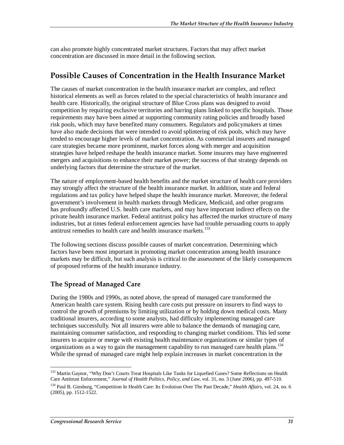can also promote highly concentrated market structures. Factors that may affect market concentration are discussed in more detail in the following section.

## **Possible Causes of Concentration in the Health Insurance Market**

The causes of market concentration in the health insurance market are complex, and reflect historical elements as well as forces related to the special characteristics of health insurance and health care. Historically, the original structure of Blue Cross plans was designed to avoid competition by requiring exclusive territories and barring plans linked to specific hospitals. Those requirements may have been aimed at supporting community rating policies and broadly based risk pools, which may have benefited many consumers. Regulators and policymakers at times have also made decisions that were intended to avoid splintering of risk pools, which may have tended to encourage higher levels of market concentration. As commercial insurers and managed care strategies became more prominent, market forces along with merger and acquisition strategies have helped reshape the health insurance market. Some insurers may have engineered mergers and acquisitions to enhance their market power; the success of that strategy depends on underlying factors that determine the structure of the market.

The nature of employment-based health benefits and the market structure of health care providers may strongly affect the structure of the health insurance market. In addition, state and federal regulations and tax policy have helped shape the health insurance market. Moreover, the federal government's involvement in health markets through Medicare, Medicaid, and other programs has profoundly affected U.S. health care markets, and may have important indirect effects on the private health insurance market. Federal antitrust policy has affected the market structure of many industries, but at times federal enforcement agencies have had trouble persuading courts to apply antitrust remedies to health care and health insurance markets.<sup>133</sup>

The following sections discuss possible causes of market concentration. Determining which factors have been most important in promoting market concentration among health insurance markets may be difficult, but such analysis is critical to the assessment of the likely consequences of proposed reforms of the health insurance industry.

## **The Spread of Managed Care**

During the 1980s and 1990s, as noted above, the spread of managed care transformed the American health care system. Rising health care costs put pressure on insurers to find ways to control the growth of premiums by limiting utilization or by holding down medical costs. Many traditional insurers, according to some analysts, had difficulty implementing managed care techniques successfully. Not all insurers were able to balance the demands of managing care, maintaining consumer satisfaction, and responding to changing market conditions. This led some insurers to acquire or merge with existing health maintenance organizations or similar types of organizations as a way to gain the management capability to run managed care health plans.<sup>134</sup> While the spread of managed care might help explain increases in market concentration in the

<sup>-</sup><sup>133</sup> Martin Gaynor, "Why Don't Courts Treat Hospitals Like Tanks for Liquefied Gases? Some Reflections on Health Care Antitrust Enforcement," *Journal of Health Politics, Policy, and Law*, vol. 31, no. 3 (June 2006), pp. 497-510.

<sup>134</sup> Paul B. Ginsburg, "Competition In Health Care: Its Evolution Over The Past Decade," *Health Affairs*, vol. 24, no. 6 (2005), pp. 1512-1522.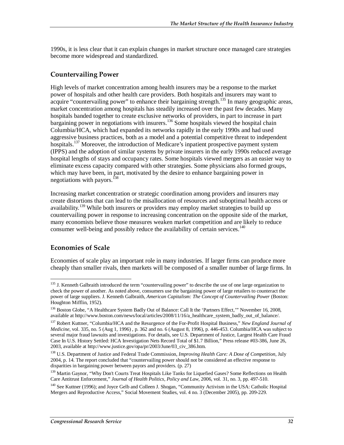1990s, it is less clear that it can explain changes in market structure once managed care strategies become more widespread and standardized.

### **Countervailing Power**

High levels of market concentration among health insurers may be a response to the market power of hospitals and other health care providers. Both hospitals and insurers may want to acquire "countervailing power" to enhance their bargaining strength.<sup>135</sup> In many geographic areas, market concentration among hospitals has steadily increased over the past few decades. Many hospitals banded together to create exclusive networks of providers, in part to increase in part bargaining power in negotiations with insurers.<sup>136</sup> Some hospitals viewed the hospital chain Columbia/HCA, which had expanded its networks rapidly in the early 1990s and had used aggressive business practices, both as a model and a potential competitive threat to independent hospitals.<sup>137</sup> Moreover, the introduction of Medicare's inpatient prospective payment system (IPPS) and the adoption of similar systems by private insurers in the early 1990s reduced average hospital lengths of stays and occupancy rates. Some hospitals viewed mergers as an easier way to eliminate excess capacity compared with other strategies. Some physicians also formed groups, which may have been, in part, motivated by the desire to enhance bargaining power in negotiations with payors.<sup>138</sup>

Increasing market concentration or strategic coordination among providers and insurers may create distortions that can lead to the misallocation of resources and suboptimal health access or availability.<sup>139</sup> While both insurers or providers may employ market strategies to build up countervailing power in response to increasing concentration on the opposite side of the market, many economists believe those measures weaken market competition and are likely to reduce consumer well-being and possibly reduce the availability of certain services.<sup>140</sup>

## **Economies of Scale**

-

Economies of scale play an important role in many industries. If larger firms can produce more cheaply than smaller rivals, then markets will be composed of a smaller number of large firms. In

<sup>&</sup>lt;sup>135</sup> J. Kenneth Galbraith introduced the term "countervailing power" to describe the use of one large organization to check the power of another. As noted above, consumers use the bargaining power of large retailers to counteract the power of large suppliers. J. Kenneth Galbraith, *American Capitalism: The Concept of Countervailing Power* (Boston: Houghton Mifflin, 1952).

<sup>&</sup>lt;sup>136</sup> Boston Globe, "A Healthcare System Badly Out of Balance: Call It the 'Partners Effect,'" November 16, 2008, available at http://www.boston.com/news/local/articles/2008/11/16/a\_healthcare\_system\_badly\_out\_of\_balance/.

<sup>137</sup> Robert Kuttner, "Columbia/HCA and the Resurgence of the For-Profit Hospital Business," *New England Journal of Medicine*, vol. 335, no. 5 (Aug 1, 1996) , p. 362 and no. 6 (August 8, 1996), p. 446-453. Columbia/HCA was subject to several major fraud lawsuits and investigations. For details, see U.S. Department of Justice, Largest Health Care Fraud Case In U.S. History Settled: HCA Investigation Nets Record Total of \$1.7 Billion," Press release #03-386, June 26, 2003, available at http://www.justice.gov/opa/pr/2003/June/03\_civ\_386.htm.

<sup>138</sup> U.S. Department of Justice and Federal Trade Commission, *Improving Health Care: A Dose of Competition*, July 2004, p. 14. The report concluded that "countervailing power should not be considered an effective response to disparities in bargaining power between payors and providers. (p. 27)

<sup>&</sup>lt;sup>139</sup> Martin Gaynor, "Why Don't Courts Treat Hospitals Like Tanks for Liquefied Gases? Some Reflections on Health Care Antitrust Enforcement," *Journal of Health Politics, Policy and Law*, 2006, vol. 31, no. 3, pp. 497-510.

<sup>&</sup>lt;sup>140</sup> See Kuttner (1996); and Joyce Gelb and Colleen J. Shogan, "Community Activism in the USA: Catholic Hospital Mergers and Reproductive Access," Social Movement Studies, vol. 4 no. 3 (December 2005), pp. 209-229.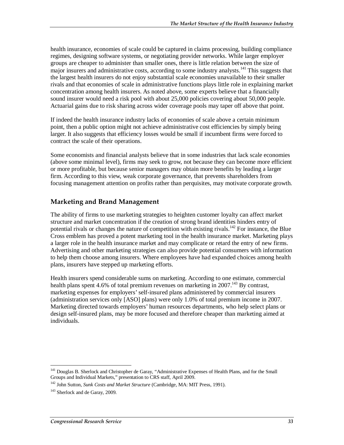health insurance, economies of scale could be captured in claims processing, building compliance regimes, designing software systems, or negotiating provider networks. While larger employer groups are cheaper to administer than smaller ones, there is little relation between the size of major insurers and administrative costs, according to some industry analysts.<sup>141</sup> This suggests that the largest health insurers do not enjoy substantial scale economies unavailable to their smaller rivals and that economies of scale in administrative functions plays little role in explaining market concentration among health insurers. As noted above, some experts believe that a financially sound insurer would need a risk pool with about 25,000 policies covering about 50,000 people. Actuarial gains due to risk sharing across wider coverage pools may taper off above that point.

If indeed the health insurance industry lacks of economies of scale above a certain minimum point, then a public option might not achieve administrative cost efficiencies by simply being larger. It also suggests that efficiency losses would be small if incumbent firms were forced to contract the scale of their operations.

Some economists and financial analysts believe that in some industries that lack scale economies (above some minimal level), firms may seek to grow, not because they can become more efficient or more profitable, but because senior managers may obtain more benefits by leading a larger firm. According to this view, weak corporate governance, that prevents shareholders from focusing management attention on profits rather than perquisites, may motivate corporate growth.

## **Marketing and Brand Management**

The ability of firms to use marketing strategies to heighten customer loyalty can affect market structure and market concentration if the creation of strong brand identities hinders entry of potential rivals or changes the nature of competition with existing rivals.<sup>142</sup> For instance, the Blue Cross emblem has proved a potent marketing tool in the health insurance market. Marketing plays a larger role in the health insurance market and may complicate or retard the entry of new firms. Advertising and other marketing strategies can also provide potential consumers with information to help them choose among insurers. Where employees have had expanded choices among health plans, insurers have stepped up marketing efforts.

Health insurers spend considerable sums on marketing. According to one estimate, commercial health plans spent 4.6% of total premium revenues on marketing in 2007.<sup>143</sup> By contrast, marketing expenses for employers' self-insured plans administered by commercial insurers (administration services only [ASO] plans) were only 1.0% of total premium income in 2007. Marketing directed towards employers' human resources departments, who help select plans or design self-insured plans, may be more focused and therefore cheaper than marketing aimed at individuals.

<sup>-</sup><sup>141</sup> Douglas B. Sherlock and Christopher de Garay, "Administrative Expenses of Health Plans, and for the Small Groups and Individual Markets," presentation to CRS staff, April 2009.

<sup>142</sup> John Sutton, *Sunk Costs and Market Structure* (Cambridge, MA: MIT Press, 1991).

<sup>&</sup>lt;sup>143</sup> Sherlock and de Garay, 2009.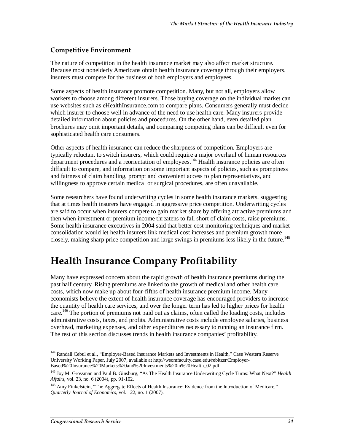## **Competitive Environment**

The nature of competition in the health insurance market may also affect market structure. Because most nonelderly Americans obtain health insurance coverage through their employers, insurers must compete for the business of both employers and employees.

Some aspects of health insurance promote competition. Many, but not all, employers allow workers to choose among different insurers. Those buying coverage on the individual market can use websites such as eHealthInsurance.com to compare plans. Consumers generally must decide which insurer to choose well in advance of the need to use health care. Many insurers provide detailed information about policies and procedures. On the other hand, even detailed plan brochures may omit important details, and comparing competing plans can be difficult even for sophisticated health care consumers.

Other aspects of health insurance can reduce the sharpness of competition. Employers are typically reluctant to switch insurers, which could require a major overhaul of human resources department procedures and a reorientation of employees.<sup>144</sup> Health insurance policies are often difficult to compare, and information on some important aspects of policies, such as promptness and fairness of claim handling, prompt and convenient access to plan representatives, and willingness to approve certain medical or surgical procedures, are often unavailable.

Some researchers have found underwriting cycles in some health insurance markets, suggesting that at times health insurers have engaged in aggressive price competition. Underwriting cycles are said to occur when insurers compete to gain market share by offering attractive premiums and then when investment or premium income threatens to fall short of claim costs, raise premiums. Some health insurance executives in 2004 said that better cost monitoring techniques and market consolidation would let health insurers link medical cost increases and premium growth more closely, making sharp price competition and large swings in premiums less likely in the future.<sup>145</sup>

# **Health Insurance Company Profitability**

Many have expressed concern about the rapid growth of health insurance premiums during the past half century. Rising premiums are linked to the growth of medical and other health care costs, which now make up about four-fifths of health insurance premium income. Many economists believe the extent of health insurance coverage has encouraged providers to increase the quantity of health care services, and over the longer term has led to higher prices for health care.<sup>146</sup> The portion of premiums not paid out as claims, often called the loading costs, includes administrative costs, taxes, and profits. Administrative costs include employee salaries, business overhead, marketing expenses, and other expenditures necessary to running an insurance firm. The rest of this section discusses trends in health insurance companies' profitability.

<sup>-</sup><sup>144</sup> Randall Cebul et al., "Employer-Based Insurance Markets and Investments in Health," Case Western Reserve University Working Paper, July 2007, available at http://wsomfaculty.case.edu/rebitzer/Employer-Based%20Insurance%20Markets%20and%20Investments%20in%20Health\_02.pdf.

<sup>145</sup> Joy M. Grossman and Paul B. Ginsburg, "As The Health Insurance Underwriting Cycle Turns: What Next?" *Health Affairs*, vol. 23, no. 6 (2004), pp. 91-102.

<sup>&</sup>lt;sup>146</sup> Amy Finkelstein, "The Aggregate Effects of Health Insurance: Evidence from the Introduction of Medicare," *Quarterly Journal of Economics*, vol. 122, no. 1 (2007).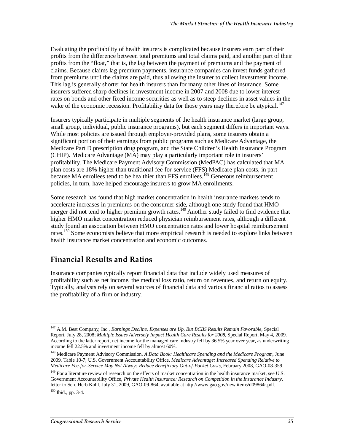Evaluating the profitability of health insurers is complicated because insurers earn part of their profits from the difference between total premiums and total claims paid, and another part of their profits from the "float," that is, the lag between the payment of premiums and the payment of claims. Because claims lag premium payments, insurance companies can invest funds gathered from premiums until the claims are paid, thus allowing the insurer to collect investment income. This lag is generally shorter for health insurers than for many other lines of insurance. Some insurers suffered sharp declines in investment income in 2007 and 2008 due to lower interest rates on bonds and other fixed income securities as well as to steep declines in asset values in the wake of the economic recession. Profitability data for those years may therefore be atypical.<sup>147</sup>

Insurers typically participate in multiple segments of the health insurance market (large group, small group, individual, public insurance programs), but each segment differs in important ways. While most policies are issued through employer-provided plans, some insurers obtain a significant portion of their earnings from public programs such as Medicare Advantage, the Medicare Part D prescription drug program, and the State Children's Health Insurance Program (CHIP). Medicare Advantage (MA) may play a particularly important role in insurers' profitability. The Medicare Payment Advisory Commission (MedPAC) has calculated that MA plan costs are 18% higher than traditional fee-for-service (FFS) Medicare plan costs, in part because MA enrollees tend to be healthier than FFS enrollees.<sup>148</sup> Generous reimbursement policies, in turn, have helped encourage insurers to grow MA enrollments.

Some research has found that high market concentration in health insurance markets tends to accelerate increases in premiums on the consumer side, although one study found that HMO merger did not tend to higher premium growth rates.<sup>149</sup> Another study failed to find evidence that higher HMO market concentration reduced physician reimbursement rates, although a different study found an association between HMO concentration rates and lower hospital reimbursement rates.<sup>150</sup> Some economists believe that more empirical research is needed to explore links between health insurance market concentration and economic outcomes.

# **Financial Results and Ratios**

Insurance companies typically report financial data that include widely used measures of profitability such as net income, the medical loss ratio, return on revenues, and return on equity. Typically, analysts rely on several sources of financial data and various financial ratios to assess the profitability of a firm or industry.

<sup>-</sup>147 A.M. Best Company, Inc., *Earnings Decline, Expenses are Up, But BCBS Results Remain Favorable*, Special Report, July 28, 2008; *Multiple Issues Adversely Impact Health Care Results for 2008*, Special Report, May 4, 2009. According to the latter report, net income for the managed care industry fell by 36.5% year over year, as underwriting income fell 22.5% and investment income fell by almost 60%.

<sup>148</sup> Medicare Payment Advisory Commission, *A Data Book: Healthcare Spending and the Medicare Program*, June 2009, Table 10-7; U.S. Government Accountability Office, *Medicare Advantage: Increased Spending Relative to Medicare Fee-for-Service May Not Always Reduce Beneficiary Out-of-Pocket Costs*, February 2008, GAO-08-359.

<sup>&</sup>lt;sup>149</sup> For a literature review of research on the effects of market concentration in the health insurance market, see U.S. Government Accountability Office, *Private Health Insurance: Research on Competition in the Insurance Industry*, letter to Sen. Herb Kohl, July 31, 2009, GAO-09-864, available at http://www.gao.gov/new.items/d09864r.pdf.  $150$  Ibid., pp. 3-4.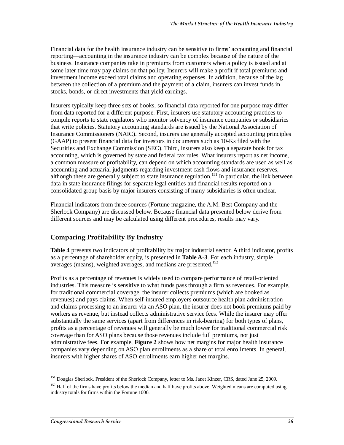Financial data for the health insurance industry can be sensitive to firms' accounting and financial reporting―accounting in the insurance industry can be complex because of the nature of the business. Insurance companies take in premiums from customers when a policy is issued and at some later time may pay claims on that policy. Insurers will make a profit if total premiums and investment income exceed total claims and operating expenses. In addition, because of the lag between the collection of a premium and the payment of a claim, insurers can invest funds in stocks, bonds, or direct investments that yield earnings.

Insurers typically keep three sets of books, so financial data reported for one purpose may differ from data reported for a different purpose. First, insurers use statutory accounting practices to compile reports to state regulators who monitor solvency of insurance companies or subsidiaries that write policies. Statutory accounting standards are issued by the National Association of Insurance Commissioners (NAIC). Second, insurers use generally accepted accounting principles (GAAP) to present financial data for investors in documents such as 10-Ks filed with the Securities and Exchange Commission (SEC). Third, insurers also keep a separate book for tax accounting, which is governed by state and federal tax rules. What insurers report as net income, a common measure of profitability, can depend on which accounting standards are used as well as accounting and actuarial judgments regarding investment cash flows and insurance reserves, although these are generally subject to state insurance regulation.<sup>151</sup> In particular, the link between data in state insurance filings for separate legal entities and financial results reported on a consolidated group basis by major insurers consisting of many subsidiaries is often unclear.

Financial indicators from three sources (Fortune magazine, the A.M. Best Company and the Sherlock Company) are discussed below. Because financial data presented below derive from different sources and may be calculated using different procedures, results may vary.

## **Comparing Profitability By Industry**

**Table 4** presents two indicators of profitability by major industrial sector. A third indicator, profits as a percentage of shareholder equity, is presented in **Table A-3**. For each industry, simple averages (means), weighted averages, and medians are presented.<sup>152</sup>

Profits as a percentage of revenues is widely used to compare performance of retail-oriented industries. This measure is sensitive to what funds pass through a firm as revenues. For example, for traditional commercial coverage, the insurer collects premiums (which are booked as revenues) and pays claims. When self-insured employers outsource health plan administration and claims processing to an insurer via an ASO plan, the insurer does not book premiums paid by workers as revenue, but instead collects administrative service fees. While the insurer may offer substantially the same services (apart from differences in risk-bearing) for both types of plans, profits as a percentage of revenues will generally be much lower for traditional commercial risk coverage than for ASO plans because those revenues include full premiums, not just administrative fees. For example, **Figure 2** shows how net margins for major health insurance companies vary depending on ASO plan enrollments as a share of total enrollments. In general, insurers with higher shares of ASO enrollments earn higher net margins.

<sup>-</sup><sup>151</sup> Douglas Sherlock, President of the Sherlock Company, letter to Ms. Janet Kinzer, CRS, dated June 25, 2009.

<sup>&</sup>lt;sup>152</sup> Half of the firms have profits below the median and half have profits above. Weighted means are computed using industry totals for firms within the Fortune 1000.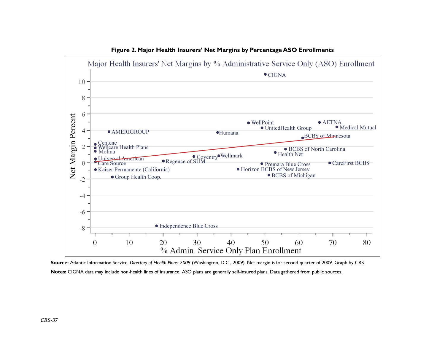

**Figure 2. Major Health Insurers' Net Margins by Percentage ASO Enrollments** 

**Source:** Atlantic Information Service, *Directory of Health Plans: 2009* (Washington, D.C., 2009). Net margin is for second quarter of 2009. Graph by CRS. **Notes:** CIGNA data may include non-health lines of insurance. ASO plans are generally self-insured plans. Data gathered from public sources.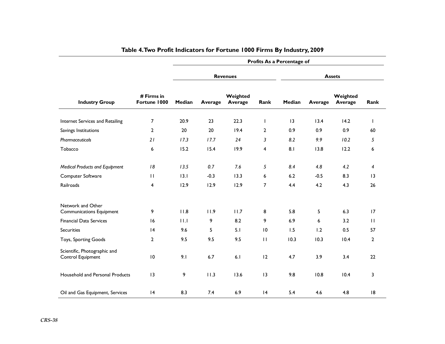|                                                      |                            | Profits As a Percentage of |         |                     |                |               |         |                     |                |
|------------------------------------------------------|----------------------------|----------------------------|---------|---------------------|----------------|---------------|---------|---------------------|----------------|
|                                                      |                            | <b>Revenues</b>            |         |                     |                | <b>Assets</b> |         |                     |                |
| <b>Industry Group</b>                                | # Firms in<br>Fortune 1000 | Median                     | Average | Weighted<br>Average | Rank           | Median        | Average | Weighted<br>Average | Rank           |
| Internet Services and Retailing                      | $\overline{7}$             | 20.9                       | 23      | 22.3                | T              | 13            | 13.4    | 14.2                | T              |
| Savings Institutions                                 | $\overline{2}$             | 20                         | 20      | 19.4                | $\overline{2}$ | 0.9           | 0.9     | 0.9                 | 60             |
| Pharmaceuticals                                      | 21                         | 17.3                       | 17.7    | 24                  | 3              | 8.2           | 9.9     | 10.2                | 5              |
| Tobacco                                              | 6                          | 15.2                       | 15.4    | 19.9                | $\overline{4}$ | 8.1           | 13.8    | 12.2                | 6              |
| <b>Medical Products and Equipment</b>                | 18                         | 13.5                       | 0.7     | 7.6                 | 5              | 8.4           | 4.8     | 4.2                 | 4              |
| Computer Software                                    | $\mathbf{H}$               | 13.1                       | $-0.3$  | 13.3                | 6              | 6.2           | $-0.5$  | 8.3                 | 3              |
| Railroads                                            | 4                          | 12.9                       | 12.9    | 12.9                | $\overline{7}$ | 4.4           | 4.2     | 4.3                 | 26             |
| Network and Other<br><b>Communications Equipment</b> | 9                          | 11.8                       | 11.9    | 11.7                | 8              | 5.8           | 5       | 6.3                 | 17             |
| <b>Financial Data Services</b>                       | 16                         | 11.1                       | 9       | 8.2                 | 9              | 6.9           | 6       | 3.2                 | $\mathbf{H}$   |
| <b>Securities</b>                                    | 4                          | 9.6                        | 5       | 5.1                 | 10             | 1.5           | 1.2     | 0.5                 | 57             |
| Toys, Sporting Goods                                 | $\overline{2}$             | 9.5                        | 9.5     | 9.5                 | $\mathbf{H}$   | 10.3          | 10.3    | 10.4                | $\overline{2}$ |
| Scientific, Photographic and<br>Control Equipment    | 10                         | 9.1                        | 6.7     | 6.1                 | 12             | 4.7           | 3.9     | 3.4                 | 22             |
| Household and Personal Products                      | 13                         | 9                          | 11.3    | 13.6                | 13             | 9.8           | 10.8    | 10.4                | 3              |
| Oil and Gas Equipment, Services                      | 4                          | 8.3                        | 7.4     | 6.9                 | 4              | 5.4           | 4.6     | 4.8                 | 8              |

# **Table 4. Two Profit Indicators for Fortune 1000 Firms By Industry, 2009**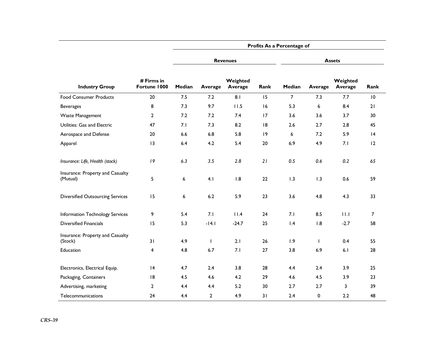|                                              |                            | Profits As a Percentage of |                |                     |      |                 |              |                     |      |  |  |  |
|----------------------------------------------|----------------------------|----------------------------|----------------|---------------------|------|-----------------|--------------|---------------------|------|--|--|--|
|                                              |                            |                            |                | <b>Revenues</b>     |      | <b>Assets</b>   |              |                     |      |  |  |  |
| <b>Industry Group</b>                        | # Firms in<br>Fortune 1000 | Median                     | Average        | Weighted<br>Average | Rank | Median          | Average      | Weighted<br>Average | Rank |  |  |  |
| <b>Food Consumer Products</b>                | 20                         | 7.5                        | 7.2            | 8.1                 | 15   | $\overline{7}$  | 7.3          | 7.7                 | 10   |  |  |  |
| <b>Beverages</b>                             | 8                          | 7.3                        | 9.7            | 11.5                | 16   | 5.3             | 6            | 8.4                 | 21   |  |  |  |
| Waste Management                             | $\overline{2}$             | 7.2                        | 7.2            | 7.4                 | 17   | 3.6             | 3.6          | 3.7                 | 30   |  |  |  |
| Utilities: Gas and Electric                  | 47                         | 7.1                        | 7.3            | 8.2                 | 8    | 2.6             | 2.7          | 2.8                 | 45   |  |  |  |
| Aerospace and Defense                        | 20                         | 6.6                        | 6.8            | 5.8                 | 9    | 6               | 7.2          | 5.9                 | 4    |  |  |  |
| Apparel                                      | 13                         | 6.4                        | 4.2            | 5.4                 | 20   | 6.9             | 4.9          | 7.1                 | 12   |  |  |  |
| Insurance: Life, Health (stock)              | 19                         | 6.3                        | 3.5            | 2.8                 | 21   | 0.5             | 0.6          | 0.2                 | 65   |  |  |  |
| Insurance: Property and Casualty<br>(Mutual) | 5                          | 6                          | 4.1            | 1.8                 | 22   | 1.3             | 1.3          | 0.6                 | 59   |  |  |  |
| <b>Diversified Outsourcing Services</b>      | 15                         | 6                          | 6.2            | 5.9                 | 23   | 3.6             | 4.8          | 4.3                 | 33   |  |  |  |
| Information Technology Services              | 9                          | 5.4                        | 7.1            | 11.4                | 24   | 7.1             | 8.5          | 11.1                | 7    |  |  |  |
| <b>Diversified Financials</b>                | 15                         | 5.3                        | $-14.1$        | $-24.7$             | 25   | $\mathsf{I}$ .4 | 1.8          | $-2.7$              | 58   |  |  |  |
| Insurance: Property and Casualty<br>(Stock)  | 31                         | 4.9                        | $\mathbf{I}$   | 2.1                 | 26   | 1.9             | $\mathbf{I}$ | 0.4                 | 55   |  |  |  |
| Education                                    | 4                          | 4.8                        | 6.7            | 7.1                 | 27   | 3.8             | 6.9          | 6.1                 | 28   |  |  |  |
| Electronics, Electrical Equip.               | 14                         | 4.7                        | 2.4            | 3.8                 | 28   | 4.4             | 2.4          | 3.9                 | 25   |  |  |  |
| Packaging, Containers                        | 8                          | 4.5                        | 4.6            | 4.2                 | 29   | 4.6             | 4.5          | 3.9                 | 23   |  |  |  |
| Advertising, marketing                       | $\overline{2}$             | 4.4                        | 4.4            | 5.2                 | 30   | 2.7             | 2.7          | 3                   | 39   |  |  |  |
| Telecommunications                           | 24                         | 4.4                        | $\overline{2}$ | 4.9                 | 31   | 2.4             | 0            | 2.2                 | 48   |  |  |  |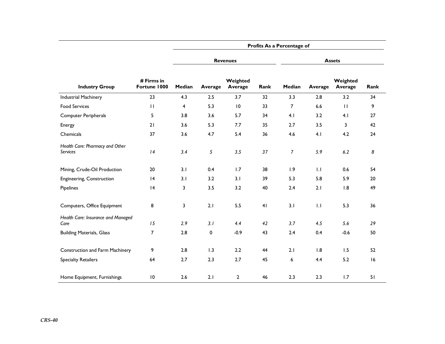|                                                    |                            | Profits As a Percentage of |         |                     |                |                |         |                     |      |  |  |  |
|----------------------------------------------------|----------------------------|----------------------------|---------|---------------------|----------------|----------------|---------|---------------------|------|--|--|--|
|                                                    |                            |                            |         | <b>Revenues</b>     |                |                |         |                     |      |  |  |  |
| <b>Industry Group</b>                              | # Firms in<br>Fortune 1000 | Median                     | Average | Weighted<br>Average | Rank           | Median         | Average | Weighted<br>Average | Rank |  |  |  |
| <b>Industrial Machinery</b>                        | 23                         | 4.3                        | 2.5     | 3.7                 | 32             | 3.3            | 2.8     | 3.2                 | 34   |  |  |  |
| <b>Food Services</b>                               | $\mathbf{H}$               | $\overline{4}$             | 5.3     | 10                  | 33             | $\overline{7}$ | 6.6     | $\mathbf{H}$        | 9    |  |  |  |
| Computer Peripherals                               | 5                          | 3.8                        | 3.6     | 5.7                 | 34             | 4.1            | 3.2     | 4.1                 | 27   |  |  |  |
| Energy                                             | 21                         | 3.6                        | 5.3     | 7.7                 | 35             | 2.7            | 3.5     | 3                   | 42   |  |  |  |
| Chemicals                                          | 37                         | 3.6                        | 4.7     | 5.4                 | 36             | 4.6            | 4.1     | 4.2                 | 24   |  |  |  |
| Health Care: Pharmacy and Other<br><b>Services</b> | 4                          | 3.4                        | 5       | 3.5                 | 37             | 7              | 5.9     | 6.2                 | 8    |  |  |  |
| Mining, Crude-Oil Production                       | 20                         | 3.1                        | 0.4     | 1.7                 | 38             | 1.9            | 1.1     | 0.6                 | 54   |  |  |  |
| Engineering, Construction                          | 4                          | 3.1                        | 3.2     | 3.1                 | 39             | 5.3            | 5.8     | 5.9                 | 20   |  |  |  |
| Pipelines                                          | 4                          | 3                          | 3.5     | 3.2                 | 40             | 2.4            | 2.1     | 1.8                 | 49   |  |  |  |
| Computers, Office Equipment                        | 8                          | 3                          | 2.1     | 5.5                 | 4 <sub>1</sub> | 3.1            | 1.1     | 5.3                 | 36   |  |  |  |
| Health Care: Insurance and Managed<br>Care         | 15                         | 2.9                        | 3.1     | 4.4                 | 42             | 3.7            | 4.5     | 5.6                 | 29   |  |  |  |
| <b>Building Materials, Glass</b>                   | $\overline{7}$             | 2.8                        | 0       | $-0.9$              | 43             | 2.4            | 0.4     | $-0.6$              | 50   |  |  |  |
| Construction and Farm Machinery                    | 9                          | 2.8                        | 1.3     | 2.2                 | 44             | 2.1            | 1.8     | 1.5                 | 52   |  |  |  |
| <b>Specialty Retailers</b>                         | 64                         | 2.7                        | 2.3     | 2.7                 | 45             | 6              | 4.4     | 5.2                 | 16   |  |  |  |
| Home Equipment, Furnishings                        | $\overline{10}$            | 2.6                        | 2.1     | $\overline{2}$      | 46             | 2.3            | 2.3     | 1.7                 | 51   |  |  |  |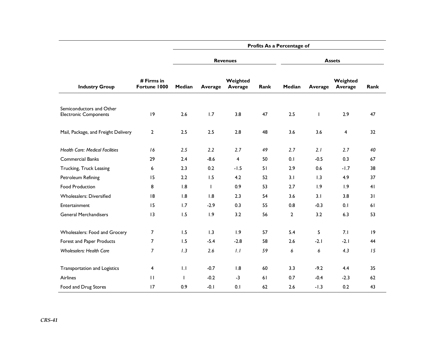|                                                          |                            | Profits As a Percentage of |              |                     |      |               |              |                     |      |  |  |
|----------------------------------------------------------|----------------------------|----------------------------|--------------|---------------------|------|---------------|--------------|---------------------|------|--|--|
|                                                          |                            |                            |              | <b>Revenues</b>     |      | <b>Assets</b> |              |                     |      |  |  |
| <b>Industry Group</b>                                    | # Firms in<br>Fortune 1000 | Median                     | Average      | Weighted<br>Average | Rank | Median        | Average      | Weighted<br>Average | Rank |  |  |
| Semiconductors and Other<br><b>Electronic Components</b> | 9                          | 2.6                        | 1.7          | 3.8                 | 47   | 2.5           | $\mathbf{I}$ | 2.9                 | 47   |  |  |
| Mail, Package, and Freight Delivery                      | $\mathbf{2}$               | 2.5                        | 2.5          | 2.8                 | 48   | 3.6           | 3.6          | 4                   | 32   |  |  |
| <b>Health Care: Medical Facilities</b>                   | 16                         | 2.5                        | 2.2          | 2.7                 | 49   | 2.7           | 2.1          | 2.7                 | 40   |  |  |
| <b>Commercial Banks</b>                                  | 29                         | 2.4                        | $-8.6$       | $\overline{4}$      | 50   | 0.1           | $-0.5$       | 0.3                 | 67   |  |  |
| Trucking, Truck Leasing                                  | 6                          | 2.3                        | 0.2          | $-1.5$              | 51   | 2.9           | 0.6          | $-1.7$              | 38   |  |  |
| Petroleum Refining                                       | 15                         | 2.2                        | 1.5          | 4.2                 | 52   | 3.1           | 1.3          | 4.9                 | 37   |  |  |
| <b>Food Production</b>                                   | 8                          | 1.8                        | $\mathsf{I}$ | 0.9                 | 53   | 2.7           | 1.9          | 1.9                 | 41   |  |  |
| <b>Wholesalers: Diversified</b>                          | 18                         | 1.8                        | 1.8          | 2.3                 | 54   | 3.6           | 3.1          | 3.8                 | 31   |  |  |
| Entertainment                                            | 15                         | 1.7                        | $-2.9$       | 0.3                 | 55   | 0.8           | $-0.3$       | 0.1                 | 61   |  |  |
| <b>General Merchandisers</b>                             | 13                         | 1.5                        | 1.9          | 3.2                 | 56   | $\mathbf{2}$  | 3.2          | 6.3                 | 53   |  |  |
| Wholesalers: Food and Grocery                            | $\overline{7}$             | 1.5                        | 1.3          | 1.9                 | 57   | 5.4           | 5            | 7.1                 | 19   |  |  |
| Forest and Paper Products                                | $\overline{7}$             | 1.5                        | $-5.4$       | $-2.8$              | 58   | 2.6           | $-2.1$       | $-2.1$              | 44   |  |  |
| <b>Wholesalers: Health Care</b>                          | $\overline{7}$             | 1.3                        | 2.6          | 1.1                 | 59   | 6             | 6            | 4.3                 | 15   |  |  |
| Transportation and Logistics                             | 4                          | 1.1                        | $-0.7$       | 1.8                 | 60   | 3.3           | $-9.2$       | 4.4                 | 35   |  |  |
| <b>Airlines</b>                                          | $\mathbf{H}$               | $\mathbf{I}$               | $-0.2$       | $-3$                | 61   | 0.7           | $-0.4$       | $-2.3$              | 62   |  |  |
| Food and Drug Stores                                     | 17                         | 0.9                        | $-0.1$       | 0.1                 | 62   | 2.6           | $-1.3$       | 0.2                 | 43   |  |  |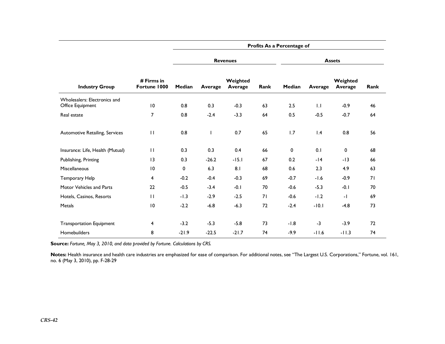|                                                  |                            | Profits As a Percentage of |                |                     |      |               |         |                     |      |  |  |
|--------------------------------------------------|----------------------------|----------------------------|----------------|---------------------|------|---------------|---------|---------------------|------|--|--|
|                                                  |                            |                            |                | <b>Revenues</b>     |      | <b>Assets</b> |         |                     |      |  |  |
| <b>Industry Group</b>                            | # Firms in<br>Fortune 1000 | Median                     | <b>Average</b> | Weighted<br>Average | Rank | Median        | Average | Weighted<br>Average | Rank |  |  |
| Wholesalers: Electronics and<br>Office Equipment | 10                         | 0.8                        | 0.3            | $-0.3$              | 63   | 2.5           | 1.1     | $-0.9$              | 46   |  |  |
| Real estate                                      | 7                          | 0.8                        | $-2.4$         | $-3.3$              | 64   | 0.5           | $-0.5$  | $-0.7$              | 64   |  |  |
| Automotive Retailing, Services                   | $\mathbf{H}$               | 0.8                        |                | 0.7                 | 65   | 1.7           | 1.4     | 0.8                 | 56   |  |  |
| Insurance: Life, Health (Mutual)                 | $\mathbf{H}$               | 0.3                        | 0.3            | 0.4                 | 66   | $\mathbf 0$   | 0.1     | 0                   | 68   |  |  |
| Publishing, Printing                             | 13                         | 0.3                        | $-26.2$        | $-15.1$             | 67   | 0.2           | $-14$   | $-13$               | 66   |  |  |
| Miscellaneous                                    | 10                         | $\mathbf{0}$               | 6.3            | 8.1                 | 68   | 0.6           | 2.3     | 4.9                 | 63   |  |  |
| Temporary Help                                   | 4                          | $-0.2$                     | $-0.4$         | $-0.3$              | 69   | $-0.7$        | $-1.6$  | $-0.9$              | 71   |  |  |
| Motor Vehicles and Parts                         | 22                         | $-0.5$                     | $-3.4$         | $-0.1$              | 70   | $-0.6$        | $-5.3$  | $-0.1$              | 70   |  |  |
| Hotels, Casinos, Resorts                         | $\mathbf{H}$               | $-1.3$                     | $-2.9$         | $-2.5$              | 71   | $-0.6$        | $-1.2$  | $\mathbf{I}$        | 69   |  |  |
| Metals                                           | 10                         | $-2.2$                     | $-6.8$         | $-6.3$              | 72   | $-2.4$        | $-10.1$ | $-4.8$              | 73   |  |  |
| <b>Transportation Equipment</b>                  | 4                          | $-3.2$                     | $-5.3$         | $-5.8$              | 73   | $-1.8$        | $-3$    | $-3.9$              | 72   |  |  |
| Homebuilders                                     | 8                          | $-21.9$                    | $-22.5$        | $-21.7$             | 74   | $-9.9$        | $-11.6$ | $-11.3$             | 74   |  |  |

**Source:** *Fortune, May 3, 2010, and data provided by Fortune. Calculations by CRS.* 

Notes: Health insurance and health care industries are emphasized for ease of comparison. For additional notes, see "The Largest U.S. Corporations," Fortune, vol. 161, no. 6 (May 3, 2010), pp. F-28-29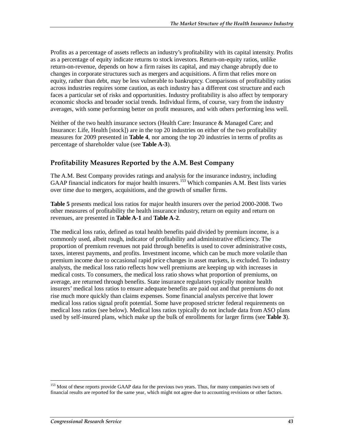Profits as a percentage of assets reflects an industry's profitability with its capital intensity. Profits as a percentage of equity indicate returns to stock investors. Return-on-equity ratios, unlike return-on-revenue, depends on how a firm raises its capital, and may change abruptly due to changes in corporate structures such as mergers and acquisitions. A firm that relies more on equity, rather than debt, may be less vulnerable to bankruptcy. Comparisons of profitability ratios across industries requires some caution, as each industry has a different cost structure and each faces a particular set of risks and opportunities. Industry profitability is also affect by temporary economic shocks and broader social trends. Individual firms, of course, vary from the industry averages, with some performing better on profit measures, and with others performing less well.

Neither of the two health insurance sectors (Health Care: Insurance & Managed Care; and Insurance: Life, Health [stock]) are in the top 20 industries on either of the two profitability measures for 2009 presented in **Table 4**, nor among the top 20 industries in terms of profits as percentage of shareholder value (see **Table A-3**).

### **Profitability Measures Reported by the A.M. Best Company**

The A.M. Best Company provides ratings and analysis for the insurance industry, including GAAP financial indicators for major health insurers.<sup>153</sup> Which companies A.M. Best lists varies over time due to mergers, acquisitions, and the growth of smaller firms.

**Table 5** presents medical loss ratios for major health insurers over the period 2000-2008. Two other measures of profitability the health insurance industry, return on equity and return on revenues, are presented in **Table A-1** and **Table A-2**.

The medical loss ratio, defined as total health benefits paid divided by premium income, is a commonly used, albeit rough, indicator of profitability and administrative efficiency. The proportion of premium revenues not paid through benefits is used to cover administrative costs, taxes, interest payments, and profits. Investment income, which can be much more volatile than premium income due to occasional rapid price changes in asset markets, is excluded. To industry analysts, the medical loss ratio reflects how well premiums are keeping up with increases in medical costs. To consumers, the medical loss ratio shows what proportion of premiums, on average, are returned through benefits. State insurance regulators typically monitor health insurers' medical loss ratios to ensure adequate benefits are paid out and that premiums do not rise much more quickly than claims expenses. Some financial analysts perceive that lower medical loss ratios signal profit potential. Some have proposed stricter federal requirements on medical loss ratios (see below). Medical loss ratios typically do not include data from ASO plans used by self-insured plans, which make up the bulk of enrollments for larger firms (see **Table 3**).

-

<sup>&</sup>lt;sup>153</sup> Most of these reports provide GAAP data for the previous two years. Thus, for many companies two sets of financial results are reported for the same year, which might not agree due to accounting revisions or other factors.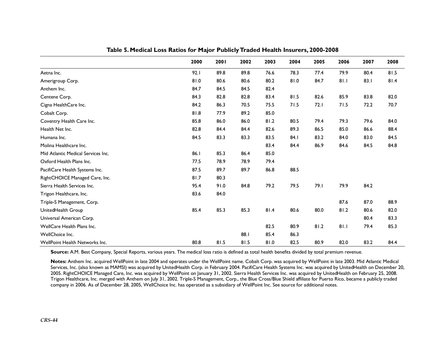|                                       | 2000 | 2001 | 2002 | 2003 | 2004 | 2005 | 2006 | 2007 | 2008 |
|---------------------------------------|------|------|------|------|------|------|------|------|------|
| Aetna Inc.                            | 92.1 | 89.8 | 89.8 | 76.6 | 78.3 | 77.4 | 79.9 | 80.4 | 81.5 |
| Amerigroup Corp.                      | 81.0 | 80.6 | 80.6 | 80.2 | 81.0 | 84.7 | 81.1 | 83.1 | 81.4 |
| Anthem Inc.                           | 84.7 | 84.5 | 84.5 | 82.4 |      |      |      |      |      |
| Centene Corp.                         | 84.3 | 82.8 | 82.8 | 83.4 | 81.5 | 82.6 | 85.9 | 83.8 | 82.0 |
| Cigna HealthCare Inc.                 | 84.2 | 86.3 | 70.5 | 75.5 | 71.5 | 72.1 | 71.5 | 72.2 | 70.7 |
| Cobalt Corp.                          | 81.8 | 77.9 | 89.2 | 85.0 |      |      |      |      |      |
| Coventry Health Care Inc.             | 85.8 | 86.0 | 86.0 | 81.2 | 80.5 | 79.4 | 79.3 | 79.6 | 84.0 |
| Health Net Inc.                       | 82.8 | 84.4 | 84.4 | 82.6 | 89.3 | 86.5 | 85.0 | 86.6 | 88.4 |
| Humana Inc.                           | 84.5 | 83.3 | 83.3 | 83.5 | 84.I | 83.2 | 84.0 | 83.0 | 84.5 |
| Molina Healthcare Inc.                |      |      |      | 83.4 | 84.4 | 86.9 | 84.6 | 84.5 | 84.8 |
| Mid Atlantic Medical Services Inc.    | 86.1 | 85.3 | 86.4 | 85.0 |      |      |      |      |      |
| Oxford Health Plans Inc.              | 77.5 | 78.9 | 78.9 | 79.4 |      |      |      |      |      |
| PacifiCare Health Systems Inc.        | 87.5 | 89.7 | 89.7 | 86.8 | 88.5 |      |      |      |      |
| RightCHOICE Managed Care, Inc.        | 81.7 | 80.3 |      |      |      |      |      |      |      |
| Sierra Health Services Inc.           | 95.4 | 91.0 | 84.8 | 79.2 | 79.5 | 79.I | 79.9 | 84.2 |      |
| Trigon Healthcare, Inc.               | 83.6 | 84.0 |      |      |      |      |      |      |      |
| Triple-S Management, Corp.            |      |      |      |      |      |      | 87.6 | 87.0 | 88.9 |
| UnitedHealth Group                    | 85.4 | 85.3 | 85.3 | 81.4 | 80.6 | 80.0 | 81.2 | 80.6 | 82.0 |
| Universal American Corp.              |      |      |      |      |      |      |      | 80.4 | 83.3 |
| WellCare Health Plans Inc.            |      |      |      | 82.5 | 80.9 | 81.2 | 81.1 | 79.4 | 85.3 |
| WellChoice Inc.                       |      |      | 88.1 | 85.4 | 86.3 |      |      |      |      |
| <b>WellPoint Health Networks Inc.</b> | 80.8 | 81.5 | 81.5 | 81.0 | 82.5 | 80.9 | 82.0 | 83.2 | 84.4 |

**Table 5. Medical Loss Ratios for Major Publicly Traded Health Insurers, 2000-2008** 

**Source:** A.M. Best Company, Special Reports, various years. The medical loss ratio is defined as total health benefits divided by total premium revenue.

**Notes:** Anthem Inc. acquired WellPoint in late 2004 and operates under the WellPoint name. Cobalt Corp. was acquired by WellPoint in late 2003. Mid Atlantic Medical Services, Inc. (also known as MAMSI) was acquired by UnitedHealth Corp. in February 2004. PacifiCare Health Systems Inc. was acquired by UnitedHealth on December 20, 2005. RightCHOICE Managed Care, Inc. was acquired by WellPoint on January 31, 2002. Sierra Health Services Inc. was acquired by UnitedHealth on February 25, 2008. Trigon Healthcare, Inc. merged with Anthem on July 31, 2002. Triple-S Management, Corp., the Blue Cross/Blue Shield affiliate for Puerto Rico, became a publicly traded company in 2006. As of December 28, 2005, WellChoice Inc. has operated as a subsidiary of WellPoint Inc. See source for additional notes.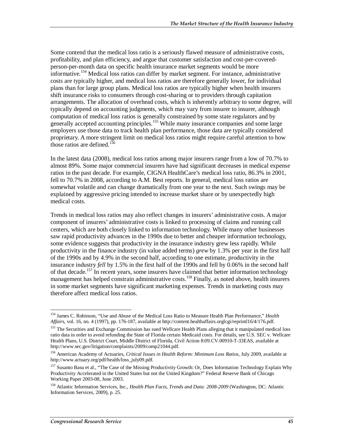Some contend that the medical loss ratio is a seriously flawed measure of administrative costs, profitability, and plan efficiency, and argue that customer satisfaction and cost-per-coveredperson-per-month data on specific health insurance market segments would be more informative.<sup>154</sup> Medical loss ratios can differ by market segment. For instance, administrative costs are typically higher, and medical loss ratios are therefore generally lower, for individual plans than for large group plans. Medical loss ratios are typically higher when health insurers shift insurance risks to consumers through cost-sharing or to providers through capitation arrangements. The allocation of overhead costs, which is inherently arbitrary to some degree, will typically depend on accounting judgments, which may vary from insurer to insurer, although computation of medical loss ratios is generally constrained by some state regulators and by generally accepted accounting principles.<sup>155</sup> While many insurance companies and some large employers use those data to track health plan performance, those data are typically considered proprietary. A more stringent limit on medical loss ratios might require careful attention to how those ratios are defined.<sup>156</sup>

In the latest data (2008), medical loss ratios among major insurers range from a low of 70.7% to almost 89%. Some major commercial insurers have had significant decreases in medical expense ratios in the past decade. For example, CIGNA HealthCare's medical loss ratio, 86.3% in 2001, fell to 70.7% in 2008, according to A.M. Best reports. In general, medical loss ratios are somewhat volatile and can change dramatically from one year to the next. Such swings may be explained by aggressive pricing intended to increase market share or by unexpectedly high medical costs.

Trends in medical loss ratios may also reflect changes in insurers' administrative costs. A major component of insurers' administrative costs is linked to processing of claims and running call centers, which are both closely linked to information technology. While many other businesses saw rapid productivity advances in the 1990s due to better and cheaper information technology, some evidence suggests that productivity in the insurance industry grew less rapidly. While productivity in the finance industry (in value added terms) *grew* by 1.3% per year in the first half of the 1990s and by 4.9% in the second half, according to one estimate, productivity in the insurance industry *fell* by 1.5% in the first half of the 1990s and fell by 0.06% in the second half of that decade.<sup>157</sup> In recent years, some insurers have claimed that better information technology management has helped constrain administrative costs.<sup>158</sup> Finally, as noted above, health insurers in some market segments have significant marketing expenses. Trends in marketing costs may therefore affect medical loss ratios.

<sup>-</sup>154 James C. Robinson, "Use and Abuse of the Medical Loss Ratio to Measure Health Plan Performance," *Health Affairs*, vol. 16, no. 4 (1997), pp. 176-187, available at http://content.healthaffairs.orglcgi/reprintl16/4/176.pdf.

<sup>&</sup>lt;sup>155</sup> The Securities and Exchange Commission has sued Wellcare Health Plans alleging that it manipulated medical loss ratio data in order to avoid refunding the State of Florida certain Medicaid costs. For details, see U.S. SEC v. Wellcare Health Plans, U.S. District Court, Middle District of Florida, Civil Action 8:09.CV.00910-T-33EAS, available at http://www.sec.gov/litigation/complaints/2009/comp21044.pdf.

<sup>156</sup> American Academy of Actuaries, *Critical Issues in Health Reform: Minimum Loss Ratios*, July 2009, available at http://www.actuary.org/pdf/health/loss\_july09.pdf.

<sup>&</sup>lt;sup>157</sup> Susanto Basu et al., "The Case of the Missing Productivity Growth: Or, Does Information Technology Explain Why Productivity Accelerated in the United States but not the United Kingdom?" Federal Reserve Bank of Chicago Working Paper 2003-08, June 2003.

<sup>158</sup> Atlantic Information Services, Inc., *Health Plan Facts, Trends and Data: 2008-2009* (Washington, DC: Atlantic Information Services, 2009), p. 25.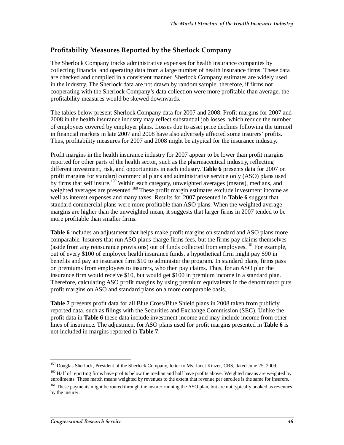## **Profitability Measures Reported by the Sherlock Company**

The Sherlock Company tracks administrative expenses for health insurance companies by collecting financial and operating data from a large number of health insurance firms. These data are checked and compiled in a consistent manner. Sherlock Company estimates are widely used in the industry. The Sherlock data are not drawn by random sample; therefore, if firms not cooperating with the Sherlock Company's data collection were more profitable than average, the profitability measures would be skewed downwards.

The tables below present Sherlock Company data for 2007 and 2008. Profit margins for 2007 and 2008 in the health insurance industry may reflect substantial job losses, which reduce the number of employees covered by employer plans. Losses due to asset price declines following the turmoil in financial markets in late 2007 and 2008 have also adversely affected some insurers' profits. Thus, profitability measures for 2007 and 2008 might be atypical for the insurance industry.

Profit margins in the health insurance industry for 2007 appear to be lower than profit margins reported for other parts of the health sector, such as the pharmaceutical industry, reflecting different investment, risk, and opportunities in each industry. **Table 6** presents data for 2007 on profit margins for standard commercial plans and administrative service only (ASO) plans used by firms that self insure.<sup>159</sup> Within each category, unweighted averages (means), medians, and weighted averages are presented.<sup>160</sup> These profit margin estimates exclude investment income as well as interest expenses and many taxes. Results for 2007 presented in **Table 6** suggest that standard commercial plans were more profitable than ASO plans. When the weighted average margins are higher than the unweighted mean, it suggests that larger firms in 2007 tended to be more profitable than smaller firms.

**Table 6** includes an adjustment that helps make profit margins on standard and ASO plans more comparable. Insurers that run ASO plans charge firms fees, but the firms pay claims themselves (aside from any reinsurance provisions) out of funds collected from employees.<sup>161</sup> For example, out of every \$100 of employee health insurance funds, a hypothetical firm might pay \$90 in benefits and pay an insurance firm \$10 to administer the program. In standard plans, firms pass on premiums from employees to insurers, who then pay claims. Thus, for an ASO plan the insurance firm would receive \$10, but would get \$100 in premium income in a standard plan. Therefore, calculating ASO profit margins by using premium equivalents in the denominator puts profit margins on ASO and standard plans on a more comparable basis.

**Table 7** presents profit data for all Blue Cross/Blue Shield plans in 2008 taken from publicly reported data, such as filings with the Securities and Exchange Commission (SEC). Unlike the profit data in **Table 6** these data include investment income and may include income from other lines of insurance. The adjustment for ASO plans used for profit margins presented in **Table 6** is not included in margins reported in **Table 7**.

 $\frac{1}{1}$ <sup>159</sup> Douglas Sherlock, President of the Sherlock Company, letter to Ms. Janet Kinzer, CRS, dated June 25, 2009.

<sup>&</sup>lt;sup>160</sup> Half of reporting firms have profits below the median and half have profits above. Weighted means are weighted by enrollments. These match means weighted by revenues to the extent that revenue per enrollee is the same for insurers.

<sup>&</sup>lt;sup>161</sup> These payments might be routed through the insurer running the ASO plan, but are not typically booked as revenues by the insurer.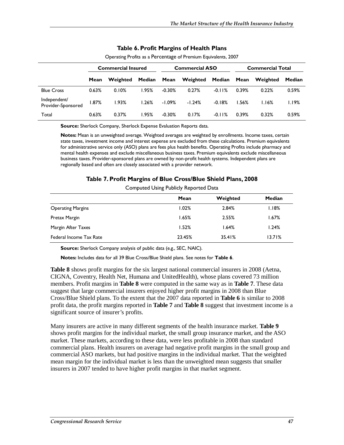|                                    | <b>Commercial Insured</b> |          |        |          | <b>Commercial ASO</b> |          | <b>Commercial Total</b> |          |        |  |
|------------------------------------|---------------------------|----------|--------|----------|-----------------------|----------|-------------------------|----------|--------|--|
|                                    | Mean                      | Weighted | Median | Mean     | Weighted              | Median   | Mean                    | Weighted | Median |  |
| <b>Blue Cross</b>                  | 0.63%                     | 0.10%    | 1.95%  | $-0.30%$ | 0.27%                 | $-0.11%$ | 0.39%                   | 0.22%    | 0.59%  |  |
| Independent/<br>Provider-Sponsored | 1.87%                     | 1.93%    | 1.26%  | -1.09%   | $-1.24%$              | $-0.18%$ | 1.56%                   | I.I6%    | I.I9%  |  |
| Total                              | 0.63%                     | 0.37%    | 1.95%  | $-0.30%$ | 0.17%                 | $-0.11%$ | 0.39%                   | 0.32%    | 0.59%  |  |

#### **Table 6. Profit Margins of Health Plans**

Operating Profits as a Percentage of Premium Equivalents, 2007

**Source:** Sherlock Company, Sherlock Expense Evaluation Reports data.

**Notes:** Mean is an unweighted average. Weighted averages are weighted by enrollments. Income taxes, certain state taxes, investment income and interest expense are excluded from these calculations. Premium equivalents for administrative service only (ASO) plans are fees plus health benefits. Operating Profits include pharmacy and mental health expenses and exclude miscellaneous business taxes. Premium equivalents exclude miscellaneous business taxes. Provider-sponsored plans are owned by non-profit health systems. Independent plans are regionally based and often are closely associated with a provider network.

#### **Table 7. Profit Margins of Blue Cross/Blue Shield Plans, 2008**

|                          | Mean   | Weighted | Median |
|--------------------------|--------|----------|--------|
| <b>Operating Margins</b> | 1.02%  | 2.84%    | I.I8%  |
| Pretax Margin            | 1.65%  | 2.55%    | 1.67%  |
| Margin After Taxes       | 1.52%  | 1.64%    | 1.24%  |
| Federal Income Tax Rate  | 23.45% | 35.41%   | 13.71% |

Computed Using Publicly Reported Data

**Source:** Sherlock Company analysis of public data (e.g., SEC, NAIC).

**Notes:** Includes data for all 39 Blue Cross/Blue Shield plans. See notes for **Table 6**.

**Table 8** shows profit margins for the six largest national commercial insurers in 2008 (Aetna, CIGNA, Coventry, Health Net, Humana and UnitedHealth), whose plans covered 73 million members. Profit margins in **Table 8** were computed in the same way as in **Table 7**. These data suggest that large commercial insurers enjoyed higher profit margins in 2008 than Blue Cross/Blue Shield plans. To the extent that the 2007 data reported in **Table 6** is similar to 2008 profit data, the profit margins reported in **Table 7** and **Table 8** suggest that investment income is a significant source of insurer's profits.

Many insurers are active in many different segments of the health insurance market. **Table 9** shows profit margins for the individual market, the small group insurance market, and the ASO market. These markets, according to these data, were less profitable in 2008 than standard commercial plans. Health insurers on average had negative profit margins in the small group and commercial ASO markets, but had positive margins in the individual market. That the weighted mean margin for the individual market is less than the unweighted mean suggests that smaller insurers in 2007 tended to have higher profit margins in that market segment.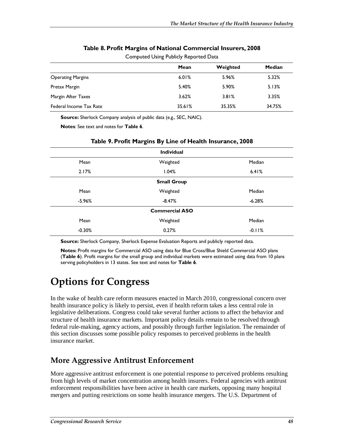|                          | Compated Osing Fability Reported Data |          |        |
|--------------------------|---------------------------------------|----------|--------|
|                          | Mean                                  | Weighted | Median |
| <b>Operating Margins</b> | 6.01%                                 | 5.96%    | 5.32%  |
| Pretax Margin            | 5.40%                                 | 5.90%    | 5.13%  |
| Margin After Taxes       | 3.62%                                 | 3.81%    | 3.35%  |
| Federal Income Tax Rate  | 35.61%                                | 35.35%   | 34.75% |

### **Table 8. Profit Margins of National Commercial Insurers, 2008**

Computed Using Publicly Reported Data

**Source:** Sherlock Company analysis of public data (e.g., SEC, NAIC).

**Notes**: See text and notes for **Table 6**.

|          | <b>Individual</b>     |          |  |  |  |  |  |  |  |  |
|----------|-----------------------|----------|--|--|--|--|--|--|--|--|
| Mean     | Weighted              | Median   |  |  |  |  |  |  |  |  |
| 2.17%    | 1.04%                 | 6.41%    |  |  |  |  |  |  |  |  |
|          | <b>Small Group</b>    |          |  |  |  |  |  |  |  |  |
| Mean     | Weighted              | Median   |  |  |  |  |  |  |  |  |
| $-5.96%$ | $-8.47%$              | $-6.28%$ |  |  |  |  |  |  |  |  |
|          | <b>Commercial ASO</b> |          |  |  |  |  |  |  |  |  |
| Mean     | Weighted              | Median   |  |  |  |  |  |  |  |  |
| $-0.30%$ | 0.27%                 | $-0.11%$ |  |  |  |  |  |  |  |  |
|          |                       |          |  |  |  |  |  |  |  |  |

#### **Table 9. Profit Margins By Line of Health Insurance, 2008**

**Source:** Sherlock Company, Sherlock Expense Evaluation Reports and publicly reported data.

**Notes:** Profit margins for Commercial ASO using data for Blue Cross/Blue Shield Commercial ASO plans (**Table 6**). Profit margins for the small group and individual markets were estimated using data from 10 plans serving policyholders in 13 states. See text and notes for **Table 6**.

# **Options for Congress**

In the wake of health care reform measures enacted in March 2010, congressional concern over health insurance policy is likely to persist, even if health reform takes a less central role in legislative deliberations. Congress could take several further actions to affect the behavior and structure of health insurance markets. Important policy details remain to be resolved through federal rule-making, agency actions, and possibly through further legislation. The remainder of this section discusses some possible policy responses to perceived problems in the health insurance market.

# **More Aggressive Antitrust Enforcement**

More aggressive antitrust enforcement is one potential response to perceived problems resulting from high levels of market concentration among health insurers. Federal agencies with antitrust enforcement responsibilities have been active in health care markets, opposing many hospital mergers and putting restrictions on some health insurance mergers. The U.S. Department of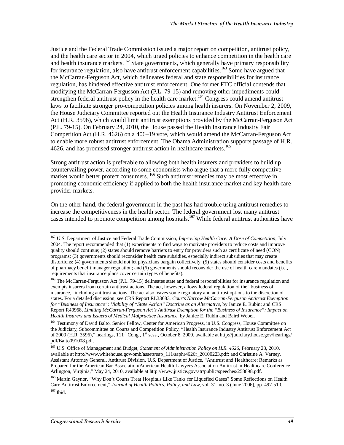Justice and the Federal Trade Commission issued a major report on competition, antitrust policy, and the health care sector in 2004, which urged policies to enhance competition in the health care and health insurance markets.<sup>162</sup> State governments, which generally have primary responsibility for insurance regulation, also have antitrust enforcement capabilities.<sup>163</sup> Some have argued that the McCarran-Ferguson Act, which delineates federal and state responsibilities for insurance regulation, has hindered effective antitrust enforcement. One former FTC official contends that modifying the McCarran-Fergusson Act (P.L. 79-15) and removing other impediments could strengthen federal antitrust policy in the health care market.<sup>164</sup> Congress could amend antitrust laws to facilitate stronger pro-competition policies among health insurers. On November 2, 2009, the House Judiciary Committee reported out the Health Insurance Industry Antitrust Enforcement Act (H.R. 3596), which would limit antitrust exemptions provided by the McCarran-Ferguson Act (P.L. 79-15). On February 24, 2010, the House passed the Health Insurance Industry Fair Competition Act (H.R. 4626) on a 406–19 vote, which would amend the McCarran-Ferguson Act to enable more robust antitrust enforcement. The Obama Administration supports passage of H.R. 4626, and has promised stronger antitrust action in healthcare markets.<sup>165</sup>

Strong antitrust action is preferable to allowing both health insurers and providers to build up countervailing power, according to some economists who argue that a more fully competitive market would better protect consumers. <sup>166</sup> Such antitrust remedies may be most effective in promoting economic efficiency if applied to both the health insurance market and key health care provider markets.

On the other hand, the federal government in the past has had trouble using antitrust remedies to increase the competitiveness in the health sector. The federal government lost many antitrust cases intended to promote competition among hospitals.<sup>167</sup> While federal antitrust authorities have

<sup>-</sup>162 U.S. Department of Justice and Federal Trade Commission, *Improving Health Care: A Dose of Competition*, July 2004. The report recommended that (1) experiments to find ways to motivate providers to reduce costs and improve quality should continue; (2) states should remove barriers to entry for providers such as certificate of need (CON) programs; (3) governments should reconsider health care subsidies, especially indirect subsidies that may create distortions; (4) governments should not let physicians bargain collectively; (5) states should consider costs and benefits of pharmacy benefit manager regulation; and (6) governments should reconsider the use of health care mandates (i.e., requirements that insurance plans cover certain types of benefits).

<sup>&</sup>lt;sup>163</sup> The McCarran-Fergusson Act (P.L. 79-15) delineates state and federal responsibilities for insurance regulation and exempts insurers from certain antitrust actions. The act, however, allows federal regulation of the "business of insurance," including antitrust actions. The act also leaves some regulatory and antitrust options to the discretion of states. For a detailed discussion, see CRS Report RL33683, *Courts Narrow McCarran-Ferguson Antitrust Exemption for "Business of Insurance": Viability of "State Action" Doctrine as an Alternative*, by Janice E. Rubin; and CRS Report R40968, *Limiting McCarran-Ferguson Act's Antitrust Exemption for the "Business of Insurance": Impact on Health Insurers and Issuers of Medical Malpractice Insurance*, by Janice E. Rubin and Baird Webel.

<sup>&</sup>lt;sup>164</sup> Testimony of David Balto, Senior Fellow, Center for American Progress, in U.S. Congress, House Committee on the Judiciary, Subcommittee on Courts and Competition Policy, "Health Insurance Industry Antitrust Enforcement Act of 2009 (H.R. 3596)," hearings,  $111^{\text{th}}$  Cong.,  $1^{\text{st}}$  sess., October 8, 2009, available at http://judiciary.house.gov/hearings/ pdf/Balto091008.pdf.

<sup>165</sup> U.S. Office of Management and Budget, *Statement of Administration Policy on H.R. 4626,* February 23, 2010, available at http://www.whitehouse.gov/omb/assets/sap\_111/saphr4626r\_20100223.pdf; and Christine A. Varney, Assistant Attorney General, Antitrust Division, U.S. Department of Justice, "Antitrust and Healthcare: Remarks as Prepared for the American Bar Association/American Health Lawyers Association Antitrust in Healthcare Conference Arlington, Virginia," May 24, 2010, available at http://www.justice.gov/atr/public/speeches/258898.pdf.

<sup>&</sup>lt;sup>166</sup> Martin Gaynor, "Why Don't Courts Treat Hospitals Like Tanks for Liquefied Gases? Some Reflections on Health Care Antitrust Enforcement," *Journal of Health Politics, Policy, and Law*, vol. 31, no. 3 (June 2006), pp. 497-510.  $167$  Ibid.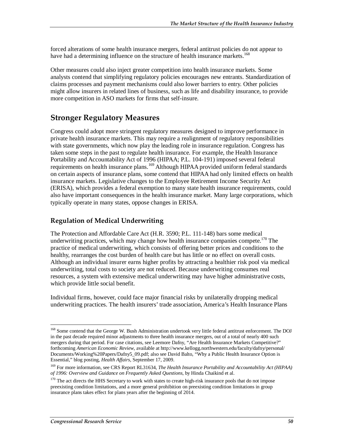forced alterations of some health insurance mergers, federal antitrust policies do not appear to have had a determining influence on the structure of health insurance markets.<sup>168</sup>

Other measures could also inject greater competition into health insurance markets. Some analysts contend that simplifying regulatory policies encourages new entrants. Standardization of claims processes and payment mechanisms could also lower barriers to entry. Other policies might allow insurers in related lines of business, such as life and disability insurance, to provide more competition in ASO markets for firms that self-insure.

# **Stronger Regulatory Measures**

Congress could adopt more stringent regulatory measures designed to improve performance in private health insurance markets. This may require a realignment of regulatory responsibilities with state governments, which now play the leading role in insurance regulation. Congress has taken some steps in the past to regulate health insurance. For example, the Health Insurance Portability and Accountability Act of 1996 (HIPAA; P.L. 104-191) imposed several federal requirements on health insurance plans.<sup>169</sup> Although HIPAA provided uniform federal standards on certain aspects of insurance plans, some contend that HIPAA had only limited effects on health insurance markets. Legislative changes to the Employee Retirement Income Security Act (ERISA), which provides a federal exemption to many state health insurance requirements, could also have important consequences in the health insurance market. Many large corporations, which typically operate in many states, oppose changes in ERISA.

### **Regulation of Medical Underwriting**

The Protection and Affordable Care Act (H.R. 3590; P.L. 111-148) bars some medical underwriting practices, which may change how health insurance companies compete.<sup>170</sup> The practice of medical underwriting, which consists of offering better prices and conditions to the healthy, rearranges the cost burden of health care but has little or no effect on overall costs. Although an individual insurer earns higher profits by attracting a healthier risk pool via medical underwriting, total costs to society are not reduced. Because underwriting consumes real resources, a system with extensive medical underwriting may have higher administrative costs, which provide little social benefit.

Individual firms, however, could face major financial risks by unilaterally dropping medical underwriting practices. The health insurers' trade association, America's Health Insurance Plans

-

<sup>&</sup>lt;sup>168</sup> Some contend that the George W. Bush Administration undertook very little federal antitrust enforcement. The DOJ in the past decade required minor adjustments to three health insurance mergers, out of a total of nearly 400 such mergers during that period. For case citations, see Leemore Dafny, "Are Health Insurance Markets Competitive?" forthcoming *American Economic Review*, available at http://www.kellogg.northwestern.edu/faculty/dafny/personal/ Documents/Working%20Papers/Dafny5\_09.pdf; also see David Balto, "Why a Public Health Insurance Option is Essential," blog posting, *Health Affairs*, September 17, 2009.

<sup>169</sup> For more information, see CRS Report RL31634, *The Health Insurance Portability and Accountability Act (HIPAA) of 1996: Overview and Guidance on Frequently Asked Questions*, by Hinda Chaikind et al.

<sup>&</sup>lt;sup>170</sup> The act directs the HHS Secretary to work with states to create high-risk insurance pools that do not impose preexisting condition limitations, and a more general prohibition on preexisting condition limitations in group insurance plans takes effect for plans years after the beginning of 2014.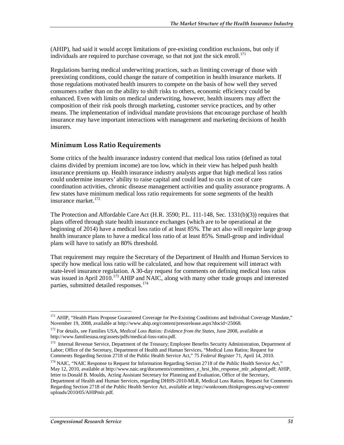(AHIP), had said it would accept limitations of pre-existing condition exclusions, but only if individuals are required to purchase coverage, so that not just the sick enroll.<sup>171</sup>

Regulations barring medical underwriting practices, such as limiting coverage of those with preexisting conditions, could change the nature of competition in health insurance markets. If those regulations motivated health insurers to compete on the basis of how well they served consumers rather than on the ability to shift risks to others, economic efficiency could be enhanced. Even with limits on medical underwriting, however, health insurers may affect the composition of their risk pools through marketing, customer service practices, and by other means. The implementation of individual mandate provisions that encourage purchase of health insurance may have important interactions with management and marketing decisions of health insurers.

## **Minimum Loss Ratio Requirements**

Some critics of the health insurance industry contend that medical loss ratios (defined as total claims divided by premium income) are too low, which in their view has helped push health insurance premiums up. Health insurance industry analysts argue that high medical loss ratios could undermine insurers' ability to raise capital and could lead to cuts in cost of care coordination activities, chronic disease management activities and quality assurance programs. A few states have minimum medical loss ratio requirements for some segments of the health insurance market.<sup>172</sup>

The Protection and Affordable Care Act (H.R. 3590; P.L. 111-148, Sec. 1331(b)(3)) requires that plans offered through state health insurance exchanges (which are to be operational at the beginning of 2014) have a medical loss ratio of at least 85%. The act also will require large group health insurance plans to have a medical loss ratio of at least 85%. Small-group and individual plans will have to satisfy an 80% threshold.

That requirement may require the Secretary of the Department of Health and Human Services to specify how medical loss ratio will be calculated, and how that requirement will interact with state-level insurance regulation. A 30-day request for comments on defining medical loss ratios was issued in April 2010.<sup>173</sup> AHIP and NAIC, along with many other trade groups and interested parties, submitted detailed responses.<sup>174</sup>

<sup>-</sup><sup>171</sup> AHIP, "Health Plans Propose Guaranteed Coverage for Pre-Existing Conditions and Individual Coverage Mandate," November 19, 2008, available at http://www.ahip.org/content/pressrelease.aspx?docid=25068.

<sup>172</sup> For details, see Families USA, *Medical Loss Ratios: Evidence from the States*, June 2008, available at http://www.familiesusa.org/assets/pdfs/medical-loss-ratio.pdf.

<sup>&</sup>lt;sup>173</sup> Internal Revenue Service, Department of the Treasury; Employee Benefits Security Administration, Department of Labor; Office of the Secretary, Department of Health and Human Services, "Medical Loss Ratios; Request for Comments Regarding Section 2718 of the Public Health Service Act," 75 *Federal Register* 71, April 14, 2010.

<sup>&</sup>lt;sup>174</sup> NAIC, "NAIC Response to Request for Information Regarding Section 2718 of the Public Health Service Act," May 12, 2010, available at http://www.naic.org/documents/committees\_e\_hrsi\_hhs\_response\_mlr\_adopted.pdf; AHIP, letter to Donald B. Moulds, Acting Assistant Secretary for Planning and Evaluation, Office of the Secretary, Department of Health and Human Services, regarding DHHS-2010-MLR, Medical Loss Ratios; Request for Comments Regarding Section 2718 of the Public Health Service Act, available at http://wonkroom.thinkprogress.org/wp-content/ uploads/2010/05/AHIPmlr.pdf.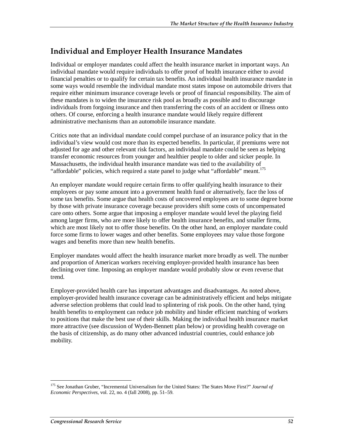# **Individual and Employer Health Insurance Mandates**

Individual or employer mandates could affect the health insurance market in important ways. An individual mandate would require individuals to offer proof of health insurance either to avoid financial penalties or to qualify for certain tax benefits. An individual health insurance mandate in some ways would resemble the individual mandate most states impose on automobile drivers that require either minimum insurance coverage levels or proof of financial responsibility. The aim of these mandates is to widen the insurance risk pool as broadly as possible and to discourage individuals from forgoing insurance and then transferring the costs of an accident or illness onto others. Of course, enforcing a health insurance mandate would likely require different administrative mechanisms than an automobile insurance mandate.

Critics note that an individual mandate could compel purchase of an insurance policy that in the individual's view would cost more than its expected benefits. In particular, if premiums were not adjusted for age and other relevant risk factors, an individual mandate could be seen as helping transfer economic resources from younger and healthier people to older and sicker people. In Massachusetts, the individual health insurance mandate was tied to the availability of "affordable" policies, which required a state panel to judge what "affordable" meant.<sup>175</sup>

An employer mandate would require certain firms to offer qualifying health insurance to their employees or pay some amount into a government health fund or alternatively, face the loss of some tax benefits. Some argue that health costs of uncovered employees are to some degree borne by those with private insurance coverage because providers shift some costs of uncompensated care onto others. Some argue that imposing a employer mandate would level the playing field among larger firms, who are more likely to offer health insurance benefits, and smaller firms, which are most likely not to offer those benefits. On the other hand, an employer mandate could force some firms to lower wages and other benefits. Some employees may value those forgone wages and benefits more than new health benefits.

Employer mandates would affect the health insurance market more broadly as well. The number and proportion of American workers receiving employer-provided health insurance has been declining over time. Imposing an employer mandate would probably slow or even reverse that trend.

Employer-provided health care has important advantages and disadvantages. As noted above, employer-provided health insurance coverage can be administratively efficient and helps mitigate adverse selection problems that could lead to splintering of risk pools. On the other hand, tying health benefits to employment can reduce job mobility and hinder efficient matching of workers to positions that make the best use of their skills. Making the individual health insurance market more attractive (see discussion of Wyden-Bennett plan below) or providing health coverage on the basis of citizenship, as do many other advanced industrial countries, could enhance job mobility.

-

<sup>175</sup> See Jonathan Gruber, "Incremental Universalism for the United States: The States Move First?" *Journal of Economic Perspectives*, vol. 22, no. 4 (fall 2008), pp. 51–59.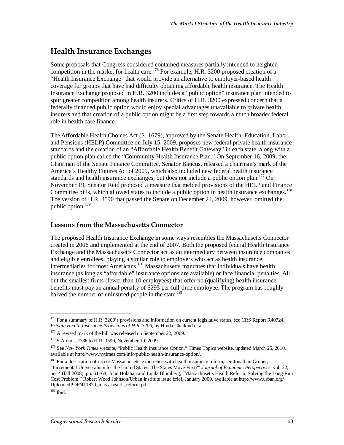# **Health Insurance Exchanges**

Some proposals that Congress considered contained measures partially intended to heighten competition in the market for health care.<sup>176</sup> For example, H.R. 3200 proposed creation of a "Health Insurance Exchange" that would provide an alternative to employer-based health coverage for groups that have had difficulty obtaining affordable health insurance. The Health Insurance Exchange proposed in H.R. 3200 includes a "public option" insurance plan intended to spur greater competition among health insurers. Critics of H.R. 3200 expressed concern that a federally financed public option would enjoy special advantages unavailable to private health insurers and that creation of a public option might be a first step towards a much broader federal role in health care finance.

The Affordable Health Choices Act (S. 1679), approved by the Senate Health, Education, Labor, and Pensions (HELP) Committee on July 15, 2009, proposes new federal private health insurance standards and the creation of an "Affordable Health Benefit Gateway" in each state, along with a public option plan called the "Community Health Insurance Plan." On September 16, 2009, the Chairman of the Senate Finance Committee, Senator Baucus, released a chairman's mark of the America's Healthy Futures Act of 2009, which also included new federal health insurance standards and health insurance exchanges, but does not include a public option plan. $177$  On November 19, Senator Reid proposed a measure that melded provisions of the HELP and Finance Committee bills, which allowed states to include a public option in health insurance exchanges.<sup>178</sup> The version of H.R. 3590 that passed the Senate on December 24, 2009, however, omitted the public option.<sup>179</sup>

#### **Lessons from the Massachusetts Connector**

The proposed Health Insurance Exchange in some ways resembles the Massachusetts Connector created in 2006 and implemented at the end of 2007. Both the proposed federal Health Insurance Exchange and the Massachusetts Connector act as an intermediary between insurance companies and eligible enrollees, playing a similar role to employers who act as health insurance intermediaries for most Americans.180 Massachusetts mandates that individuals have health insurance (as long as "affordable" insurance options are available) or face financial penalties. All but the smallest firms (fewer than 10 employees) that offer no (qualifying) health insurance benefits must pay an annual penalty of \$295 per full-time employee. The program has roughly halved the number of uninsured people in the state.<sup>181</sup>

<sup>-</sup><sup>176</sup> For a summary of H.R. 3200's provisions and information on current legislative status, see CRS Report R40724, *Private Health Insurance Provisions of H.R. 3200*, by Hinda Chaikind et al.

<sup>&</sup>lt;sup>177</sup> A revised mark of the bill was released on September 22, 2009.

<sup>&</sup>lt;sup>178</sup> S.Amndt. 2786 to H.R. 3590, November 19, 2009.

<sup>&</sup>lt;sup>179</sup> See *New York Times* website, "Public Health Insurance Option," Times Topics website, updated March 25, 2010, available at http://www.nytimes.com/info/public-health-insurance-option/.

<sup>&</sup>lt;sup>180</sup> For a description of recent Massachusetts experience with health insurance reform, see Jonathan Gruber, "Incremental Universalism for the United States: The States Move First?" *Journal of Economic Perspectives*, vol. 22, no. 4 (fall 2008), pp. 51–68; John Holahan and Linda Blumberg, "Massachusetts Health Reform: Solving the Long-Run Cost Problem," Robert Wood Johnson/Urban Institute issue brief, January 2009, available at http://www.urban.org/ UploadedPDF/411820\_mass\_health\_reform.pdf.

 $181$  Ibid.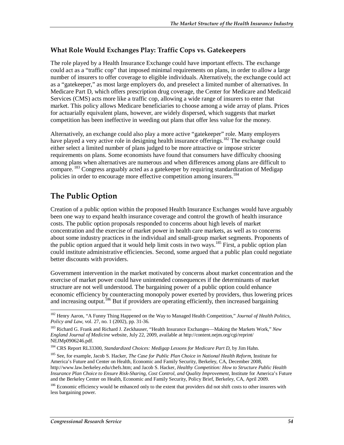## **What Role Would Exchanges Play: Traffic Cops vs. Gatekeepers**

The role played by a Health Insurance Exchange could have important effects. The exchange could act as a "traffic cop" that imposed minimal requirements on plans, in order to allow a large number of insurers to offer coverage to eligible individuals. Alternatively, the exchange could act as a "gatekeeper," as most large employers do, and preselect a limited number of alternatives. In Medicare Part D, which offers prescription drug coverage, the Center for Medicare and Medicaid Services (CMS) acts more like a traffic cop, allowing a wide range of insurers to enter that market. This policy allows Medicare beneficiaries to choose among a wide array of plans. Prices for actuarially equivalent plans, however, are widely dispersed, which suggests that market competition has been ineffective in weeding out plans that offer less value for the money.

Alternatively, an exchange could also play a more active "gatekeeper" role. Many employers have played a very active role in designing health insurance offerings.<sup>182</sup> The exchange could either select a limited number of plans judged to be more attractive or impose stricter requirements on plans. Some economists have found that consumers have difficulty choosing among plans when alternatives are numerous and when differences among plans are difficult to compare. <sup>183</sup> Congress arguably acted as a gatekeeper by requiring standardization of Medigap policies in order to encourage more effective competition among insurers.<sup>184</sup>

# **The Public Option**

Creation of a public option within the proposed Health Insurance Exchanges would have arguably been one way to expand health insurance coverage and control the growth of health insurance costs. The public option proposals responded to concerns about high levels of market concentration and the exercise of market power in health care markets, as well as to concerns about some industry practices in the individual and small-group market segments. Proponents of the public option argued that it would help limit costs in two ways.<sup>185</sup> First, a public option plan could institute administrative efficiencies. Second, some argued that a public plan could negotiate better discounts with providers.

Government intervention in the market motivated by concerns about market concentration and the exercise of market power could have unintended consequences if the determinants of market structure are not well understood. The bargaining power of a public option could enhance economic efficiency by counteracting monopoly power exerted by providers, thus lowering prices and increasing output.<sup>186</sup> But if providers are operating efficiently, then increased bargaining

<sup>-</sup>182 Henry Aaron, "A Funny Thing Happened on the Way to Managed Health Competition," *Journal of Health Politics, Policy and Law*, vol. 27, no. 1 (2002), pp. 31-36.

<sup>183</sup> Richard G. Frank and Richard J. Zeckhauser, "Health Insurance Exchanges—Making the Markets Work," *New England Journal of Medicine* website, July 22, 2009, available at http://content.nejm.org/cgi/reprint/ NEJMp0906246.pdf.

<sup>184</sup> CRS Report RL33300, *Standardized Choices: Medigap Lessons for Medicare Part D*, by Jim Hahn.

<sup>185</sup> See, for example, Jacob S. Hacker, *The Case for Public Plan Choice in National Health Reform*, Institute for America's Future and Center on Health, Economic and Family Security, Berkeley, CA, December 2008, http://www.law.berkeley.edu/chefs.htm; and Jacob S. Hacker, *Healthy Competition: How to Structure Public Health Insurance Plan Choice to Ensure Risk-Sharing, Cost Control, and Quality Improvement*, Institute for America's Future and the Berkeley Center on Health, Economic and Family Security, Policy Brief, Berkeley, CA, April 2009.

<sup>&</sup>lt;sup>186</sup> Economic efficiency would be enhanced only to the extent that providers did not shift costs to other insurers with less bargaining power.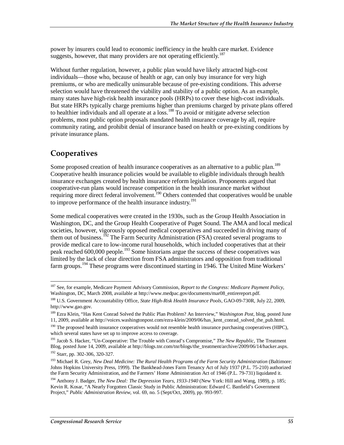power by insurers could lead to economic inefficiency in the health care market. Evidence suggests, however, that many providers are not operating efficiently.<sup>187</sup>

Without further regulation, however, a public plan would have likely attracted high-cost individuals—those who, because of health or age, can only buy insurance for very high premiums, or who are medically uninsurable because of pre-existing conditions. This adverse selection would have threatened the viability and stability of a public option. As an example, many states have high-risk health insurance pools (HRPs) to cover these high-cost individuals. But state HRPs typically charge premiums higher than premiums charged by private plans offered to healthier individuals and all operate at a loss.<sup>188</sup> To avoid or mitigate adverse selection problems, most public option proposals mandated health insurance coverage by all, require community rating, and prohibit denial of insurance based on health or pre-existing conditions by private insurance plans.

# **Cooperatives**

Some proposed creation of health insurance cooperatives as an alternative to a public plan.<sup>189</sup> Cooperative health insurance policies would be available to eligible individuals through health insurance exchanges created by health insurance reform legislation. Proponents argued that cooperative-run plans would increase competition in the health insurance market without requiring more direct federal involvement.<sup>190</sup> Others contended that cooperatives would be unable to improve performance of the health insurance industry.<sup>191</sup>

Some medical cooperatives were created in the 1930s, such as the Group Health Association in Washington, DC, and the Group Health Cooperative of Puget Sound. The AMA and local medical societies, however, vigorously opposed medical cooperatives and succeeded in driving many of them out of business.<sup>192</sup> The Farm Security Administration (FSA) created several programs to provide medical care to low-income rural households, which included cooperatives that at their peak reached 600,000 people.<sup>193</sup> Some historians argue the success of these cooperatives was limited by the lack of clear direction from FSA administrators and opposition from traditional farm groups.<sup>194</sup> These programs were discontinued starting in 1946. The United Mine Workers'

<sup>&</sup>lt;u>.</u> 187 See, for example, Medicare Payment Advisory Commission, *Report to the Congress: Medicare Payment Policy*, Washington, DC, March 2008, available at http://www.medpac.gov/documents/mar08\_entirereport.pdf.

<sup>188</sup> U.S. Government Accountability Office, *State High-Risk Health Insurance Pools*, GAO-09-730R, July 22, 2009, http://www.gao.gov.

<sup>189</sup> Ezra Klein, "Has Kent Conrad Solved the Public Plan Problem? An Interview," *Washington Post*, blog, posted June 11, 2009, available at http://voices.washingtonpost.com/ezra-klein/2009/06/has\_kent\_conrad\_solved\_the\_pub.html.

<sup>&</sup>lt;sup>190</sup> The proposed health insurance cooperatives would not resemble health insurance purchasing cooperatives (HIPC), which several states have set up to improve access to coverage.

<sup>191</sup> Jacob S. Hacker, "Un-Cooperative: The Trouble with Conrad's Compromise," *The New Republic*, The Treatment Blog, posted June 14, 2009, available at http://blogs.tnr.com/tnr/blogs/the\_treatment/archive/2009/06/14/hacker.aspx. 192 Starr, pp. 302-306, 320-327.

<sup>&</sup>lt;sup>193</sup> Michael R. Grey, *New Deal Medicine: The Rural Health Programs of the Farm Security Administration (Baltimore:* Johns Hopkins University Press, 1999). The Bankhead-Jones Farm Tenancy Act of July 1937 (P.L. 75-210) authorized the Farm Security Administration, and the Farmers' Home Administration Act of 1946 (P.L. 79-731) liquidated it.

<sup>194</sup> Anthony J. Badger, *The New Deal: The Depression Years, 1933-1940* (New York: Hill and Wang, 1989), p. 185; Kevin R. Kosar, "A Nearly Forgotten Classic Study in Public Administration: Edward C. Banfield's Government Project," *Public Administration Review*, vol. 69, no. 5 (Sept/Oct, 2009), pp. 993-997.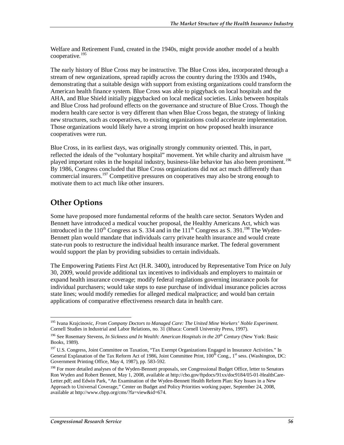Welfare and Retirement Fund, created in the 1940s, might provide another model of a health cooperative.<sup>195</sup>

The early history of Blue Cross may be instructive. The Blue Cross idea, incorporated through a stream of new organizations, spread rapidly across the country during the 1930s and 1940s, demonstrating that a suitable design with support from existing organizations could transform the American health finance system. Blue Cross was able to piggyback on local hospitals and the AHA, and Blue Shield initially piggybacked on local medical societies. Links between hospitals and Blue Cross had profound effects on the governance and structure of Blue Cross. Though the modern health care sector is very different than when Blue Cross began, the strategy of linking new structures, such as cooperatives, to existing organizations could accelerate implementation. Those organizations would likely have a strong imprint on how proposed health insurance cooperatives were run.

Blue Cross, in its earliest days, was originally strongly community oriented. This, in part, reflected the ideals of the "voluntary hospital" movement. Yet while charity and altruism have played important roles in the hospital industry, business-like behavior has also been prominent.<sup>196</sup> By 1986, Congress concluded that Blue Cross organizations did not act much differently than commercial insurers.<sup>197</sup> Competitive pressures on cooperatives may also be strong enough to motivate them to act much like other insurers.

# **Other Options**

Some have proposed more fundamental reforms of the health care sector. Senators Wyden and Bennett have introduced a medical voucher proposal, the Healthy Americans Act, which was introduced in the 110<sup>th</sup> Congress as S. 334 and in the 111<sup>th</sup> Congress as S. 391.<sup>198</sup> The Wyden-Bennett plan would mandate that individuals carry private health insurance and would create state-run pools to restructure the individual health insurance market. The federal government would support the plan by providing subsidies to certain individuals.

The Empowering Patients First Act (H.R. 3400), introduced by Representative Tom Price on July 30, 2009, would provide additional tax incentives to individuals and employers to maintain or expand health insurance coverage; modify federal regulations governing insurance pools for individual purchasers; would take steps to ease purchase of individual insurance policies across state lines; would modify remedies for alleged medical malpractice; and would ban certain applications of comparative effectiveness research data in health care.

<sup>-</sup>195 Ivana Krajcinovic, *From Company Doctors to Managed Care: The United Mine Workers' Noble Experiment*. Cornell Studies in Industrial and Labor Relations, no. 31 (Ithaca: Cornell University Press, 1997).

<sup>&</sup>lt;sup>196</sup> See Rosemary Stevens, *In Sickness and In Wealth: American Hospitals in the 20<sup>th</sup> Century* (New York: Basic Books, 1989).

<sup>&</sup>lt;sup>197</sup> U.S. Congress, Joint Committee on Taxation, "Tax Exempt Organizations Engaged in Insurance Activities." In General Explanation of the Tax Reform Act of 1986, Joint Committee Print, 100<sup>th</sup> Cong., 1<sup>st</sup> sess. (Washington, DC: Government Printing Office, May 4, 1987), pp. 583-592.

<sup>&</sup>lt;sup>198</sup> For more detailed analyses of the Wyden-Bennett proposals, see Congressional Budget Office, letter to Senators Ron Wyden and Robert Bennett, May 1, 2008, available at http://cbo.gov/ftpdocs/91xx/doc9184/05-01-HealthCare-Letter.pdf; and Edwin Park, "An Examination of the Wyden-Bennett Health Reform Plan: Key Issues in a New Approach to Universal Coverage," Center on Budget and Policy Priorities working paper, September 24, 2008, available at http://www.cbpp.org/cms/?fa=view&id=674.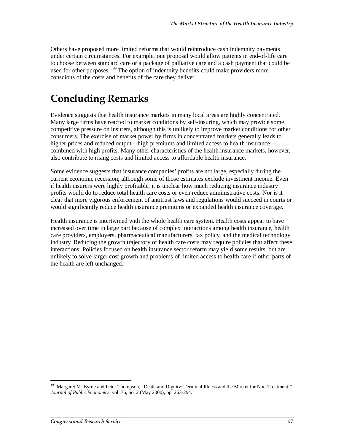Others have proposed more limited reforms that would reintroduce cash indemnity payments under certain circumstances. For example, one proposal would allow patients in end-of-life care to choose between standard care or a package of palliative care and a cash payment that could be used for other purposes. <sup>199</sup> The option of indemnity benefits could make providers more conscious of the costs and benefits of the care they deliver.

# **Concluding Remarks**

Evidence suggests that health insurance markets in many local areas are highly concentrated. Many large firms have reacted to market conditions by self-insuring, which may provide some competitive pressure on insurers, although this is unlikely to improve market conditions for other consumers. The exercise of market power by firms in concentrated markets generally leads to higher prices and reduced output—high premiums and limited access to health insurance combined with high profits. Many other characteristics of the health insurance markets, however, also contribute to rising costs and limited access to affordable health insurance.

Some evidence suggests that insurance companies' profits are not large, especially during the current economic recession; although some of those estimates exclude investment income. Even if health insurers were highly profitable, it is unclear how much reducing insurance industry profits would do to reduce total health care costs or even reduce administrative costs. Nor is it clear that more vigorous enforcement of antitrust laws and regulations would succeed in courts or would significantly reduce health insurance premiums or expanded health insurance coverage.

Health insurance is intertwined with the whole health care system. Health costs appear to have increased over time in large part because of complex interactions among health insurance, health care providers, employers, pharmaceutical manufacturers, tax policy, and the medical technology industry. Reducing the growth trajectory of health care costs may require policies that affect these interactions. Policies focused on health insurance sector reform may yield some results, but are unlikely to solve larger cost growth and problems of limited access to health care if other parts of the health are left unchanged.

-

<sup>&</sup>lt;sup>199</sup> Margaret M. Byrne and Peter Thompson, "Death and Dignity: Terminal Illness and the Market for Non-Treatment," *Journal of Public Economics*, vol. 76, no. 2 (May 2000), pp. 263-294.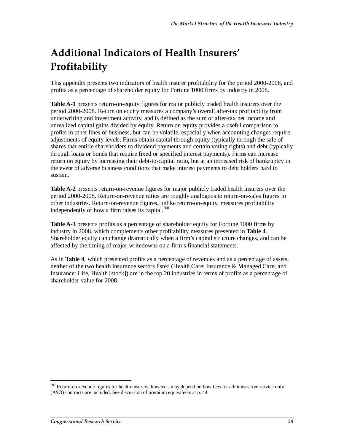# **Additional Indicators of Health Insurers' Profitability**

This appendix presents two indicators of health insurer profitability for the period 2000-2008, and profits as a percentage of shareholder equity for Fortune 1000 firms by industry in 2008.

**Table A-1** presents return-on-equity figures for major publicly traded health insurers over the period 2000-2008. Return on equity measures a company's overall after-tax profitability from underwriting and investment activity, and is defined as the sum of after-tax net income and unrealized capital gains divided by equity. Return on equity provides a useful comparison to profits in other lines of business, but can be volatile, especially when accounting changes require adjustments of equity levels. Firms obtain capital through equity (typically through the sale of shares that entitle shareholders to dividend payments and certain voting rights) and debt (typically through loans or bonds that require fixed or specified interest payments). Firms can increase return on equity by increasing their debt-to-capital ratio, but at an increased risk of bankruptcy in the event of adverse business conditions that make interest payments to debt holders hard to sustain.

**Table A-2** presents return-on-revenue figures for major publicly traded health insurers over the period 2000-2008. Return-on-revenue ratios are roughly analogous to return-on-sales figures in other industries. Return-on-revenue figures, unlike return-on-equity, measures profitability independently of how a firm raises its capital.<sup>200</sup>

**Table A-3** presents profits as a percentage of shareholder equity for Fortune 1000 firms by industry in 2008, which complements other profitability measures presented in **Table 4**. Shareholder equity can change dramatically when a firm's capital structure changes, and can be affected by the timing of major writedowns on a firm's financial statements.

As in **Table 4**, which presented profits as a percentage of revenues and as a percentage of assets, neither of the two health insurance sectors listed (Health Care: Insurance & Managed Care; and Insurance: Life, Health [stock]) are in the top 20 industries in terms of profits as a percentage of shareholder value for 2008.

-

<sup>&</sup>lt;sup>200</sup> Return-on-revenue figures for health insurers, however, may depend on how fees for administrative service only (ASO) contracts are included. See discussion of premium equivalents at p. 44.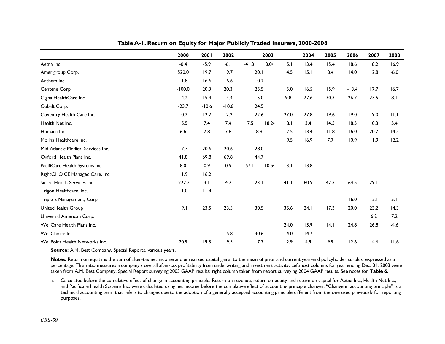|                                    | 2000     | 2001    | 2002    | 2003                        |      | 2004 | 2005 | 2006    | 2007 | 2008   |
|------------------------------------|----------|---------|---------|-----------------------------|------|------|------|---------|------|--------|
| Aetna Inc.                         | $-0.4$   | $-5.9$  | $-6.1$  | $-41.3$<br>3.0 <sup>a</sup> | 15.1 | 13.4 | 15.4 | 18.6    | 18.2 | 16.9   |
| Amerigroup Corp.                   | 520.0    | 19.7    | 19.7    | 20.1                        | 14.5 | 15.1 | 8.4  | 14.0    | 12.8 | $-6.0$ |
| Anthem Inc.                        | 11.8     | 16.6    | 16.6    | 10.2                        |      |      |      |         |      |        |
| Centene Corp.                      | $-100.0$ | 20.3    | 20.3    | 25.5                        | 15.0 | 16.5 | 15.9 | $-13.4$ | 17.7 | 16.7   |
| Cigna HealthCare Inc.              | 14.2     | 15.4    | 14.4    | 15.0                        | 9.8  | 27.6 | 30.3 | 26.7    | 23.5 | 8.1    |
| Cobalt Corp.                       | $-23.7$  | $-10.6$ | $-10.6$ | 24.5                        |      |      |      |         |      |        |
| Coventry Health Care Inc.          | 10.2     | 12.2    | 12.2    | 22.6                        | 27.0 | 27.8 | 19.6 | 19.0    | 19.0 | 11.1   |
| Health Net Inc.                    | 15.5     | 7.4     | 7.4     | 18.2a<br>17.5               | 18.1 | 3.4  | 14.5 | 18.5    | 10.3 | 5.4    |
| Humana Inc.                        | 6.6      | 7.8     | 7.8     | 8.9                         | 12.5 | 13.4 | 11.8 | 16.0    | 20.7 | 14.5   |
| Molina Healthcare Inc.             |          |         |         |                             | 19.5 | 16.9 | 7.7  | 10.9    | 11.9 | 12.2   |
| Mid Atlantic Medical Services Inc. | 17.7     | 20.6    | 20.6    | 28.0                        |      |      |      |         |      |        |
| Oxford Health Plans Inc.           | 41.8     | 69.8    | 69.8    | 44.7                        |      |      |      |         |      |        |
| PacifiCare Health Systems Inc.     | 8.0      | 0.9     | 0.9     | $-57.1$<br>10.5a            | 13.1 | 13.8 |      |         |      |        |
| RightCHOICE Managed Care, Inc.     | 11.9     | 16.2    |         |                             |      |      |      |         |      |        |
| Sierra Health Services Inc.        | $-222.2$ | 3.1     | 4.2     | 23.1                        | 41.1 | 60.9 | 42.3 | 64.5    | 29.1 |        |
| Trigon Healthcare, Inc.            | 11.0     | 11.4    |         |                             |      |      |      |         |      |        |
| Triple-S Management, Corp.         |          |         |         |                             |      |      |      | 16.0    | 12.1 | 5.1    |
| UnitedHealth Group                 | 19.1     | 23.5    | 23.5    | 30.5                        | 35.6 | 24.1 | 17.3 | 20.0    | 23.2 | 14.3   |
| Universal American Corp.           |          |         |         |                             |      |      |      |         | 6.2  | 7.2    |
| WellCare Health Plans Inc.         |          |         |         |                             | 24.0 | 15.9 | 4.1  | 24.8    | 26.8 | $-4.6$ |
| WellChoice Inc.                    |          |         | 15.8    | 30.6                        | 14.0 | 14.7 |      |         |      |        |
| WellPoint Health Networks Inc.     | 20.9     | 19.5    | 19.5    | 17.7                        | 12.9 | 4.9  | 9.9  | 12.6    | 14.6 | 11.6   |

**Table A-1. Return on Equity for Major Publicly Traded Insurers, 2000-2008** 

**Source:** A.M. Best Company, Special Reports, various years.

Notes: Return on equity is the sum of after-tax net income and unrealized capital gains, to the mean of prior and current year-end policyholder surplus, expressed as a percentage. This ratio measures a company's overall after-tax profitability from underwriting and investment activity. Leftmost columns for year ending Dec. 31, 2003 were taken from A.M. Best Company, Special Report surveying 2003 GAAP results; right column taken from report surveying 2004 GAAP results. See notes for **Table 6.**

a. Calculated before the cumulative effect of change in accounting principle. Return on revenue, return on equity and return on capital for Aetna Inc., Health Net Inc., and Pacificare Health Systems Inc. were calculated using net income before the cumulative effect of accounting principle changes. "Change in accounting principle" is a technical accounting term that refers to changes due to the adoption of a generally accepted accounting principle different from the one used previously for reporting purposes.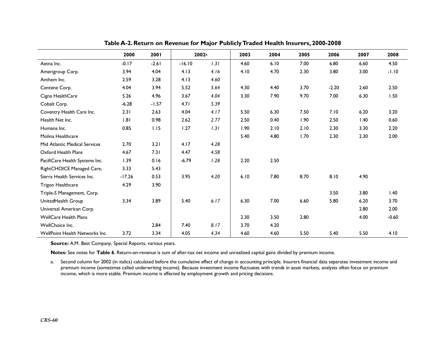|                                | 2000     | 2001    | 2002 <sup>a</sup> |      | 2003 | 2004 | 2005 | 2006    | 2007 | 2008    |
|--------------------------------|----------|---------|-------------------|------|------|------|------|---------|------|---------|
| Aetna Inc.                     | $-0.17$  | $-2.61$ | $-16.10$          | 1.31 | 4.60 | 6.10 | 7.00 | 6.80    | 6.60 | 4.50    |
| Amerigroup Corp.               | 3.94     | 4.04    | 4.13              | 4.16 | 4.10 | 4.70 | 2.30 | 3.80    | 3.00 | $-1.10$ |
| Anthem Inc.                    | 2.59     | 3.28    | 4.13              | 4.60 |      |      |      |         |      |         |
| Centene Corp.                  | 4.04     | 3.94    | 5.52              | 5.64 | 4.30 | 4.40 | 3.70 | $-2.20$ | 2.60 | 2.50    |
| Cigna HealthCare               | 5.26     | 4.96    | 3.67              | 4.04 | 3.30 | 7.90 | 9.70 | 7.00    | 6.30 | 1.50    |
| Cobalt Corp.                   | $-6.28$  | $-1.57$ | 4.71              | 5.39 |      |      |      |         |      |         |
| Coventry Health Care Inc.      | 2.31     | 2.63    | 4.04              | 4.17 | 5.50 | 6.30 | 7.50 | 7.10    | 6.20 | 3.20    |
| Health Net Inc.                | 1.81     | 0.98    | 2.62              | 2.77 | 2.50 | 0.40 | 1.90 | 2.50    | 1.40 | 0.60    |
| Humana Inc.                    | 0.85     | 1.15    | 1.27              | 1.31 | 1.90 | 2.10 | 2.10 | 2.30    | 3.30 | 2.20    |
| Molina Healthcare              |          |         |                   |      | 5.40 | 4.80 | 1.70 | 2.30    | 2.30 | 2.00    |
| Mid Atlantic Medical Services  | 2.70     | 3.21    | 4.17              | 4.28 |      |      |      |         |      |         |
| Oxford Health Plans            | 4.67     | 7.31    | 4.47              | 4.58 |      |      |      |         |      |         |
| PacifiCare Health Systems Inc. | 1.39     | 0.16    | $-6.79$           | 1.28 | 2.20 | 2.50 |      |         |      |         |
| RightCHOICE Managed Care,      | 3.33     | 5.43    |                   |      |      |      |      |         |      |         |
| Sierra Health Services Inc.    | $-17.26$ | 0.53    | 3.95              | 4.20 | 6.10 | 7.80 | 8.70 | 8.10    | 4.90 |         |
| Trigon Healthcare              | 4.29     | 3.90    |                   |      |      |      |      |         |      |         |
| Triple-S Management, Corp.     |          |         |                   |      |      |      |      | 3.50    | 3.80 | 1.40    |
| UnitedHealth Group             | 3.34     | 3.89    | 5.40              | 6.17 | 6.30 | 7.00 | 6.60 | 5.80    | 6.20 | 3.70    |
| Universal American Corp.       |          |         |                   |      |      |      |      |         | 2.80 | 2.00    |
| <b>WellCare Health Plans</b>   |          |         |                   |      | 2.30 | 3.50 | 2.80 |         | 4.00 | $-0.60$ |
| WellChoice Inc.                |          | 2.84    | 7.40              | 8.17 | 3.70 | 4.20 |      |         |      |         |
| WellPoint Health Networks Inc. | 3.72     | 3.34    | 4.05              | 4.34 | 4.60 | 4.60 | 5.50 | 5.40    | 5.50 | 4.10    |

**Table A-2. Return on Revenue for Major Publicly Traded Health Insurers, 2000-2008** 

**Source:** A.M. Best Company, Special Reports, various years.

**Notes:** See notes for **Table 6**. Return-on-revenue is sum of after-tax net income and unrealized capital gains divided by premium income.

a. Second column for 2002 (in italics) calculated before the cumulative effect of change in accounting principle. Insurers financial data separates investment income and premium income (sometimes called underwriting income). Because investment income fluctuates with trends in asset markets, analysts often focus on premium income, which is more stable. Premium income is affected by employment growth and pricing decisions.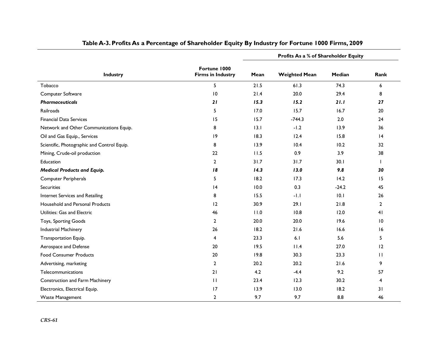|                                             |                                          |      | Profits As a % of Shareholder Equity |         |                |
|---------------------------------------------|------------------------------------------|------|--------------------------------------|---------|----------------|
| <b>Industry</b>                             | Fortune 1000<br><b>Firms in Industry</b> | Mean | <b>Weighted Mean</b>                 | Median  | Rank           |
| Tobacco                                     | 5                                        | 21.5 | 61.3                                 | 74.3    | 6              |
| Computer Software                           | 10                                       | 21.4 | 20.0                                 | 29.4    | 8              |
| <b>Pharmaceuticals</b>                      | 21                                       | 15.3 | 15.2                                 | 21.1    | 27             |
| Railroads                                   | 5                                        | 17.0 | 15.7                                 | 16.7    | 20             |
| <b>Financial Data Services</b>              | 15                                       | 15.7 | $-744.3$                             | 2.0     | 24             |
| Network and Other Communications Equip.     | 8                                        | 13.1 | $-1.2$                               | 13.9    | 36             |
| Oil and Gas Equip., Services                | 9                                        | 18.3 | 12.4                                 | 15.8    | 4              |
| Scientific, Photographic and Control Equip. | 8                                        | 13.9 | 10.4                                 | 10.2    | 32             |
| Mining, Crude-oil production                | 22                                       | 11.5 | 0.9                                  | 3.9     | 38             |
| <b>Education</b>                            | $\overline{2}$                           | 31.7 | 31.7                                 | 30.1    |                |
| <b>Medical Products and Equip.</b>          | 18                                       | 14.3 | 13.0                                 | 9.8     | 30             |
| <b>Computer Peripherals</b>                 | 5                                        | 18.2 | 17.3                                 | 14.2    | 15             |
| <b>Securities</b>                           | 4                                        | 10.0 | 0.3                                  | $-24.2$ | 45             |
| Internet Services and Retailing             | 8                                        | 15.5 | $-1.1$                               | 10.1    | 26             |
| Household and Personal Products             | 12                                       | 30.9 | 29.1                                 | 21.8    | $\overline{2}$ |
| Utilities: Gas and Electric                 | 46                                       | 11.0 | 10.8                                 | 12.0    | 41             |
| Toys, Sporting Goods                        | $\mathbf{2}$                             | 20.0 | 20.0                                 | 19.6    | 10             |
| Industrial Machinery                        | 26                                       | 18.2 | 21.6                                 | 16.6    | 16             |
| Transportation Equip.                       | 4                                        | 23.3 | 6.1                                  | 5.6     | 5              |
| Aerospace and Defense                       | 20                                       | 19.5 | 11.4                                 | 27.0    | 12             |
| <b>Food Consumer Products</b>               | 20                                       | 19.8 | 30.3                                 | 23.3    | $\mathbf{H}$   |
| Advertising, marketing                      | $\mathbf{2}$                             | 20.2 | 20.2                                 | 21.6    | 9              |
| Telecommunications                          | 21                                       | 4.2  | $-4.4$                               | 9.2     | 57             |
| Construction and Farm Machinery             | $\mathbf{H}$                             | 23.4 | 12.3                                 | 30.2    | 4              |
| Electronics, Electrical Equip.              | 17                                       | 13.9 | 13.0                                 | 18.2    | 31             |
| Waste Management                            | 2                                        | 9.7  | 9.7                                  | 8.8     | 46             |

### **Table A-3. Profits As a Percentage of Shareholder Equity By Industry for Fortune 1000 Firms, 2009**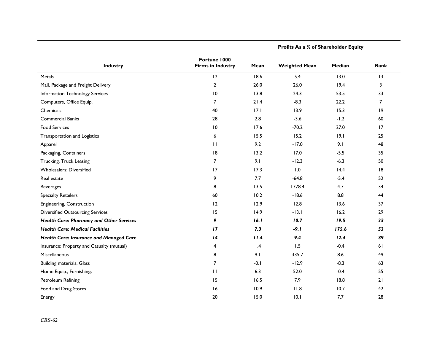|                                                 |                                          | Profits As a % of Shareholder Equity |                      |        |                |  |
|-------------------------------------------------|------------------------------------------|--------------------------------------|----------------------|--------|----------------|--|
| Industry                                        | Fortune 1000<br><b>Firms in Industry</b> | Mean                                 | <b>Weighted Mean</b> | Median | Rank           |  |
| Metals                                          | 12                                       | 18.6                                 | 5.4                  | 13.0   | 13             |  |
| Mail, Package and Freight Delivery              | $\overline{2}$                           | 26.0                                 | 26.0                 | 19.4   | 3              |  |
| Information Technology Services                 | $\overline{10}$                          | 13.8                                 | 24.3                 | 53.5   | 33             |  |
| Computers, Office Equip.                        | $\overline{7}$                           | 21.4                                 | $-8.3$               | 22.2   | $\overline{7}$ |  |
| Chemicals                                       | 40                                       | 17.1                                 | 13.9                 | 15.3   | 9              |  |
| <b>Commercial Banks</b>                         | 28                                       | 2.8                                  | $-3.6$               | $-1.2$ | 60             |  |
| <b>Food Services</b>                            | $\overline{10}$                          | 17.6                                 | $-70.2$              | 27.0   | 17             |  |
| Transportation and Logistics                    | 6                                        | 15.5                                 | 15.2                 | 9.1    | 25             |  |
| Apparel                                         | $\mathbf{H}$                             | 9.2                                  | $-17.0$              | 9.1    | 48             |  |
| Packaging, Containers                           | 8                                        | 13.2                                 | 17.0                 | $-5.5$ | 35             |  |
| Trucking, Truck Leasing                         | 7                                        | 9.1                                  | $-12.3$              | $-6.3$ | 50             |  |
| <b>Wholesalers: Diversified</b>                 | 17                                       | 17.3                                 | 1.0                  | 14.4   | 8              |  |
| Real estate                                     | 9                                        | 7.7                                  | $-64.8$              | $-5.4$ | 52             |  |
| <b>Beverages</b>                                | 8                                        | 13.5                                 | 1778.4               | 4.7    | 34             |  |
| <b>Specialty Retailers</b>                      | 60                                       | 10.2                                 | $-18.6$              | 8.8    | 44             |  |
| Engineering, Construction                       | 12                                       | 12.9                                 | 12.8                 | 13.6   | 37             |  |
| <b>Diversified Outsourcing Services</b>         | 15                                       | 14.9                                 | $-13.1$              | 16.2   | 29             |  |
| <b>Health Care: Pharmacy and Other Services</b> | 9                                        | 16.1                                 | 10.7                 | 19.5   | 23             |  |
| <b>Health Care: Medical Facilities</b>          | 17                                       | 7.3                                  | $-9.1$               | 175.6  | 53             |  |
| Health Care: Insurance and Managed Care         | 14                                       | 11.4                                 | 9.4                  | 12.4   | 39             |  |
| Insurance: Property and Casualty (mutual)       | 4                                        | 1.4                                  | 1.5                  | $-0.4$ | 61             |  |
| Miscellaneous                                   | 8                                        | 9.1                                  | 335.7                | 8.6    | 49             |  |
| Building materials, Glass                       | $\overline{7}$                           | $-0.1$                               | $-12.9$              | $-8.3$ | 63             |  |
| Home Equip., Furnishings                        | $\mathbf{H}$                             | 6.3                                  | 52.0                 | $-0.4$ | 55             |  |
| Petroleum Refining                              | 15                                       | 16.5                                 | 7.9                  | 18.8   | 21             |  |
| Food and Drug Stores                            | 16                                       | 10.9                                 | 11.8                 | 10.7   | 42             |  |
| Energy                                          | 20                                       | 15.0                                 | 10.1                 | 7.7    | 28             |  |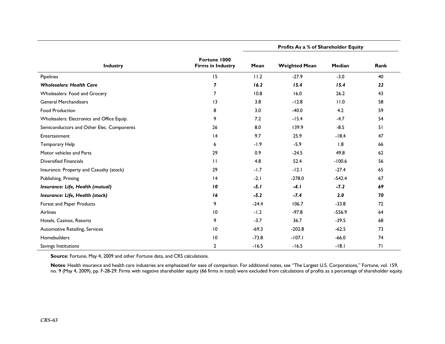| <b>Industry</b>                            | Fortune 1000<br><b>Firms in Industry</b> | <b>Profits As a % of Shareholder Equity</b> |                      |               |      |
|--------------------------------------------|------------------------------------------|---------------------------------------------|----------------------|---------------|------|
|                                            |                                          | Mean                                        | <b>Weighted Mean</b> | <b>Median</b> | Rank |
| Pipelines                                  | 15                                       | 11.2                                        | $-27.9$              | $-3.0$        | 40   |
| <b>Wholesalers: Health Care</b>            | $\overline{\mathbf{z}}$                  | 16.2                                        | 15.4                 | 15.4          | 22   |
| Wholesalers: Food and Grocery              | $\overline{7}$                           | 10.8                                        | 16.0                 | 26.2          | 43   |
| <b>General Merchandisers</b>               | $\overline{13}$                          | 3.8                                         | $-12.8$              | 11.0          | 58   |
| <b>Food Production</b>                     | 8                                        | 3.0                                         | $-40.0$              | 4.2           | 59   |
| Wholesalers: Electronics and Office Equip. | 9                                        | 7.2                                         | $-15.4$              | $-4.7$        | 54   |
| Semiconductors and Other Elec. Components  | 26                                       | 8.0                                         | 139.9                | $-8.5$        | 51   |
| Entertainment                              | 4                                        | 9.7                                         | 25.9                 | $-18.4$       | 47   |
| Temporary Help                             | 6                                        | $-1.9$                                      | $-5.9$               | 1.8           | 66   |
| Motor vehicles and Parts                   | 29                                       | 0.9                                         | $-24.5$              | 49.8          | 62   |
| <b>Diversified Financials</b>              | $\mathbf{H}$                             | 4.8                                         | 52.4                 | $-100.6$      | 56   |
| Insurance: Property and Casualty (stock)   | 29                                       | $-1.7$                                      | $-12.1$              | $-27.4$       | 65   |
| Publishing, Printing                       | 4                                        | $-2.1$                                      | $-278.0$             | $-542.4$      | 67   |
| Insurance: Life, Health (mutual)           | 10                                       | $-5.1$                                      | $-4.1$               | $-7.2$        | 69   |
| Insurance: Life, Health (stock)            | 16                                       | $-5.2$                                      | $-7.4$               | 2.0           | 70   |
| Forest and Paper Products                  | 9                                        | $-24.4$                                     | 106.7                | $-33.8$       | 72   |
| <b>Airlines</b>                            | $\overline{10}$                          | $-1.2$                                      | $-97.8$              | $-556.9$      | 64   |
| Hotels, Casinos, Resorts                   | 9                                        | $-3.7$                                      | 36.7                 | $-39.5$       | 68   |
| Automotive Retailing, Services             | $\overline{10}$                          | $-69.3$                                     | $-202.8$             | $-62.5$       | 73   |
| Homebuilders                               | 10                                       | $-73.8$                                     | $-107.1$             | $-66.0$       | 74   |
| Savings Institutions                       | $\overline{2}$                           | $-16.5$                                     | $-16.5$              | $-18.1$       | 71   |

**Source**: Fortune, May 4, 2009 and other Fortune data, and CRS calculations.

**Notes**: Health insurance and health care industries are emphasized for ease of comparison. For additional notes, see "The Largest U.S. Corporations," Fortune, vol. 159, no. 9 (May 4, 2009), pp. F-28-29. Firms with negative shareholder equity (66 firms in total) were excluded from calculations of profits as a percentage of shareholder equity.